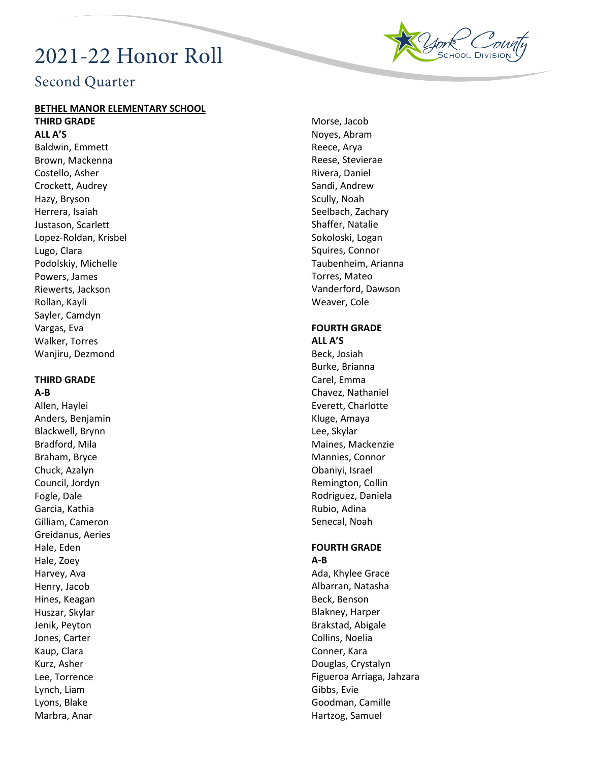# 2021-22 Honor Roll



# Second Quarter

#### **BETHEL MANOR ELEMENTARY SCHOOL**

**THIRD GRADE ALL A'S**

Baldwin, Emmett Brown, Mackenna Costello, Asher Crockett, Audrey Hazy, Bryson Herrera, Isaiah Justason, Scarlett Lopez-Roldan, Krisbel Lugo, Clara Podolskiy, Michelle Powers, James Riewerts, Jackson Rollan, Kayli Sayler, Camdyn Vargas, Eva Walker, Torres Wanjiru, Dezmond

#### **THIRD GRADE A-B**

Allen, Haylei Anders, Benjamin Blackwell, Brynn Bradford, Mila Braham, Bryce Chuck, Azalyn Council, Jordyn Fogle, Dale Garcia, Kathia Gilliam, Cameron Greidanus, Aeries Hale, Eden Hale, Zoey Harvey, Ava Henry, Jacob Hines, Keagan Huszar, Skylar Jenik, Peyton Jones, Carter Kaup, Clara Kurz, Asher Lee, Torrence Lynch, Liam Lyons, Blake Marbra, Anar

Morse, Jacob Noyes, Abram Reece, Arya Reese, Stevierae Rivera, Daniel Sandi, Andrew Scully, Noah Seelbach, Zachary Shaffer, Natalie Sokoloski, Logan Squires, Connor Taubenheim, Arianna Torres, Mateo Vanderford, Dawson Weaver, Cole

#### **FOURTH GRADE ALL A'S**

Beck, Josiah Burke, Brianna Carel, Emma Chavez, Nathaniel Everett, Charlotte Kluge, Amaya Lee, Skylar Maines, Mackenzie Mannies, Connor Obaniyi, Israel Remington, Collin Rodriguez, Daniela Rubio, Adina Senecal, Noah

# **FOURTH GRADE A-B**

Ada, Khylee Grace Albarran, Natasha Beck, Benson Blakney, Harper Brakstad, Abigale Collins, Noelia Conner, Kara Douglas, Crystalyn Figueroa Arriaga, Jahzara Gibbs, Evie Goodman, Camille Hartzog, Samuel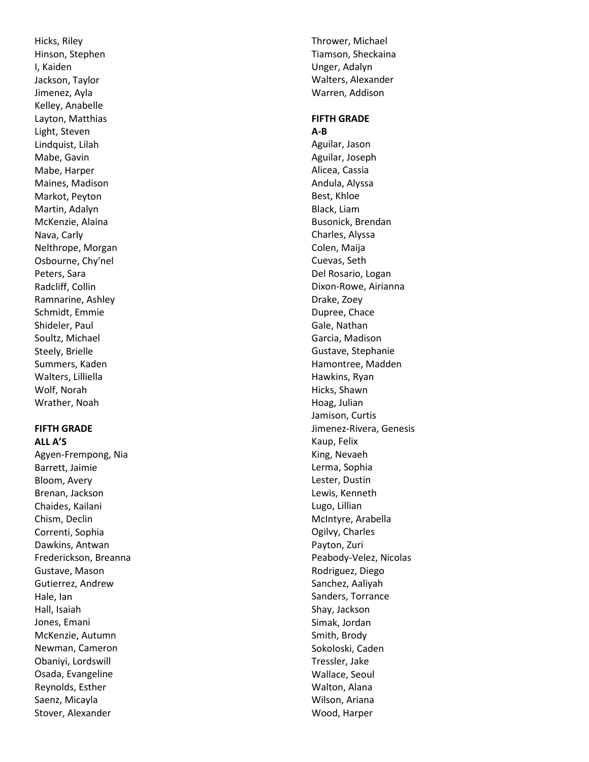Hicks, Riley Hinson, Stephen I, Kaiden Jackson, Taylor Jimenez, Ayla Kelley, Anabelle Layton, Matthias Light, Steven Lindquist, Lilah Mabe, Gavin Mabe, Harper Maines, Madison Markot, Peyton Martin, Adalyn McKenzie, Alaina Nava, Carly Nelthrope, Morgan Osbourne, Chy'nel Peters, Sara Radcliff, Collin Ramnarine, Ashley Schmidt, Emmie Shideler, Paul Soultz, Michael Steely, Brielle Summers, Kaden Walters, Lilliella Wolf, Norah Wrather, Noah

#### **FIFTH GRADE ALL A'S**

Agyen -Frempong, Nia Barrett, Jaimie Bloom, Avery Brenan, Jackson Chaides, Kailani Chism, Declin Correnti, Sophia Dawkins, Antwan Frederickson, Breanna Gustave, Mason Gutierrez, Andrew Hale, Ian Hall, Isaiah Jones, Emani McKenzie, Autumn Newman, Cameron Obaniyi, Lordswill Osada, Evangeline Reynolds, Esther Saenz, Micayla Stover, Alexander

Thrower, Michael Tiamson, Sheckaina Unger, Adalyn Walters, Alexander Warren, Addison

#### **FIFTH GRADE A-B**

Aguilar, Jason Aguilar, Joseph Alicea, Cassia Andula, Alyssa Best, Khloe Black, Liam Busonick, Brendan Charles, Alyssa Colen, Maija Cuevas, Seth Del Rosario, Logan Dixon -Rowe, Airianna Drake, Zoey Dupree, Chace Gale, Nathan Garcia, Madison Gustave, Stephanie Hamontree, Madden Hawkins, Ryan Hicks, Shawn Hoag, Julian Jamison, Curtis Jimenez -Rivera, Genesis Kaup, Felix King, Nevaeh Lerma, Sophia Lester, Dustin Lewis, Kenneth Lugo, Lillian McIntyre, Arabella Ogilvy, Charles Payton, Zuri Peabody -Velez, Nicolas Rodriguez, Diego Sanchez, Aaliyah Sanders, Torrance Shay, Jackson Simak, Jordan Smith, Brody Sokoloski, Caden Tressler, Jake Wallace, Seoul Walton, Alana Wilson, Ariana Wood, Harper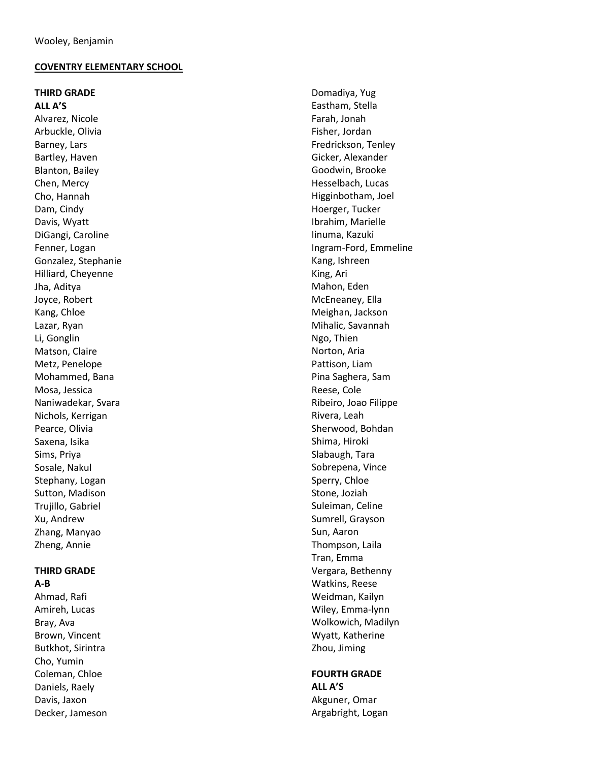#### **COVENTRY ELEMENTARY SCHOOL**

# **THIRD GRADE**

**ALL A'S** Alvarez, Nicole Arbuckle, Olivia Barney, Lars Bartley, Haven Blanton, Bailey Chen, Mercy Cho, Hannah Dam, Cindy Davis, Wyatt DiGangi, Caroline Fenner, Logan Gonzalez, Stephanie Hilliard, Cheyenne Jha, Aditya Joyce, Robert Kang, Chloe Lazar, Ryan Li, Gonglin Matson, Claire Metz, Penelope Mohammed, Bana Mosa, Jessica Naniwadekar, Svara Nichols, Kerrigan Pearce, Olivia Saxena, Isika Sims, Priya Sosale, Nakul Stephany, Logan Sutton, Madison Trujillo, Gabriel Xu, Andrew Zhang, Manyao Zheng, Annie

# **THIRD GRADE**

**A-B** Ahmad, Rafi Amireh, Lucas Bray, Ava Brown, Vincent Butkhot, Sirintra Cho, Yumin Coleman, Chloe Daniels, Raely Davis, Jaxon Decker, Jameson

Domadiya, Yug Eastham, Stella Farah, Jonah Fisher, Jordan Fredrickson, Tenley Gicker, Alexander Goodwin, Brooke Hesselbach, Lucas Higginbotham, Joel Hoerger, Tucker Ibrahim, Marielle Iinuma, Kazuki Ingram -Ford, Emmeline Kang, Ishreen King, Ari Mahon, Eden McEneaney, Ella Meighan, Jackson Mihalic, Savannah Ngo, Thien Norton, Aria Pattison, Liam Pina Saghera, Sam Reese, Cole Ribeiro, Joao Filippe Rivera, Leah Sherwood, Bohdan Shima, Hiroki Slabaugh, Tara Sobrepena, Vince Sperry, Chloe Stone, Joziah Suleiman, Celine Sumrell, Grayson Sun, Aaron Thompson, Laila Tran, Emma Vergara, Bethenny Watkins, Reese Weidman, Kailyn Wiley, Emma -lynn Wolkowich, Madilyn Wyatt, Katherine Zhou, Jiming

# **FOURTH GRADE ALL A'S**

Akguner, Omar Argabright, Logan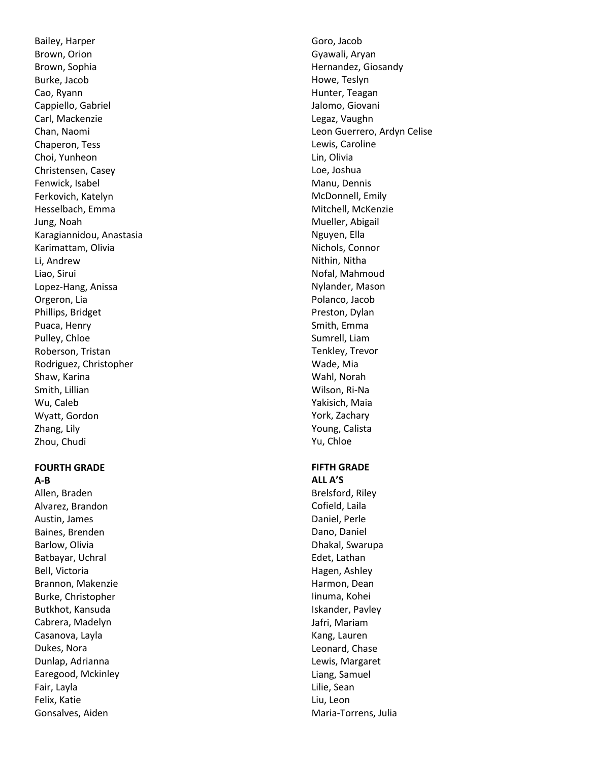Bailey, Harper Brown, Orion Brown, Sophia Burke, Jacob Cao, Ryann Cappiello, Gabriel Carl, Mackenzie Chan, Naomi Chaperon, Tess Choi, Yunheon Christensen, Casey Fenwick, Isabel Ferkovich, Katelyn Hesselbach, Emma Jung, Noah Karagiannidou, Anastasia Karimattam, Olivia Li, Andrew Liao, Sirui Lopez -Hang, Anissa Orgeron, Lia Phillips, Bridget Puaca, Henry Pulley, Chloe Roberson, Tristan Rodriguez, Christopher Shaw, Karina Smith, Lillian Wu, Caleb Wyatt, Gordon Zhang, Lily Zhou, Chudi

#### **FOURTH GRADE A-B**

Allen, Braden Alvarez, Brandon Austin, James Baines, Brenden Barlow, Olivia Batbayar, Uchral Bell, Victoria Brannon, Makenzie Burke, Christopher Butkhot, Kansuda Cabrera, Madelyn Casanova, Layla Dukes, Nora Dunlap, Adrianna Earegood, Mckinley Fair, Layla Felix, Katie Gonsalves, Aiden

Goro, Jacob Gyawali, Aryan Hernandez, Giosandy Howe, Teslyn Hunter, Teagan Jalomo, Giovani Legaz, Vaughn Leon Guerrero, Ardyn Celise Lewis, Caroline Lin, Olivia Loe, Joshua Manu, Dennis McDonnell, Emily Mitchell, McKenzie Mueller, Abigail Nguyen, Ella Nichols, Connor Nithin, Nitha Nofal, Mahmoud Nylander, Mason Polanco, Jacob Preston, Dylan Smith, Emma Sumrell, Liam Tenkley, Trevor Wade, Mia Wahl, Norah Wilson, Ri -Na Yakisich, Maia York, Zachary Young, Calista Yu, Chloe

#### **FIFTH GRADE ALL A'S**

Brelsford, Riley Cofield, Laila Daniel, Perle Dano, Daniel Dhakal, Swarupa Edet, Lathan Hagen, Ashley Harmon, Dean Iinuma, Kohei Iskander, Pavley Jafri, Mariam Kang, Lauren Leonard, Chase Lewis, Margaret Liang, Samuel Lilie, Sean Liu, Leon Maria -Torrens, Julia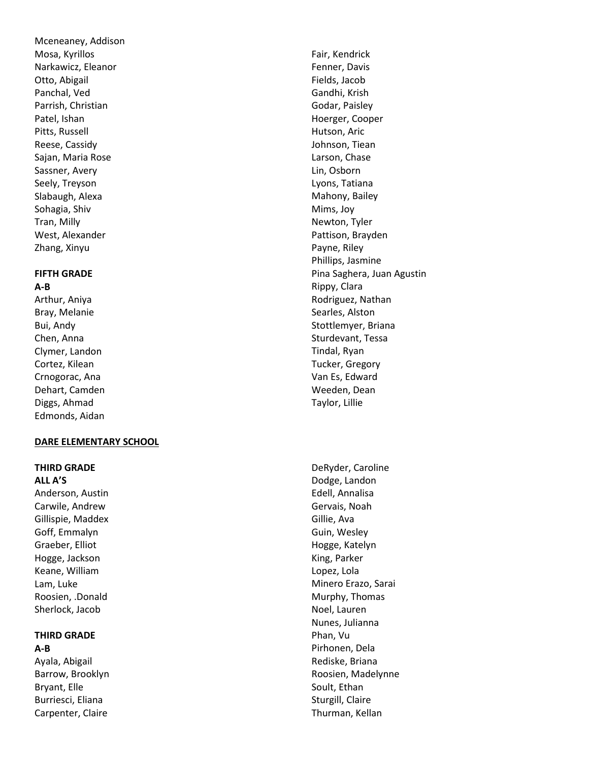Mceneaney, Addison Mosa, Kyrillos Narkawicz, Eleanor Otto, Abigail Panchal, Ved Parrish, Christian Patel, Ishan Pitts, Russell Reese, Cassidy Sajan, Maria Rose Sassner, Avery Seely, Treyson Slabaugh, Alexa Sohagia, Shiv Tran, Milly West, Alexander Zhang, Xinyu

#### **FIFTH GRADE A-B**

Arthur, Aniya Bray, Melanie Bui, Andy Chen, Anna Clymer, Landon Cortez, Kilean Crnogorac, Ana Dehart, Camden Diggs, Ahmad Edmonds, Aidan

# **DARE ELEMENTARY SCHOOL**

#### **THIRD GRADE ALL A'S**

Anderson, Austin Carwile, Andrew Gillispie, Maddex Goff, Emmalyn Graeber, Elliot Hogge, Jackson Keane, William Lam, Luke Roosien, .Donald Sherlock, Jacob

# **THIRD GRADE**

**A-B** Ayala, Abigail Barrow, Brooklyn Bryant, Elle Burriesci, Eliana Carpenter, Claire

Fair, Kendrick Fenner, Davis Fields, Jacob Gandhi, Krish Godar, Paisley Hoerger, Cooper Hutson, Aric Johnson, Tiean Larson, Chase Lin, Osborn Lyons, Tatiana Mahony, Bailey Mims, Joy Newton, Tyler Pattison, Brayden Payne, Riley Phillips, Jasmine Pina Saghera, Juan Agustin Rippy, Clara Rodriguez, Nathan Searles, Alston Stottlemyer, Briana Sturdevant, Tessa Tindal, Ryan Tucker, Gregory Van Es, Edward Weeden, Dean Taylor, Lillie

DeRyder, Caroline Dodge, Landon Edell, Annalisa Gervais, Noah Gillie, Ava Guin, Wesley Hogge, Katelyn King, Parker Lopez, Lola Minero Erazo, Sarai Murphy, Thomas Noel, Lauren Nunes, Julianna Phan, Vu Pirhonen, Dela Rediske, Briana Roosien, Madelynne Soult, Ethan Sturgill, Claire Thurman, Kellan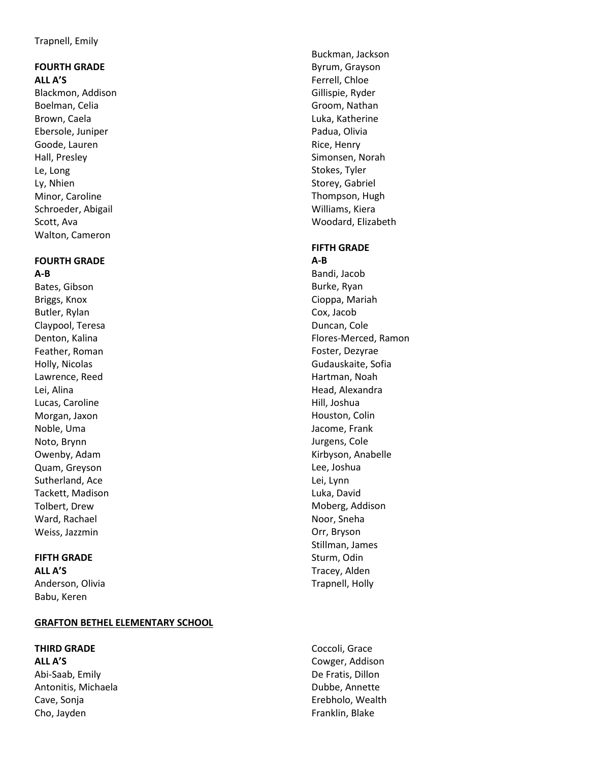# **FOURTH GRADE ALL A'S**

Blackmon, Addison Boelman, Celia Brown, Caela Ebersole, Juniper Goode, Lauren Hall, Presley Le, Long Ly, Nhien Minor, Caroline Schroeder, Abigail Scott, Ava Walton, Cameron

#### **FOURTH GRADE A-B**

Bates, Gibson Briggs, Knox Butler, Rylan Claypool, Teresa Denton, Kalina Feather, Roman Holly, Nicolas Lawrence, Reed Lei, Alina Lucas, Caroline Morgan, Jaxon Noble, Uma Noto, Brynn Owenby, Adam Quam, Greyson Sutherland, Ace Tackett, Madison Tolbert, Drew Ward, Rachael Weiss, Jazzmin

# **FIFTH GRADE**

**ALL A'S** Anderson, Olivia Babu, Keren

# **GRAFTON BETHEL ELEMENTARY SCHOOL**

# **THIRD GRADE**

**ALL A'S** Abi-Saab, Emily Antonitis, Michaela Cave, Sonja Cho, Jayden

Buckman, Jackson Byrum, Grayson Ferrell, Chloe Gillispie, Ryder Groom, Nathan Luka, Katherine Padua, Olivia Rice, Henry Simonsen, Norah Stokes, Tyler Storey, Gabriel Thompson, Hugh Williams, Kiera Woodard, Elizabeth

# **FIFTH GRADE**

**A-B** Bandi, Jacob Burke, Ryan Cioppa, Mariah Cox, Jacob Duncan, Cole Flores-Merced, Ramon Foster, Dezyrae Gudauskaite, Sofia Hartman, Noah Head, Alexandra Hill, Joshua Houston, Colin Jacome, Frank Jurgens, Cole Kirbyson, Anabelle Lee, Joshua Lei, Lynn Luka, David Moberg, Addison Noor, Sneha Orr, Bryson Stillman, James Sturm, Odin Tracey, Alden Trapnell, Holly

Coccoli, Grace Cowger, Addison De Fratis, Dillon Dubbe, Annette Erebholo, Wealth Franklin, Blake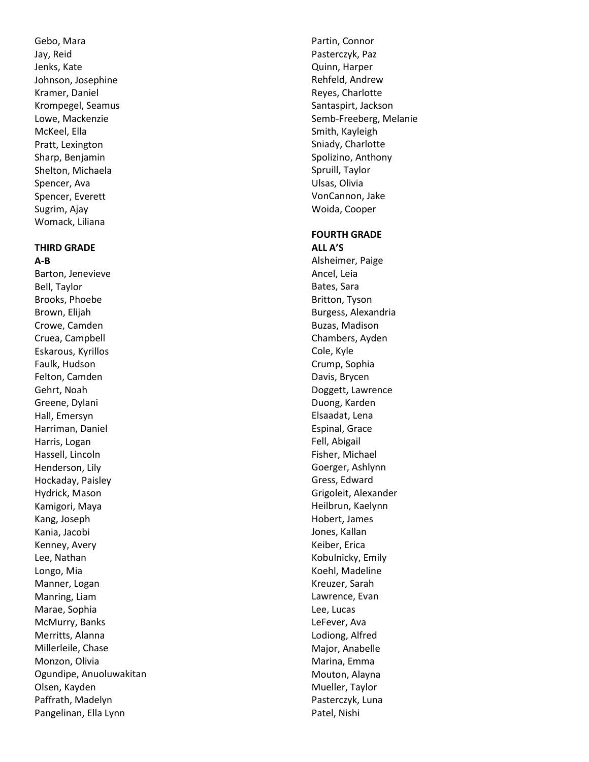Gebo, Mara Jay, Reid Jenks, Kate Johnson, Josephine Kramer, Daniel Krompegel, Seamus Lowe, Mackenzie McKeel, Ella Pratt, Lexington Sharp, Benjamin Shelton, Michaela Spencer, Ava Spencer, Everett Sugrim, Ajay Womack, Liliana

#### **THIRD GRADE A-B**

Barton, Jenevieve Bell, Taylor Brooks, Phoebe Brown, Elijah Crowe, Camden Cruea, Campbell Eskarous, Kyrillos Faulk, Hudson Felton, Camden Gehrt, Noah Greene, Dylani Hall, Emersyn Harriman, Daniel Harris, Logan Hassell, Lincoln Henderson, Lily Hockaday, Paisley Hydrick, Mason Kamigori, Maya Kang, Joseph Kania, Jacobi Kenney, Avery Lee, Nathan Longo, Mia Manner, Logan Manring, Liam Marae, Sophia McMurry, Banks Merritts, Alanna Millerleile, Chase Monzon, Olivia Ogundipe, Anuoluwakitan Olsen, Kayden Paffrath, Madelyn Pangelinan, Ella Lynn

Partin, Connor Pasterczyk, Paz Quinn, Harper Rehfeld, Andrew Reyes, Charlotte Santaspirt, Jackson Semb -Freeberg, Melanie Smith, Kayleigh Sniady, Charlotte Spolizino, Anthony Spruill, Taylor Ulsas, Olivia VonCannon, Jake Woida, Cooper

#### **FOURTH GRADE ALL A'S**

Alsheimer, Paige Ancel, Leia Bates, Sara Britton, Tyson Burgess, Alexandria Buzas, Madison Chambers, Ayden Cole, Kyle Crump, Sophia Davis, Brycen Doggett, Lawrence Duong, Karden Elsaadat, Lena Espinal, Grace Fell, Abigail Fisher, Michael Goerger, Ashlynn Gress, Edward Grigoleit, Alexander Heilbrun, Kaelynn Hobert, James Jones, Kallan Keiber, Erica Kobulnicky, Emily Koehl, Madeline Kreuzer, Sarah Lawrence, Evan Lee, Lucas LeFever, Ava Lodiong, Alfred Major, Anabelle Marina, Emma Mouton, Alayna Mueller, Taylor Pasterczyk, Luna Patel, Nishi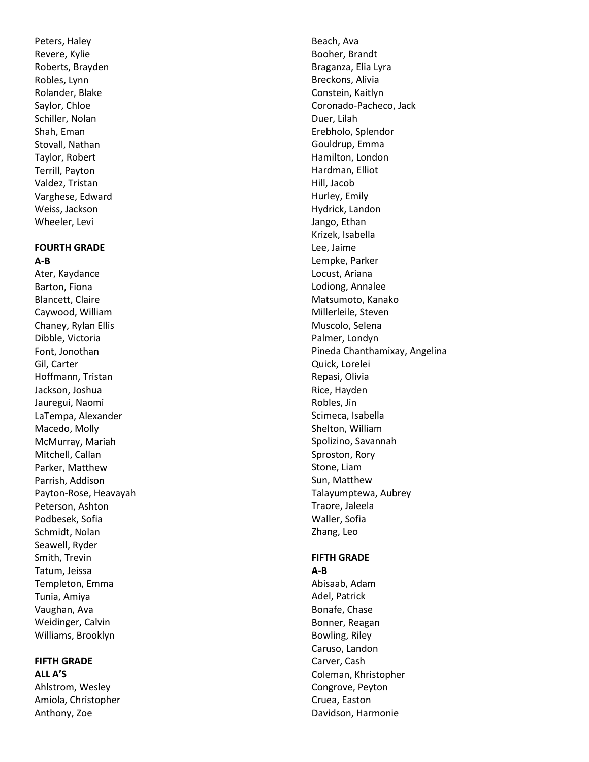Peters, Haley Revere, Kylie Roberts, Brayden Robles, Lynn Rolander, Blake Saylor, Chloe Schiller, Nolan Shah, Eman Stovall, Nathan Taylor, Robert Terrill, Payton Valdez, Tristan Varghese, Edward Weiss, Jackson Wheeler, Levi

#### **FOURTH GRADE A-B**

Ater, Kaydance Barton, Fiona Blancett, Claire Caywood, William Chaney, Rylan Ellis Dibble, Victoria Font, Jonothan Gil, Carter Hoffmann, Tristan Jackson, Joshua Jauregui, Naomi LaTempa, Alexander Macedo, Molly McMurray, Mariah Mitchell, Callan Parker, Matthew Parrish, Addison Payton -Rose, Heavayah Peterson, Ashton Podbesek, Sofia Schmidt, Nolan Seawell, Ryder Smith, Trevin Tatum, Jeissa Templeton, Emma Tunia, Amiya Vaughan, Ava Weidinger, Calvin Williams, Brooklyn

#### **FIFTH GRADE ALL A'S**

Ahlstrom, Wesley Amiola, Christopher Anthony, Zoe

Beach, Ava Booher, Brandt Braganza, Elia Lyra Breckons, Alivia Constein, Kaitlyn Coronado -Pacheco, Jack Duer, Lilah Erebholo, Splendor Gouldrup, Emma Hamilton, London Hardman, Elliot Hill, Jacob Hurley, Emily Hydrick, Landon Jango, Ethan Krizek, Isabella Lee, Jaime Lempke, Parker Locust, Ariana Lodiong, Annalee Matsumoto, Kanako Millerleile, Steven Muscolo, Selena Palmer, Londyn Pineda Chanthamixay, Angelina Quick, Lorelei Repasi, Olivia Rice, Hayden Robles, Jin Scimeca, Isabella Shelton, William Spolizino, Savannah Sproston, Rory Stone, Liam Sun, Matthew Talayumptewa, Aubrey Traore, Jaleela Waller, Sofia Zhang, Leo

# **FIFTH GRADE**

**A-B** Abisaab, Adam Adel, Patrick Bonafe, Chase Bonner, Reagan Bowling, Riley Caruso, Landon Carver, Cash Coleman, Khristopher Congrove, Peyton Cruea, Easton Davidson, Harmonie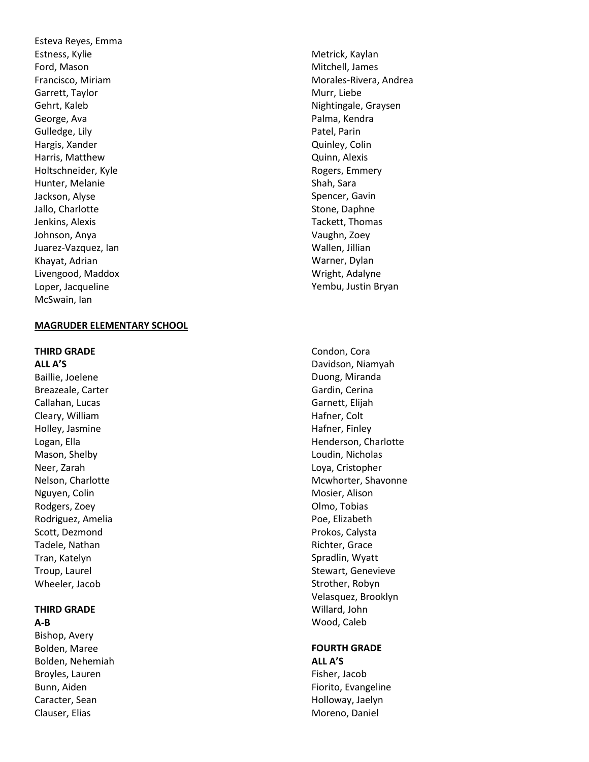Esteva Reyes, Emma Estness, Kylie Ford, Mason Francisco, Miriam Garrett, Taylor Gehrt, Kaleb George, Ava Gulledge, Lily Hargis, Xander Harris, Matthew Holtschneider, Kyle Hunter, Melanie Jackson, Alyse Jallo, Charlotte Jenkins, Alexis Johnson, Anya Juarez -Vazquez, Ian Khayat, Adrian Livengood, Maddox Loper, Jacqueline McSwain, Ian

#### **MAGRUDER ELEMENTARY SCHOOL**

#### **THIRD GRADE**

**ALL A'S** Baillie, Joelene Breazeale, Carter Callahan, Lucas Cleary, William Holley, Jasmine Logan, Ella Mason, Shelby Neer, Zarah Nelson, Charlotte Nguyen, Colin Rodgers, Zoey Rodriguez, Amelia Scott, Dezmond Tadele, Nathan Tran, Katelyn Troup, Laurel Wheeler, Jacob

#### **THIRD GRADE A-B**

Bishop, Avery Bolden, Maree Bolden, Nehemiah Broyles, Lauren Bunn, Aiden Caracter, Sean Clauser, Elias

Metrick, Kaylan Mitchell, James Morales -Rivera, Andrea Murr, Liebe Nightingale, Graysen Palma, Kendra Patel, Parin Quinley, Colin Quinn, Alexis Rogers, Emmery Shah, Sara Spencer, Gavin Stone, Daphne Tackett, Thomas Vaughn, Zoey Wallen, Jillian Warner, Dylan Wright, Adalyne Yembu, Justin Bryan

Condon, Cora Davidson, Niamyah Duong, Miranda Gardin, Cerina Garnett, Elijah Hafner, Colt Hafner, Finley Henderson, Charlotte Loudin, Nicholas Loya, Cristopher Mcwhorter, Shavonne Mosier, Alison Olmo, Tobias Poe, Elizabeth Prokos, Calysta Richter, Grace Spradlin, Wyatt Stewart, Genevieve Strother, Robyn Velasquez, Brooklyn Willard, John Wood, Caleb

#### **FOURTH GRADE ALL A'S**

Fisher, Jacob Fiorito, Evangeline Holloway, Jaelyn Moreno, Daniel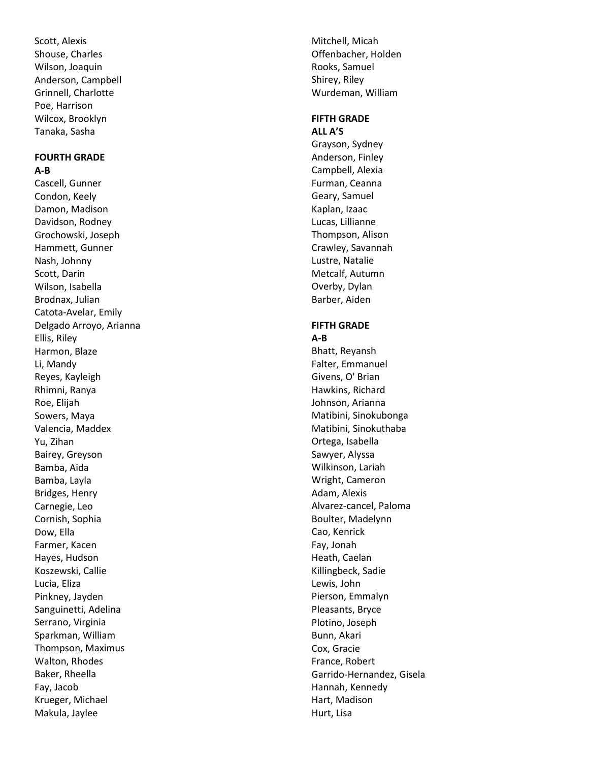Scott, Alexis Shouse, Charles Wilson, Joaquin Anderson, Campbell Grinnell, Charlotte Poe, Harrison Wilcox, Brooklyn Tanaka, Sasha

#### **FOURTH GRADE A-B**

Cascell, Gunner Condon, Keely Damon, Madison Davidson, Rodney Grochowski, Joseph Hammett, Gunner Nash, Johnny Scott, Darin Wilson, Isabella Brodnax, Julian Catota -Avelar, Emily Delgado Arroyo, Arianna Ellis, Riley Harmon, Blaze Li, Mandy Reyes, Kayleigh Rhimni, Ranya Roe, Elijah Sowers, Maya Valencia, Maddex Yu, Zihan Bairey, Greyson Bamba, Aida Bamba, Layla Bridges, Henry Carnegie, Leo Cornish, Sophia Dow, Ella Farmer, Kacen Hayes, Hudson Koszewski, Callie Lucia, Eliza Pinkney, Jayden Sanguinetti, Adelina Serrano, Virginia Sparkman, William Thompson, Maximus Walton, Rhodes Baker, Rheella Fay, Jacob Krueger, Michael Makula, Jaylee

Mitchell, Micah Offenbacher, Holden Rooks, Samuel Shirey, Riley Wurdeman, William

# **FIFTH GRADE ALL A'S**

Grayson, Sydney Anderson, Finley Campbell, Alexia Furman, Ceanna Geary, Samuel Kaplan, Izaac Lucas, Lillianne Thompson, Alison Crawley, Savannah Lustre, Natalie Metcalf, Autumn Overby, Dylan Barber, Aiden

#### **FIFTH GRADE A-B**

Bhatt, Reyansh Falter, Emmanuel Givens, O' Brian Hawkins, Richard Johnson, Arianna Matibini, Sinokubonga Matibini, Sinokuthaba Ortega, Isabella Sawyer, Alyssa Wilkinson, Lariah Wright, Cameron Adam, Alexis Alvarez -cancel, Paloma Boulter, Madelynn Cao, Kenrick Fay, Jonah Heath, Caelan Killingbeck, Sadie Lewis, John Pierson, Emmalyn Pleasants, Bryce Plotino, Joseph Bunn, Akari Cox, Gracie France, Robert Garrido -Hernandez, Gisela Hannah, Kennedy Hart, Madison Hurt, Lisa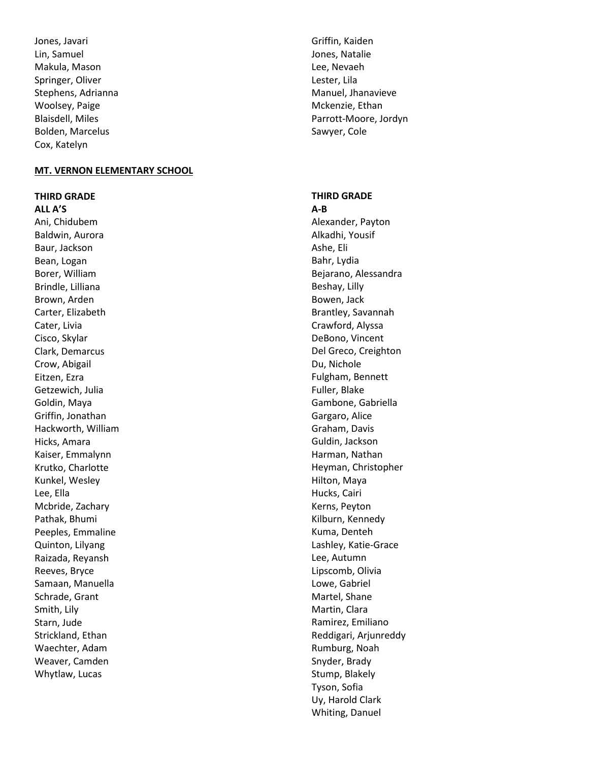Jones, Javari Lin, Samuel Makula, Mason Springer, Oliver Stephens, Adrianna Woolsey, Paige Blaisdell, Miles Bolden, Marcelus Cox, Katelyn

#### **MT. VERNON ELEMENTARY SCHOOL**

#### **THIRD GRADE**

**ALL A'S** Ani, Chidubem Baldwin, Aurora Baur, Jackson Bean, Logan Borer, William Brindle, Lilliana Brown, Arden Carter, Elizabeth Cater, Livia Cisco, Skylar Clark, Demarcus Crow, Abigail Eitzen, Ezra Getzewich, Julia Goldin, Maya Griffin, Jonathan Hackworth, William Hicks, Amara Kaiser, Emmalynn Krutko, Charlotte Kunkel, Wesley Lee, Ella Mcbride, Zachary Pathak, Bhumi Peeples, Emmaline Quinton, Lilyang Raizada, Reyansh Reeves, Bryce Samaan, Manuella Schrade, Grant Smith, Lily Starn, Jude Strickland, Ethan Waechter, Adam Weaver, Camden Whytlaw, Lucas

Griffin, Kaiden Jones, Natalie Lee, Nevaeh Lester, Lila Manuel, Jhanavieve Mckenzie, Ethan Parrott-Moore, Jordyn Sawyer, Cole

# **THIRD GRADE**

**A-B** Alexander, Payton Alkadhi, Yousif Ashe, Eli Bahr, Lydia Bejarano, Alessandra Beshay, Lilly Bowen, Jack Brantley, Savannah Crawford, Alyssa DeBono, Vincent Del Greco, Creighton Du, Nichole Fulgham, Bennett Fuller, Blake Gambone, Gabriella Gargaro, Alice Graham, Davis Guldin, Jackson Harman, Nathan Heyman, Christopher Hilton, Maya Hucks, Cairi Kerns, Peyton Kilburn, Kennedy Kuma, Denteh Lashley, Katie-Grace Lee, Autumn Lipscomb, Olivia Lowe, Gabriel Martel, Shane Martin, Clara Ramirez, Emiliano Reddigari, Arjunreddy Rumburg, Noah Snyder, Brady Stump, Blakely Tyson, Sofia Uy, Harold Clark Whiting, Danuel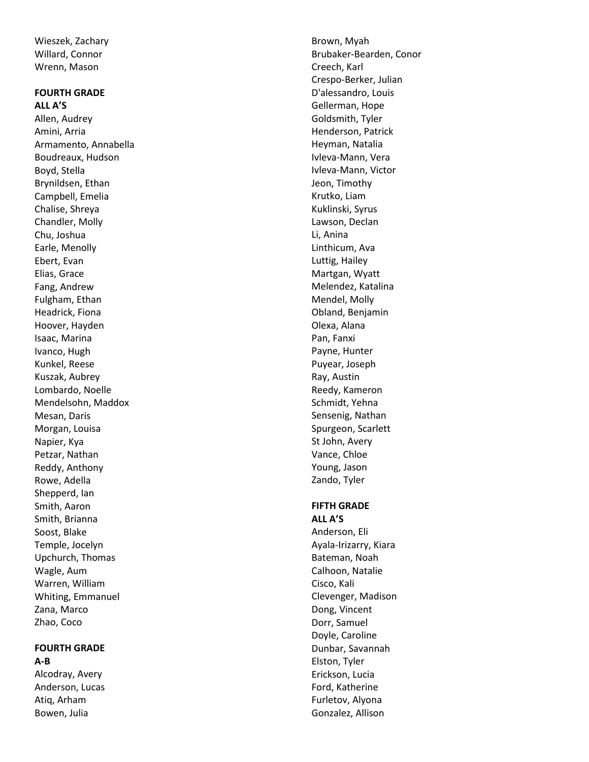Wieszek, Zachary Willard, Connor Wrenn, Mason

#### **FOURTH GRADE ALL A'S**

Allen, Audrey Amini, Arria Armamento, Annabella Boudreaux, Hudson Boyd, Stella Brynildsen, Ethan Campbell, Emelia Chalise, Shreya Chandler, Molly Chu, Joshua Earle, Menolly Ebert, Evan Elias, Grace Fang, Andrew Fulgham, Ethan Headrick, Fiona Hoover, Hayden Isaac, Marina Ivanco, Hugh Kunkel, Reese Kuszak, Aubrey Lombardo, Noelle Mendelsohn, Maddox Mesan, Daris Morgan, Louisa Napier, Kya Petzar, Nathan Reddy, Anthony Rowe, Adella Shepperd, Ian Smith, Aaron Smith, Brianna Soost, Blake Temple, Jocelyn Upchurch, Thomas Wagle, Aum Warren, William Whiting, Emmanuel Zana, Marco Zhao, Coco

#### **FOURTH GRADE A-B**

Alcodray, Avery Anderson, Lucas Atiq, Arham Bowen, Julia

Brown, Myah Brubaker -Bearden, Conor Creech, Karl Crespo -Berker, Julian D'alessandro, Louis Gellerman, Hope Goldsmith, Tyler Henderson, Patrick Heyman, Natalia Ivleva -Mann, Vera Ivleva -Mann, Victor Jeon, Timothy Krutko, Liam Kuklinski, Syrus Lawson, Declan Li, Anina Linthicum, Ava Luttig, Hailey Martgan, Wyatt Melendez, Katalina Mendel, Molly Obland, Benjamin Olexa, Alana Pan, Fanxi Payne, Hunter Puyear, Joseph Ray, Austin Reedy, Kameron Schmidt, Yehna Sensenig, Nathan Spurgeon, Scarlett St John, Avery Vance, Chloe Young, Jason Zando, Tyler

# **FIFTH GRADE**

**ALL A'S** Anderson, Eli Ayala -Irizarry, Kiara Bateman, Noah Calhoon, Natalie Cisco, Kali Clevenger, Madison Dong, Vincent Dorr, Samuel Doyle, Caroline Dunbar, Savannah Elston, Tyler Erickson, Lucia Ford, Katherine Furletov, Alyona Gonzalez, Allison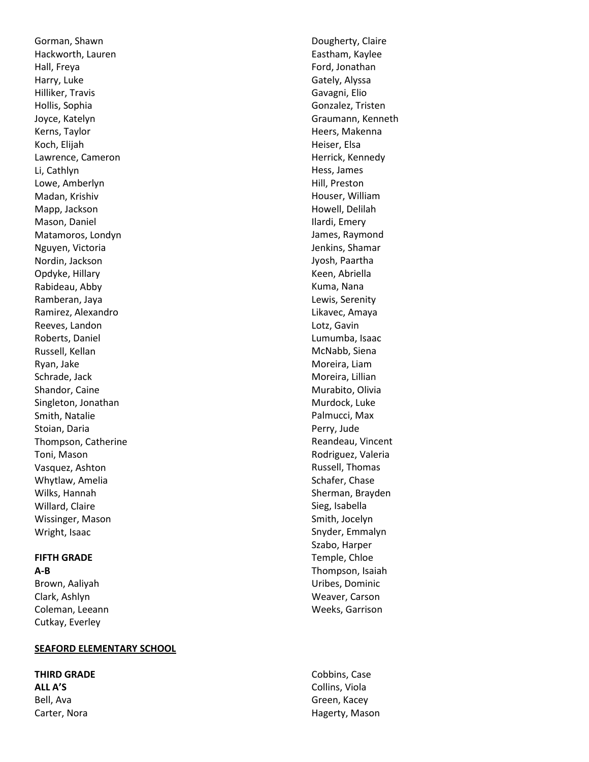Gorman, Shawn Hackworth, Lauren Hall, Freya Harry, Luke Hilliker, Travis Hollis, Sophia Joyce, Katelyn Kerns, Taylor Koch, Elijah Lawrence, Cameron Li, Cathlyn Lowe, Amberlyn Madan, Krishiv Mapp, Jackson Mason, Daniel Matamoros, Londyn Nguyen, Victoria Nordin, Jackson Opdyke, Hillary Rabideau, Abby Ramberan, Jaya Ramirez, Alexandro Reeves, Landon Roberts, Daniel Russell, Kellan Ryan, Jake Schrade, Jack Shandor, Caine Singleton, Jonathan Smith, Natalie Stoian, Daria Thompson, Catherine Toni, Mason Vasquez, Ashton Whytlaw, Amelia Wilks, Hannah Willard, Claire Wissinger, Mason Wright, Isaac

# **FIFTH GRADE**

**A-B** Brown, Aaliyah Clark, Ashlyn Coleman, Leeann Cutkay, Everle y

#### **SEAFORD ELEMENTARY SCHOOL**

**THIRD GRADE ALL A'S** Bell, Ava Carter, Nora

Dougherty, Claire Eastham, Kaylee Ford, Jonathan Gately, Alyssa Gavagni, Elio Gonzalez, Tristen Graumann, Kenneth Heers, Makenna Heiser, Elsa Herrick, Kennedy Hess, James Hill, Preston Houser, William Howell, Delilah Ilardi, Emery James, Raymond Jenkins, Shamar Jyosh, Paartha Keen, Abriella Kuma, Nana Lewis, Serenity Likavec, Amaya Lotz, Gavin Lumumba, Isaac McNabb, Siena Moreira, Liam Moreira, Lillian Murabito, Olivia Murdock, Luke Palmucci, Max Perry, Jude Reandeau, Vincent Rodriguez, Valeria Russell, Thomas Schafer, Chase Sherman, Brayden Sieg, Isabella Smith, Jocelyn Snyder, Emmalyn Szabo, Harper Temple, Chloe Thompson, Isaiah Uribes, Dominic Weaver, Carson Weeks, Garrison

Cobbins, Case Collins, Viola Green, Kacey Hagerty, Mason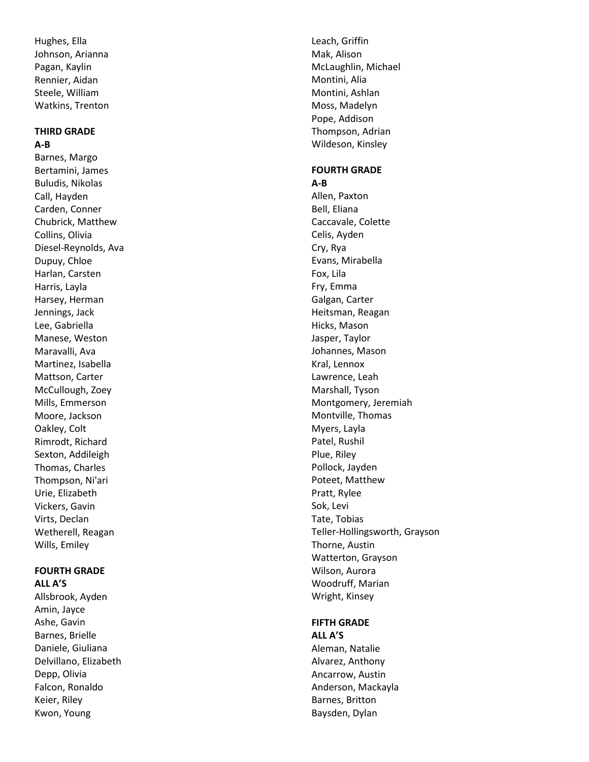Hughes, Ella Johnson, Arianna Pagan, Kaylin Rennier, Aidan Steele, William Watkins, Trenton

#### **THIRD GRADE A-B**

Barnes, Margo Bertamini, James Buludis, Nikolas Call, Hayden Carden, Conner Chubrick, Matthew Collins, Olivia Diesel -Reynolds, Ava Dupuy, Chloe Harlan, Carsten Harris, Layla Harsey, Herman Jennings, Jack Lee, Gabriella Manese, Weston Maravalli, Ava Martinez, Isabella Mattson, Carter McCullough, Zoey Mills, Emmerson Moore, Jackson Oakley, Colt Rimrodt, Richard Sexton, Addileigh Thomas, Charles Thompson, Ni'ari Urie, Elizabeth Vickers, Gavin Virts, Declan Wetherell, Reagan Wills, Emiley

# **FOURTH GRADE**

**ALL A'S** Allsbrook, Ayden Amin, Jayce Ashe, Gavin Barnes, Brielle Daniele, Giuliana Delvillano, Elizabeth Depp, Olivia Falcon, Ronaldo Keier, Riley Kwon, Young

Leach, Griffin Mak, Alison McLaughlin, Michael Montini, Alia Montini, Ashlan Moss, Madelyn Pope, Addison Thompson, Adrian Wildeson, Kinsley

#### **FOURTH GRADE A-B**

Allen, Paxton Bell, Eliana Caccavale, Colette Celis, Ayden Cry, Rya Evans, Mirabella Fox, Lila Fry, Emma Galgan, Carter Heitsman, Reagan Hicks, Mason Jasper, Taylor Johannes, Mason Kral, Lennox Lawrence, Leah Marshall, Tyson Montgomery, Jeremiah Montville, Thomas Myers, Layla Patel, Rushil Plue, Riley Pollock, Jayden Poteet, Matthew Pratt, Rylee Sok, Levi Tate, Tobias Teller -Hollingsworth, Grayson Thorne, Austin Watterton, Grayson Wilson, Aurora Woodruff, Marian Wright, Kinsey

# **FIFTH GRADE**

**ALL A'S** Aleman, Natalie Alvarez, Anthony Ancarrow, Austin Anderson, Mackayla Barnes, Britton Baysden, Dylan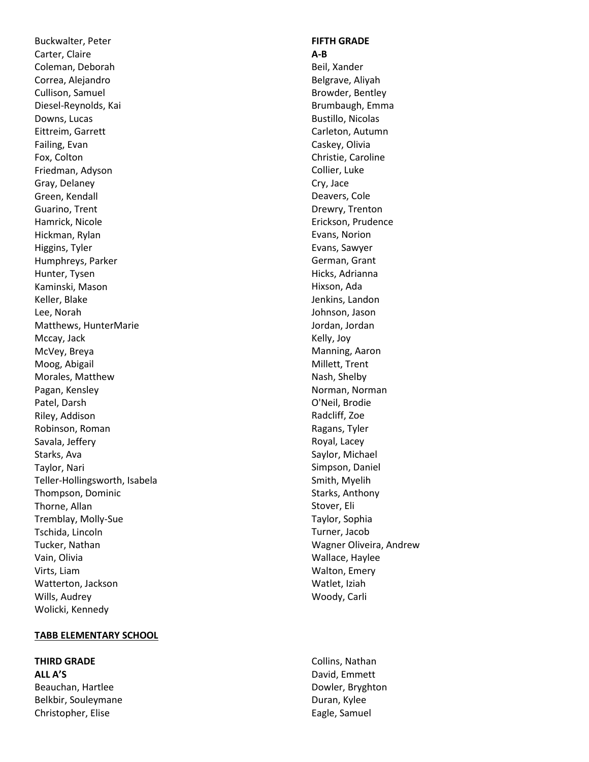Buckwalter, Peter Carter, Claire Coleman, Deborah Correa, Alejandro Cullison, Samuel Diesel -Reynolds, Kai Downs, Lucas Eittreim, Garrett Failing, Evan Fox, Colton Friedman, Adyson Gray, Delaney Green, Kendall Guarino, Trent Hamrick, Nicole Hickman, Rylan Higgins, Tyler Humphreys, Parker Hunter, Tysen Kaminski, Mason Keller, Blake Lee, Norah Matthews, HunterMarie Mccay, Jack McVey, Breya Moog, Abigail Morales, Matthew Pagan, Kensley Patel, Darsh Riley, Addison Robinson, Roman Savala, Jeffery Starks, Ava Taylor, Nari Teller -Hollingsworth, Isabela Thompson, Dominic Thorne, Allan Tremblay, Molly -Sue Tschida, Lincoln Tucker, Nathan Vain, Olivia Virts, Liam Watterton, Jackson Wills, Audrey Wolicki, Kennedy

# **TABB ELEMENTARY SCHOOL**

**THIRD GRADE ALL A'S** Beauchan, Hartlee Belkbir, Souleymane Christopher, Elise

#### **FIFTH GRADE A-B**

Beil, Xander Belgrave, Aliyah Browder, Bentley Brumbaugh, Emma Bustillo, Nicolas Carleton, Autumn Caskey, Olivia Christie, Caroline Collier, Luke Cry, Jace Deavers, Cole Drewry, Trenton Erickson, Prudence Evans, Norion Evans, Sawyer German, Grant Hicks, Adrianna Hixson, Ada Jenkins, Landon Johnson, Jason Jordan, Jordan Kelly, Joy Manning, Aaron Millett, Trent Nash, Shelby Norman, Norman O'Neil, Brodie Radcliff, Zoe Ragans, Tyler Royal, Lacey Saylor, Michael Simpson, Daniel Smith, Myelih Starks, Anthony Stover, Eli Taylor, Sophia Turner, Jacob Wagner Oliveira, Andrew Wallace, Haylee Walton, Emery Watlet, Iziah Woody, Carli

Collins, Nathan David, Emmett Dowler, Bryghton Duran, Kylee Eagle, Samuel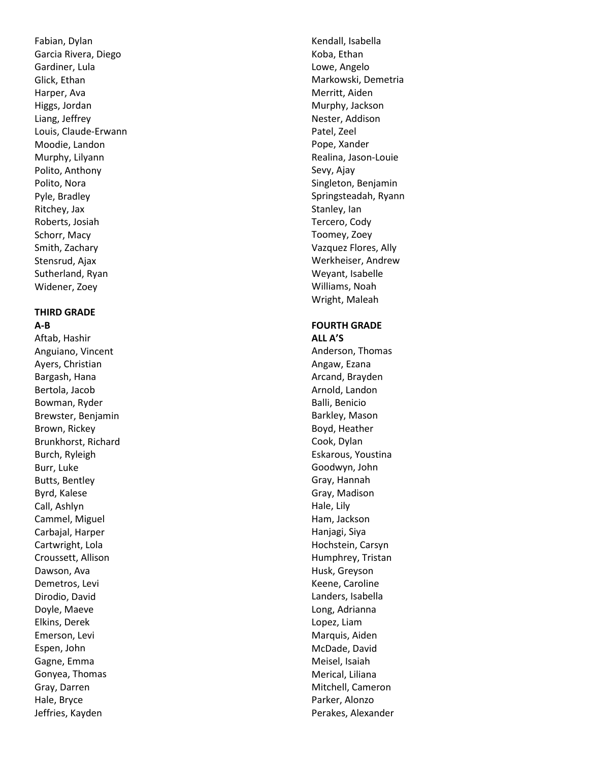Fabian, Dylan Garcia Rivera, Diego Gardiner, Lula Glick, Ethan Harper, Ava Higgs, Jordan Liang, Jeffrey Louis, Claude -Erwann Moodie, Landon Murphy, Lilyann Polito, Anthony Polito, Nora Pyle, Bradley Ritchey, Jax Roberts, Josiah Schorr, Macy Smith, Zachary Stensrud, Ajax Sutherland, Ryan Widener, Zoey

# **THIRD GRADE**

**A-B**

Aftab, Hashir Anguiano, Vincent Ayers, Christian Bargash, Hana Bertola, Jacob Bowman, Ryder Brewster, Benjamin Brown, Rickey Brunkhorst, Richard Burch, Ryleigh Burr, Luke Butts, Bentley Byrd, Kalese Call, Ashlyn Cammel, Miguel Carbajal, Harper Cartwright, Lola Croussett, Allison Dawson, Ava Demetros, Levi Dirodio, David Doyle, Maeve Elkins, Derek Emerson, Levi Espen, John Gagne, Emma Gonyea, Thomas Gray, Darren Hale, Bryce Jeffries, Kayden

Kendall, Isabella Koba, Ethan Lowe, Angelo Markowski, Demetria Merritt, Aiden Murphy, Jackson Nester, Addison Patel, Zeel Pope, Xander Realina, Jason -Louie Sevy, Ajay Singleton, Benjamin Springsteadah, Ryann Stanley, Ian Tercero, Cody Toomey, Zoey Vazquez Flores, Ally Werkheiser, Andrew Weyant, Isabelle Williams, Noah Wright, Maleah

#### **FOURTH GRADE ALL A'S**

Anderson, Thomas Angaw, Ezana Arcand, Brayden Arnold, Landon Balli, Benicio Barkley, Mason Boyd, Heather Cook, Dylan Eskarous, Youstina Goodwyn, John Gray, Hannah Gray, Madison Hale, Lily Ham, Jackson Hanjagi, Siya Hochstein, Carsyn Humphrey, Tristan Husk, Greyson Keene, Caroline Landers, Isabella Long, Adrianna Lopez, Liam Marquis, Aiden McDade, David Meisel, Isaiah Merical, Liliana Mitchell, Cameron Parker, Alonzo Perakes, Alexander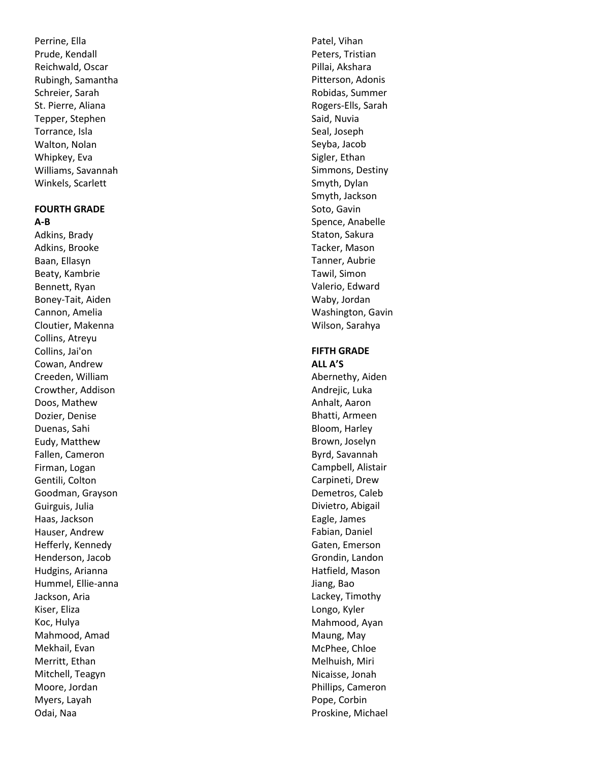Perrine, Ella Prude, Kendall Reichwald, Oscar Rubingh, Samantha Schreier, Sarah St. Pierre, Aliana Tepper, Stephen Torrance, Isla Walton, Nolan Whipkey, Eva Williams, Savannah Winkels, Scarlett

#### **FOURTH GRADE A-B**

Adkins, Brady Adkins, Brooke Baan, Ellasyn Beaty, Kambrie Bennett, Ryan Boney -Tait, Aiden Cannon, Amelia Cloutier, Makenna Collins, Atreyu Collins, Jai'on Cowan, Andrew Creeden, William Crowther, Addison Doos, Mathew Dozier, Denise Duenas, Sahi Eudy, Matthew Fallen, Cameron Firman, Logan Gentili, Colton Goodman, Grayson Guirguis, Julia Haas, Jackson Hauser, Andrew Hefferly, Kennedy Henderson, Jacob Hudgins, Arianna Hummel, Ellie -anna Jackson, Aria Kiser, Eliza Koc, Hulya Mahmood, Amad Mekhail, Evan Merritt, Ethan Mitchell, Teagyn Moore, Jordan Myers, Layah Odai, Naa

Patel, Vihan Peters, Tristian Pillai, Akshara Pitterson, Adonis Robidas, Summer Rogers -Ells, Sarah Said, Nuvia Seal, Joseph Seyba, Jacob Sigler, Ethan Simmons, Destiny Smyth, Dylan Smyth, Jackson Soto, Gavin Spence, Anabelle Staton, Sakura Tacker, Mason Tanner, Aubrie Tawil, Simon Valerio, Edward Waby, Jordan Washington, Gavin Wilson, Sarahya

# **FIFTH GRADE**

**ALL A'S** Abernethy, Aiden Andrejic, Luka Anhalt, Aaron Bhatti, Armeen Bloom, Harley Brown, Joselyn Byrd, Savannah Campbell, Alistair Carpineti, Drew Demetros, Caleb Divietro, Abigail Eagle, James Fabian, Daniel Gaten, Emerson Grondin, Landon Hatfield, Mason Jiang, Bao Lackey, Timothy Longo, Kyler Mahmood, Ayan Maung, May McPhee, Chloe Melhuish, Miri Nicaisse, Jonah Phillips, Cameron Pope, Corbin Proskine, Michael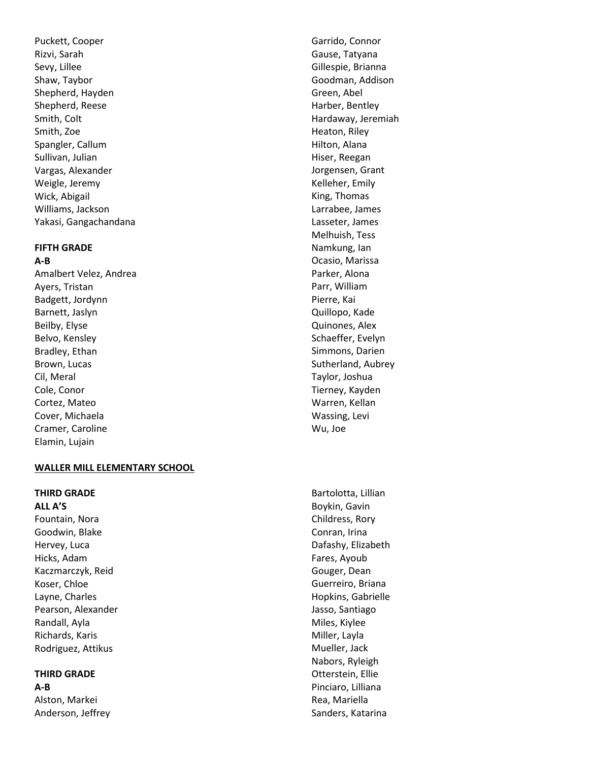Puckett, Coope r Rizvi, Sarah Sevy, Lillee Shaw, Taybor Shepherd, Hayden Shepherd, Reese Smith, Colt Smith, Zoe Spangler, Callum Sullivan, Julian Vargas, Alexander Weigle, Jeremy Wick, Abigail Williams, Jackson Yakasi, Gangachandana

# **FIFTH GRADE**

**A-B**

Amalbert Velez, Andrea Ayers, Tristan Badgett, Jordynn Barnett, Jaslyn Beilby, Elyse Belvo, Kensley Bradley, Ethan Brown, Lucas Cil, Meral Cole, Conor Cortez, Mateo Cover, Michaela Cramer, Caroline Elamin, Lujain

# **WALLER MILL ELEMENTARY SCHOOL**

**THIRD GRADE**

**ALL A'S** Fountain, Nora Goodwin, Blake Hervey, Luca Hicks, Adam Kaczmarczyk, Reid Koser, Chloe Layne, Charles Pearson, Alexander Randall, Ayla Richards, Karis Rodriguez, Attikus

# **THIRD GRADE**

**A-B** Alston, Markei Anderson, Jeffrey

Garrido, Connor Gause, Tatyana Gillespie, Brianna Goodman, Addison Green, Abel Harber, Bentley Hardaway, Jeremiah Heaton, Riley Hilton, Alana Hiser, Reegan Jorgensen, Grant Kelleher, Emily King, Thomas Larrabee, James Lasseter, James Melhuish, Tess Namkung, Ian Ocasio, Marissa Parker, Alona Parr, William Pierre, Kai Quillopo, Kade Quinones, Alex Schaeffer, Evelyn Simmons, Darien Sutherland, Aubrey Taylor, Joshua Tierney, Kayden Warren, Kellan Wassing, Levi Wu, Joe

Bartolotta, Lillian Boykin, Gavin Childress, Rory Conran, Irina Dafashy, Elizabeth Fares, Ayoub Gouger, Dean Guerreiro, Briana Hopkins, Gabrielle Jasso, Santiago Miles, Kiylee Miller, Layla Mueller, Jack Nabors, Ryleigh Otterstein, Ellie Pinciaro, Lilliana Rea, Mariella Sanders, Katarina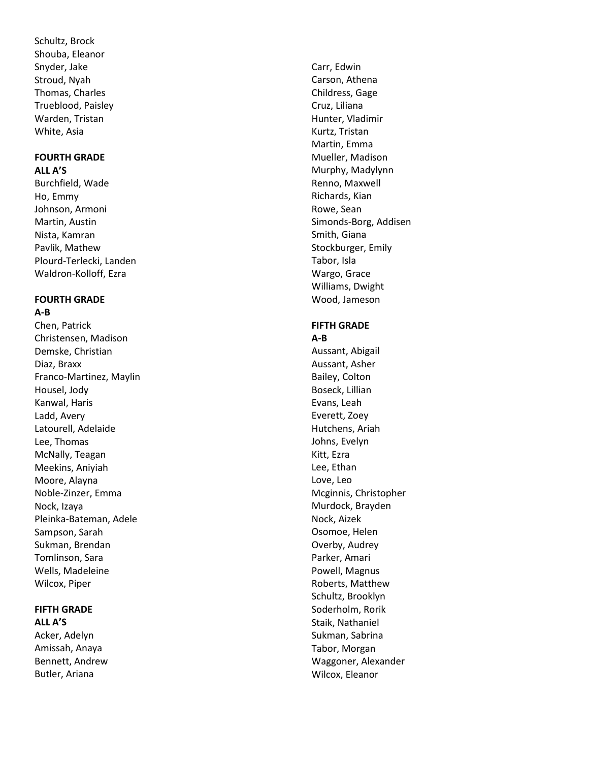Schultz, Brock Shouba, Eleanor Snyder, Jake Stroud, Nyah Thomas, Charles Trueblood, Paisley Warden, Tristan White, Asia

#### **FOURTH GRADE ALL A'S**

Burchfield, Wade Ho, Emmy Johnson, Armoni Martin, Austin Nista, Kamran Pavlik, Mathew Plourd -Terlecki, Landen Waldron -Kolloff, Ezra

#### **FOURTH GRADE A-B**

Chen, Patrick Christensen, Madison Demske, Christian Diaz, Braxx Franco -Martinez, Maylin Housel, Jody Kanwal, Haris Ladd, Avery Latourell, Adelaide Lee, Thomas McNally, Teagan Meekins, Aniyiah Moore, Alayna Noble -Zinzer, Emma Nock, Izaya Pleinka -Bateman, Adele Sampson, Sarah Sukman, Brendan Tomlinson, Sara Wells, Madeleine Wilcox, Piper

## **FIFTH GRADE ALL A'S**

Acker, Adelyn Amissah, Anaya Bennett, Andrew Butler, Ariana

Carr, Edwin Carson, Athena Childress, Gage Cruz, Liliana Hunter, Vladimir Kurtz, Tristan Martin, Emma Mueller, Madison Murphy, Madylynn Renno, Maxwell Richards, Kian Rowe, Sean Simonds -Borg, Addisen Smith, Giana Stockburger, Emily Tabor, Isla Wargo, Grace Williams, Dwight Wood, Jameson

# **FIFTH GRADE A-B**

Aussant, Abigail Aussant, Asher Bailey, Colton Boseck, Lillian Evans, Leah Everett, Zoey Hutchens, Ariah Johns, Evelyn Kitt, Ezra Lee, Ethan Love, Leo Mcginnis, Christopher Murdock, Brayden Nock, Aizek Osomoe, Helen Overby, Audrey Parker, Amari Powell, Magnus Roberts, Matthew Schultz, Brooklyn Soderholm, Rorik Staik, Nathaniel Sukman, Sabrina Tabor, Morgan Waggoner, Alexander Wilcox, Eleanor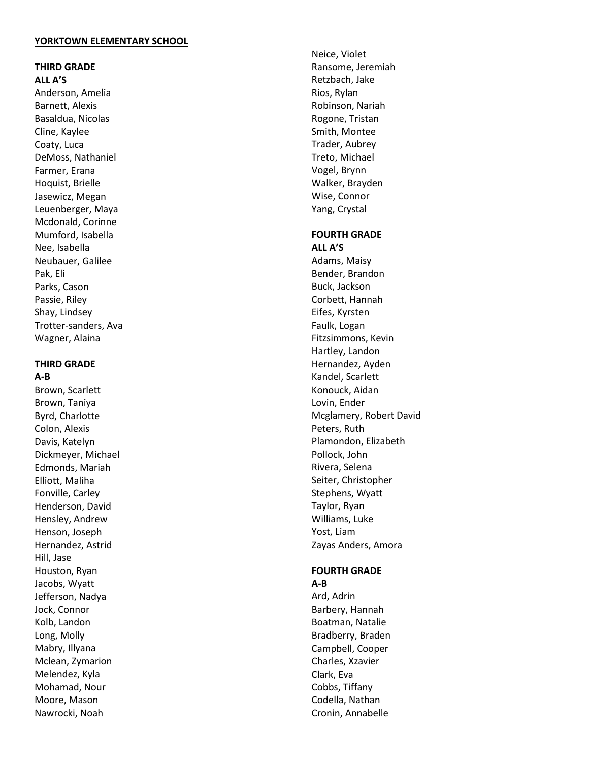#### **YORKTOWN ELEMENTARY SCHOOL**

#### **THIRD GRADE ALL A'S**

Anderson, Amelia Barnett, Alexis Basaldua, Nicolas Cline, Kaylee Coaty, Luca DeMoss, Nathaniel Farmer, Erana Hoquist, Brielle Jasewicz, Megan Leuenberger, Maya Mcdonald, Corinne Mumford, Isabella Nee, Isabella Neubauer, Galilee Pak, Eli Parks, Cason Passie, Riley Shay, Lindsey Trotter -sanders, Ava Wagner, Alaina

### **THIRD GRADE**

**A-B** Brown, Scarlett Brown, Taniya Byrd, Charlotte Colon, Alexis Davis, Katelyn Dickmeyer, Michael Edmonds, Mariah Elliott, Maliha Fonville, Carley Henderson, David Hensley, Andrew Henson, Joseph Hernandez, Astrid Hill, Jase Houston, Ryan Jacobs, Wyatt Jefferson, Nadya Jock, Connor Kolb, Landon Long, Molly Mabry, Illyana Mclean, Zymarion Melendez, Kyla Mohamad, Nour Moore, Mason Nawrocki, Noah

Neice, Violet Ransome, Jeremiah Retzbach, Jake Rios, Rylan Robinson, Nariah Rogone, Tristan Smith, Montee Trader, Aubrey Treto, Michael Vogel, Brynn Walker, Brayden Wise, Connor Yang, Crystal

#### **FOURTH GRADE ALL A'S**

Adams, Maisy Bender, Brandon Buck, Jackson Corbett, Hannah Eifes, Kyrsten Faulk, Logan Fitzsimmons, Kevin Hartley, Landon Hernandez, Ayden Kandel, Scarlett Konouck, Aidan Lovin, Ender Mcglamery, Robert David Peters, Ruth Plamondon, Elizabeth Pollock, John Rivera, Selena Seiter, Christopher Stephens, Wyatt Taylor, Ryan Williams, Luke Yost, Liam Zayas Anders, Amora

# **FOURTH GRAD E**

**A - B** Ard, Adrin Barbery, Hannah Boatman, Natalie Bradberry, Braden Campbell, Cooper Charles, Xzavier Clark, Eva Cobbs, Tiffany Codella, Nathan Cronin, Annabelle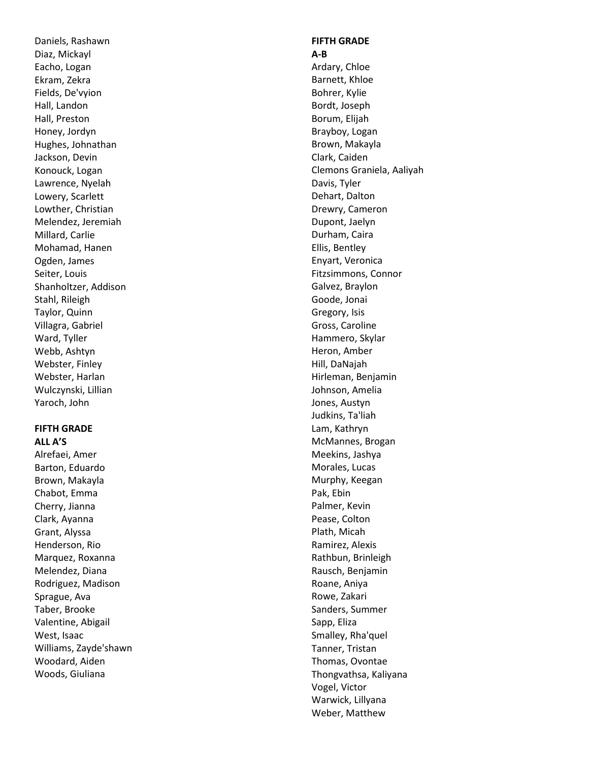Daniels, Rashawn Diaz, Mickayl Eacho, Logan Ekram, Zekra Fields, De'vyion Hall, Landon Hall, Preston Honey, Jordyn Hughes, Johnathan Jackson, Devin Konouck, Logan Lawrence, Nyelah Lowery, Scarlett Lowther, Christian Melendez, Jeremiah Millard, Carlie Mohamad, Hanen Ogden, James Seiter, Louis Shanholtzer, Addison Stahl, Rileigh Taylor, Quinn Villagra, Gabriel Ward, Tyller Webb, Ashtyn Webster, Finley Webster, Harlan Wulczynski, Lillian Yaroch, John

#### **FIFTH GRADE ALL A'S**

Alrefaei, Amer Barton, Eduardo Brown, Makayla Chabot, Emma Cherry, Jianna Clark, Ayanna Grant, Alyssa Henderson, Rio Marquez, Roxanna Melendez, Diana Rodriguez, Madison Sprague, Ava Taber, Brooke Valentine, Abigail West, Isaac Williams, Zayde'shawn Woodard, Aiden Woods, Giuliana

#### **FIFTH GRADE A-B**

Ardary, Chloe Barnett, Khloe Bohrer, Kylie Bordt, Joseph Borum, Elijah Brayboy, Logan Brown, Makayla Clark, Caiden Clemons Graniela, Aaliyah Davis, Tyler Dehart, Dalton Drewry, Cameron Dupont, Jaelyn Durham, Caira Ellis, Bentley Enyart, Veronica Fitzsimmons, Connor Galvez, Braylon Goode, Jonai Gregory, Isis Gross, Caroline Hammero, Skylar Heron, Amber Hill, DaNajah Hirleman, Benjamin Johnson, Amelia Jones, Austyn Judkins, Ta'liah Lam, Kathryn McMannes, Brogan Meekins, Jashya Morales, Lucas Murphy, Keegan Pak, Ebin Palmer, Kevin Pease, Colton Plath, Micah Ramirez, Alexis Rathbun, Brinleigh Rausch, Benjamin Roane, Aniya Rowe, Zakari Sanders, Summer Sapp, Eliza Smalley, Rha'quel Tanner, Tristan Thomas, Ovontae Thongvathsa, Kaliyana Vogel, Victor Warwick, Lillyana Weber, Matthew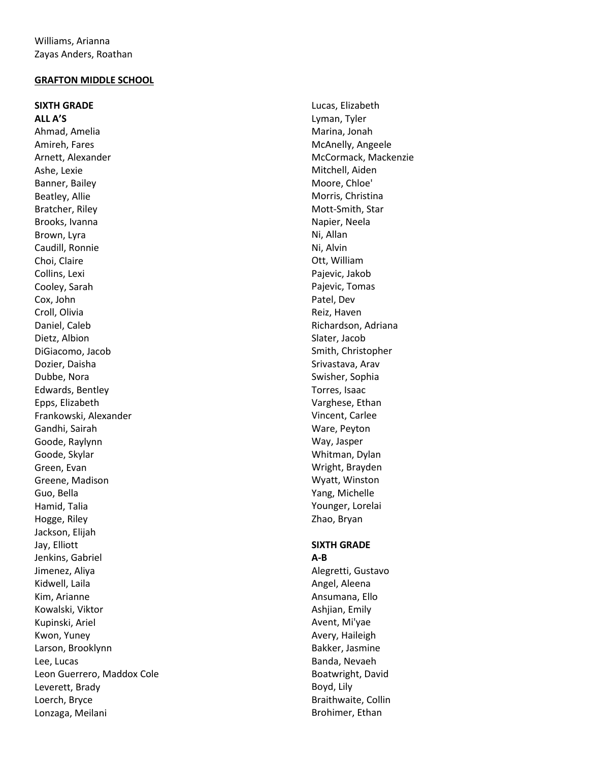#### **GRAFTON MIDDLE SCHOO L**

**SIXTH GRADE ALL A'S** Ahmad, Amelia Amireh, Fares Arnett, Alexander Ashe, Lexie Banner, Bailey Beatley, Allie Bratcher, Riley Brooks, Ivanna Brown, Lyra Caudill, Ronnie Choi, Claire Collins, Lexi Cooley, Sarah Cox, John Croll, Olivia Daniel, Caleb Dietz, Albion DiGiacomo, Jacob Dozier, Daisha Dubbe, Nora Edwards, Bentley Epps, Elizabeth Frankowski, Alexander Gandhi, Sairah Goode, Raylynn Goode, Skylar Green, Evan Greene, Madison Guo, Bella Hamid, Talia Hogge, Riley Jackson, Elijah Jay, Elliott Jenkins, Gabriel Jimenez, Aliya Kidwell, Laila Kim, Arianne Kowalski, Viktor Kupinski, Ariel Kwon, Yuney Larson, Brooklynn Lee, Lucas Leon Guerrero, Maddox Cole Leverett, Brady Loerch, Bryce Lonzaga, Meilani

Lucas, Elizabeth Lyman, Tyler Marina, Jonah McAnelly, Angeele McCormack, Mackenzie Mitchell, Aiden Moore, Chloe' Morris, Christina Mott -Smith, Star Napier, Neela Ni, Allan Ni, Alvin Ott, William Pajevic, Jakob Pajevic, Tomas Patel, Dev Reiz, Haven Richardson, Adriana Slater, Jacob Smith, Christopher Srivastava, Arav Swisher, Sophia Torres, Isaac Varghese, Ethan Vincent, Carlee Ware, Peyton Way, Jasper Whitman, Dylan Wright, Brayden Wyatt, Winston Yang, Michelle Younger, Lorelai Zhao, Bryan

#### **SIXTH GRADE A-B**

Alegretti, Gustavo Angel, Aleena Ansumana, Ello Ashjian, Emily Avent, Mi'yae Avery, Haileigh Bakker, Jasmine Banda, Nevaeh Boatwright, David Boyd, Lily Braithwaite, Collin Brohimer, Ethan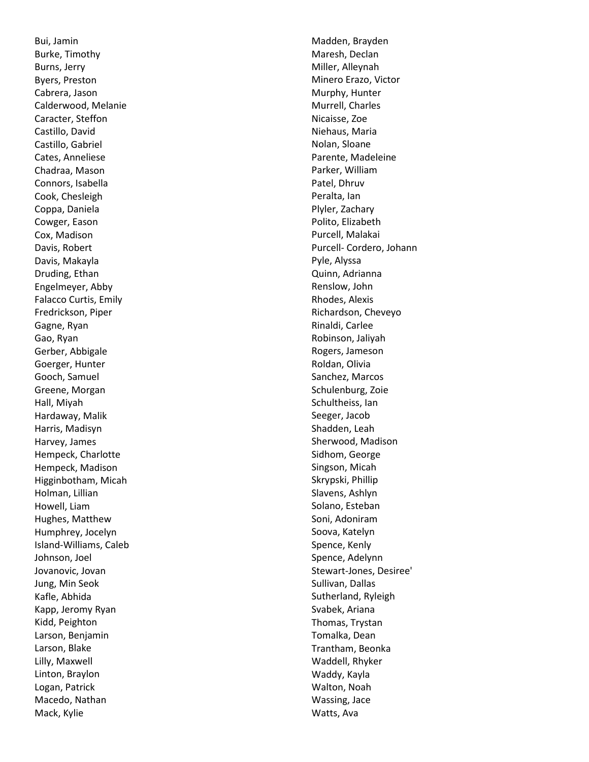Bui, Jamin Burke, Timothy Burns, Jerry Byers, Preston Cabrera, Jason Calderwood, Melanie Caracter, Steffon Castillo, David Castillo, Gabriel Cates, Anneliese Chadraa, Mason Connors, Isabella Cook, Chesleigh Coppa, Daniela Cowger, Eason Cox, Madison Davis, Robert Davis, Makayla Druding, Ethan Engelmeyer, Abby Falacco Curtis, Emily Fredrickson, Piper Gagne, Ryan Gao, Ryan Gerber, Abbigale Goerger, Hunter Gooch, Samuel Greene, Morgan Hall, Miyah Hardaway, Malik Harris, Madisyn Harvey, James Hempeck, Charlotte Hempeck, Madison Higginbotham, Micah Holman, Lillian Howell, Liam Hughes, Matthew Humphrey, Jocelyn Island -Williams, Caleb Johnson, Joel Jovanovic, Jovan Jung, Min Seok Kafle, Abhida Kapp, Jeromy Ryan Kidd, Peighton Larson, Benjamin Larson, Blake Lilly, Maxwell Linton, Braylon Logan, Patrick Macedo, Nathan Mack, Kylie

Madden, Brayden Maresh, Declan Miller, Alleynah Minero Erazo, Victor Murphy, Hunter Murrell, Charles Nicaisse, Zoe Niehaus, Maria Nolan, Sloane Parente, Madeleine Parker, William Patel, Dhruv Peralta, Ian Plyler, Zachary Polito, Elizabeth Purcell, Malakai Purcell - Cordero, Johann Pyle, Alyssa Quinn, Adrianna Renslow, John Rhodes, Alexis Richardson, Cheveyo Rinaldi, Carlee Robinson, Jaliyah Rogers, Jameson Roldan, Olivia Sanchez, Marcos Schulenburg, Zoie Schultheiss, Ian Seeger, Jacob Shadden, Leah Sherwood, Madison Sidhom, George Singson, Micah Skrypski, Phillip Slavens, Ashlyn Solano, Esteban Soni, Adoniram Soova, Katelyn Spence, Kenly Spence, Adelynn Stewart -Jones, Desiree' Sullivan, Dallas Sutherland, Ryleigh Svabek, Ariana Thomas, Trystan Tomalka, Dean Trantham, Beonka Waddell, Rhyker Waddy, Kayla Walton, Noah Wassing, Jace Watts, Ava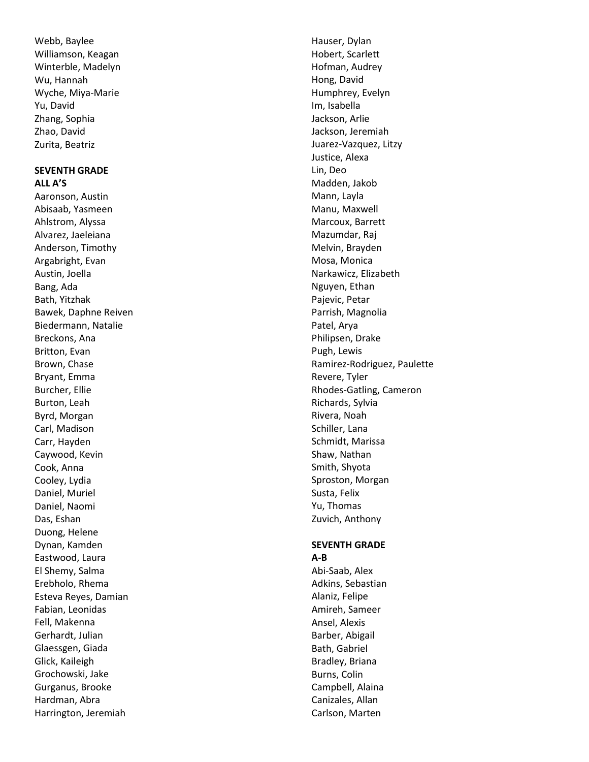Webb, Baylee Williamson, Keagan Winterble, Madelyn Wu, Hannah Wyche, Miya -Marie Yu, David Zhang, Sophia Zhao, David Zurita, Beatriz

#### **SEVENTH GRADE ALL A'S**

Aaronson, Austin Abisaab, Yasmeen Ahlstrom, Alyssa Alvarez, Jaeleiana Anderson, Timothy Argabright, Evan Austin, Joella Bang, Ada Bath, Yitzhak Bawek, Daphne Reiven Biedermann, Natalie Breckons, Ana Britton, Evan Brown, Chase Bryant, Emma Burcher, Ellie Burton, Leah Byrd, Morgan Carl, Madison Carr, Hayden Caywood, Kevin Cook, Anna Cooley, Lydia Daniel, Muriel Daniel, Naomi Das, Eshan Duong, Helene Dynan, Kamden Eastwood, Laura El Shemy, Salma Erebholo, Rhema Esteva Reyes, Damian Fabian, Leonidas Fell, Makenna Gerhardt, Julian Glaessgen, Giada Glick, Kaileigh Grochowski, Jake Gurganus, Brooke Hardman, Abra Harrington, Jeremiah

Hauser, Dylan Hobert, Scarlett Hofman, Audrey Hong, David Humphrey, Evelyn Im, Isabella Jackson, Arlie Jackson, Jeremiah Juarez -Vazquez, Litzy Justice, Alexa Lin, Deo Madden, Jakob Mann, Layla Manu, Maxwell Marcoux, Barrett Mazumdar, Raj Melvin, Brayden Mosa, Monica Narkawicz, Elizabeth Nguyen, Ethan Pajevic, Petar Parrish, Magnolia Patel, Arya Philipsen, Drake Pugh, Lewis Ramirez-Rodriguez, Paulette Revere, Tyler Rhodes -Gatling, Cameron Richards, Sylvia Rivera, Noah Schiller, Lana Schmidt, Marissa Shaw, Nathan Smith, Shyota Sproston, Morgan Susta, Felix Yu, Thomas Zuvich, Anthony

#### **SEVENTH GRADE A-B**

Abi -Saab, Alex Adkins, Sebastian Alaniz, Felipe Amireh, Sameer Ansel, Alexis Barber, Abigail Bath, Gabriel Bradley, Briana Burns, Colin Campbell, Alaina Canizales, Allan Carlson, Marten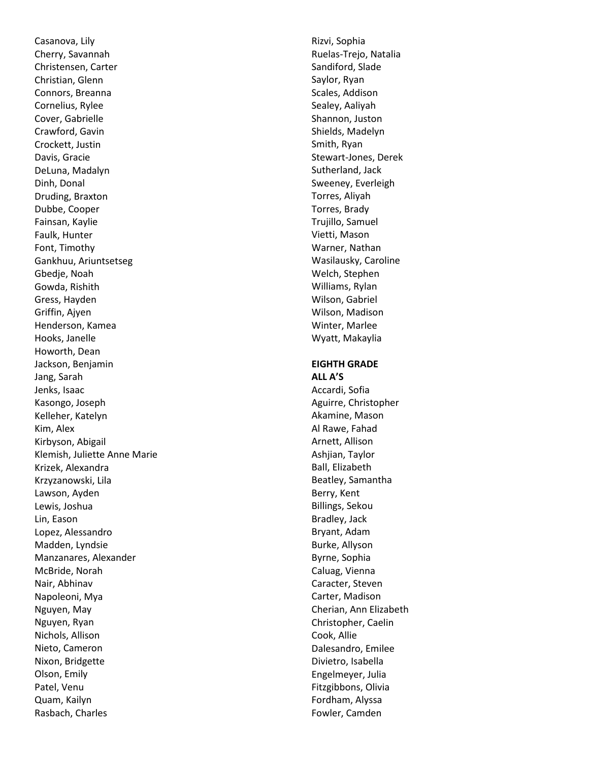Casanova, Lily Cherry, Savannah Christensen, Carter Christian, Glenn Connors, Breanna Cornelius, Rylee Cover, Gabrielle Crawford, Gavin Crockett, Justin Davis, Gracie DeLuna, Madalyn Dinh, Donal Druding, Braxton Dubbe, Cooper Fainsan, Kaylie Faulk, Hunter Font, Timothy Gankhuu, Ariuntsetseg Gbedje, Noah Gowda, Rishith Gress, Hayden Griffin, Ajyen Henderson, Kamea Hooks, Janelle Howorth, Dean Jackson, Benjamin Jang, Sarah Jenks, Isaac Kasongo, Joseph Kelleher, Katelyn Kim, Alex Kirbyson, Abigail Klemish, Juliette Anne Marie Krizek, Alexandra Krzyzanowski, Lila Lawson, Ayden Lewis, Joshua Lin, Eason Lopez, Alessandro Madden, Lyndsie Manzanares, Alexander McBride, Norah Nair, Abhinav Napoleoni, Mya Nguyen, May Nguyen, Ryan Nichols, Allison Nieto, Cameron Nixon, Bridgette Olson, Emily Patel, Venu Quam, Kailyn Rasbach, Charles

Rizvi, Sophia Ruelas -Trejo, Natalia Sandiford, Slade Saylor, Ryan Scales, Addison Sealey, Aaliyah Shannon, Juston Shields, Madelyn Smith, Ryan Stewart -Jones, Derek Sutherland, Jack Sweeney, Everleigh Torres, Aliyah Torres, Brady Trujillo, Samuel Vietti, Mason Warner, Nathan Wasilausky, Caroline Welch, Stephen Williams, Rylan Wilson, Gabriel Wilson, Madison Winter, Marlee Wyatt, Makaylia

### **EIGHTH GRADE ALL A'S**

Accardi, Sofia Aguirre, Christopher Akamine, Mason Al Rawe, Fahad Arnett, Allison Ashjian, Taylor Ball, Elizabeth Beatley, Samantha Berry, Kent Billings, Sekou Bradley, Jack Bryant, Adam Burke, Allyson Byrne, Sophia Caluag, Vienna Caracter, Steven Carter, Madison Cherian, Ann Elizabeth Christopher, Caelin Cook, Allie Dalesandro, Emilee Divietro, Isabella Engelmeyer, Julia Fitzgibbons, Olivia Fordham, Alyssa Fowler, Camden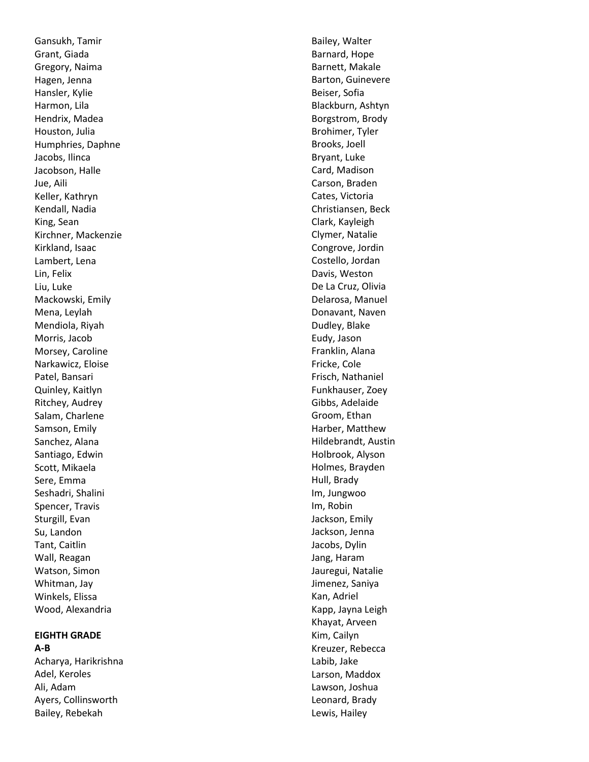Gansukh, Tamir Grant, Giada Gregory, Naima Hagen, Jenna Hansler, Kylie Harmon, Lila Hendrix, Madea Houston, Julia Humphries, Daphne Jacobs, Ilinca Jacobson, Halle Jue, Aili Keller, Kathryn Kendall, Nadia King, Sean Kirchner, Mackenzie Kirkland, Isaac Lambert, Lena Lin, Felix Liu, Luke Mackowski, Emily Mena, Leylah Mendiola, Riyah Morris, Jacob Morsey, Caroline Narkawicz, Eloise Patel, Bansari Quinley, Kaitlyn Ritchey, Audrey Salam, Charlene Samson, Emily Sanchez, Alana Santiago, Edwin Scott, Mikaela Sere, Emma Seshadri, Shalini Spencer, Travis Sturgill, Evan Su, Landon Tant, Caitlin Wall, Reagan Watson, Simon Whitman, Jay Winkels, Elissa Wood, Alexandria

#### **EIGHTH GRADE**

**A-B** Acharya, Harikrishna Adel, Keroles Ali, Adam Ayers, Collinsworth Bailey, Rebekah

Bailey, Walter Barnard, Hope Barnett, Makale Barton, Guinevere Beiser, Sofia Blackburn, Ashtyn Borgstrom, Brody Brohimer, Tyler Brooks, Joell Bryant, Luke Card, Madison Carson, Braden Cates, Victoria Christiansen, Beck Clark, Kayleigh Clymer, Natalie Congrove, Jordin Costello, Jordan Davis, Weston De La Cruz, Olivia Delarosa, Manuel Donavant, Naven Dudley, Blake Eudy, Jason Franklin, Alana Fricke, Cole Frisch, Nathaniel Funkhauser, Zoey Gibbs, Adelaide Groom, Ethan Harber, Matthew Hildebrandt, Austin Holbrook, Alyson Holmes, Brayden Hull, Brady Im, Jungwoo Im, Robin Jackson, Emily Jackson, Jenna Jacobs, Dylin Jang, Haram Jauregui, Natalie Jimenez, Saniya Kan, Adriel Kapp, Jayna Leigh Khayat, Arveen Kim, Cailyn Kreuzer, Rebecca Labib, Jake Larson, Maddox Lawson, Joshua Leonard, Brady Lewis, Hailey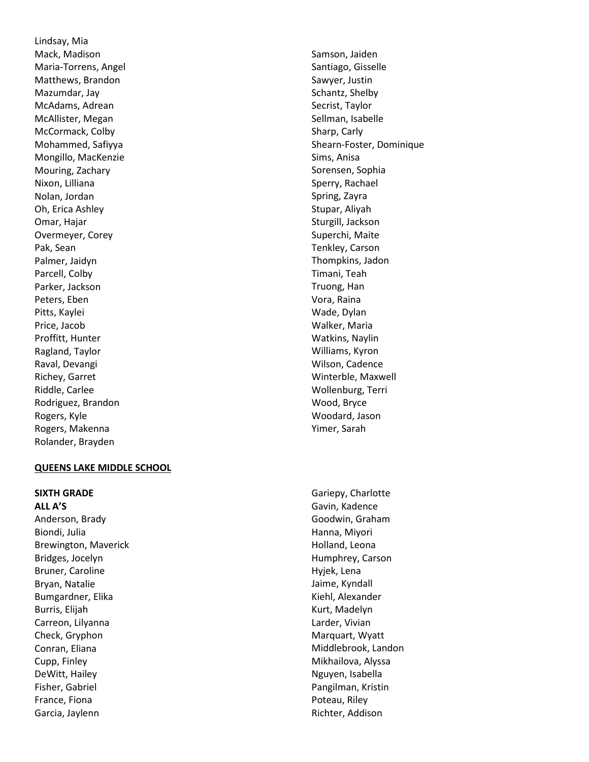Lindsay, Mia Mack, Madison Maria -Torrens, Angel Matthews, Brandon Mazumdar, Jay McAdams, Adrean McAllister, Megan McCormack, Colby Mohammed, Safiyya Mongillo, MacKenzie Mouring, Zachary Nixon, Lilliana Nolan, Jordan Oh, Erica Ashley Omar, Hajar Overmeyer, Corey Pak, Sean Palmer, Jaidyn Parcell, Colby Parker, Jackson Peters, Eben Pitts, Kaylei Price, Jacob Proffitt, Hunter Ragland, Taylor Raval, Devangi Richey, Garret Riddle, Carlee Rodriguez, Brandon Rogers, Kyle Rogers, Makenna Rolander, Brayden

#### **QUEENS LAKE MIDDLE SCHOOL**

**SIXTH GRADE**

**ALL A'S** Anderson, Brady Biondi, Julia Brewington, Maverick Bridges, Jocelyn Bruner, Caroline Bryan, Natalie Bumgardner, Elika Burris, Elijah Carreon, Lilyanna Check, Gryphon Conran, Eliana Cupp, Finley DeWitt, Hailey Fisher, Gabriel France, Fiona Garcia, Jaylenn

Samson, Jaiden Santiago, Gisselle Sawyer, Justin Schantz, Shelby Secrist, Taylor Sellman, Isabelle Sharp, Carly Shearn -Foster, Dominique Sims, Anisa Sorensen, Sophia Sperry, Rachael Spring, Zayra Stupar, Aliyah Sturgill, Jackson Superchi, Maite Tenkley, Carson Thompkins, Jadon Timani, Teah Truong, Han Vora, Raina Wade, Dylan Walker, Maria Watkins, Naylin Williams, Kyron Wilson, Cadence Winterble, Maxwell Wollenburg, Terri Wood, Bryce Woodard, Jason Yimer, Sarah

Gariepy, Charlotte Gavin, Kadence Goodwin, Graham Hanna, Miyori Holland, Leona Humphrey, Carson Hyjek, Lena Jaime, Kyndall Kiehl, Alexander Kurt, Madelyn Larder, Vivian Marquart, Wyatt Middlebrook, Landon Mikhailova, Alyssa Nguyen, Isabella Pangilman, Kristin Poteau, Riley Richter, Addison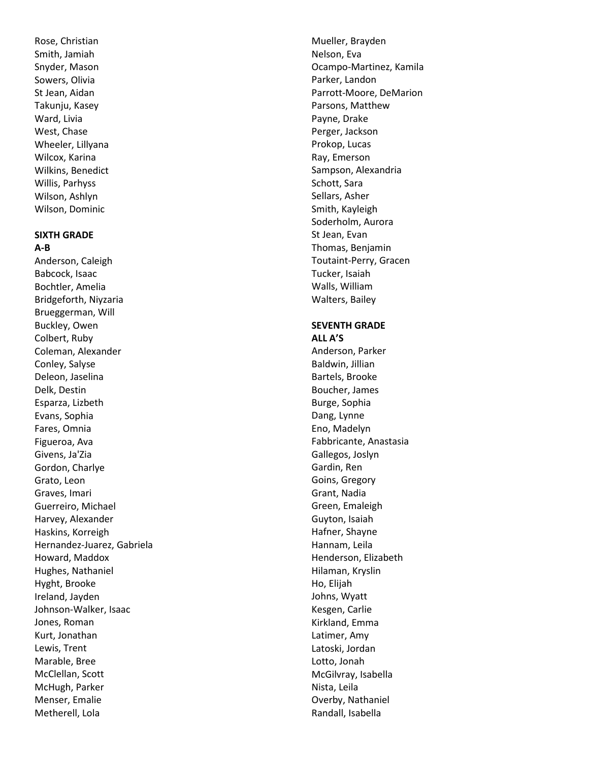Rose, Christian Smith, Jamiah Snyder, Mason Sowers, Olivia St Jean, Aidan Takunju, Kasey Ward, Livia West, Chase Wheeler, Lillyana Wilcox, Karina Wilkins, Benedict Willis, Parhyss Wilson, Ashlyn Wilson, Dominic

#### **SIXTH GRADE A-B**

Anderson, Caleigh Babcock, Isaac Bochtler, Amelia Bridgeforth, Niyzaria Brueggerman, Will Buckley, Owen Colbert, Ruby Coleman, Alexander Conley, Salyse Deleon, Jaselina Delk, Destin Esparza, Lizbeth Evans, Sophia Fares, Omnia Figueroa, Ava Givens, Ja'Zia Gordon, Charlye Grato, Leon Graves, Imari Guerreiro, Michael Harvey, Alexander Haskins, Korreigh Hernandez -Juarez, Gabriela Howard, Maddox Hughes, Nathaniel Hyght, Brooke Ireland, Jayden Johnson -Walker, Isaac Jones, Roman Kurt, Jonathan Lewis, Trent Marable, Bree McClellan, Scott McHugh, Parker Menser, Emalie Metherell, Lola

Mueller, Brayden Nelson, Eva Ocampo -Martinez, Kamila Parker, Landon Parrott -Moore, DeMarion Parsons, Matthew Payne, Drake Perger, Jackson Prokop, Lucas Ray, Emerson Sampson, Alexandria Schott, Sara Sellars, Asher Smith, Kayleigh Soderholm, Aurora St Jean, Evan Thomas, Benjamin Toutaint -Perry, Gracen Tucker, Isaiah Walls, William Walters, Bailey

#### **SEVENTH GRADE ALL A'S**

Anderson, Parker Baldwin, Jillian Bartels, Brooke Boucher, James Burge, Sophia Dang, Lynne Eno, Madelyn Fabbricante, Anastasia Gallegos, Joslyn Gardin, Ren Goins, Gregory Grant, Nadia Green, Emaleigh Guyton, Isaiah Hafner, Shayne Hannam, Leila Henderson, Elizabeth Hilaman, Kryslin Ho, Elijah Johns, Wyatt Kesgen, Carlie Kirkland, Emma Latimer, Amy Latoski, Jordan Lotto, Jonah McGilvray, Isabella Nista, Leila Overby, Nathaniel Randall, Isabella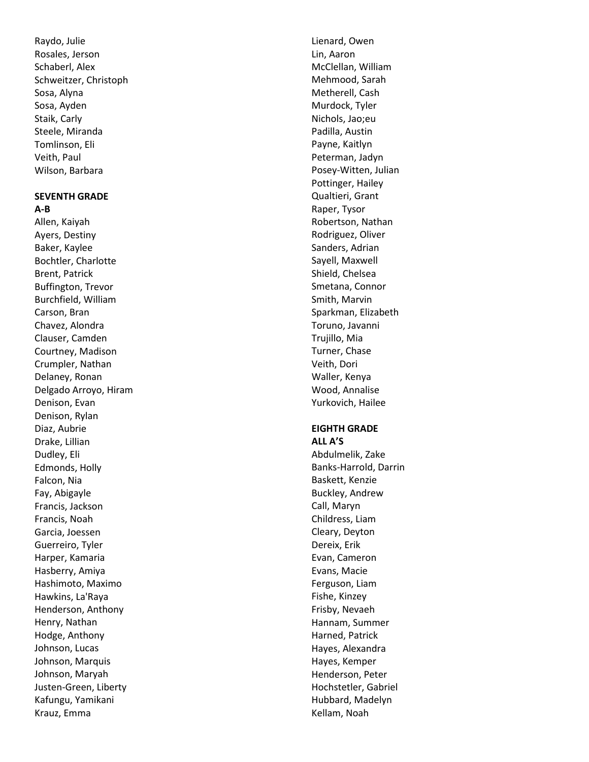Raydo, Julie Rosales, Jerson Schaberl, Alex Schweitzer, Christoph Sosa, Alyna Sosa, Ayden Staik, Carly Steele, Miranda Tomlinson, Eli Veith, Paul Wilson, Barbara

# **SEVENTH GRADE**

**A-B** Allen, Kaiyah Ayers, Destiny Baker, Kaylee Bochtler, Charlotte Brent, Patrick Buffington, Trevor Burchfield, William Carson, Bran Chavez, Alondra Clauser, Camden Courtney, Madison Crumpler, Nathan Delaney, Ronan Delgado Arroyo, Hiram Denison, Evan Denison, Rylan Diaz, Aubrie Drake, Lillian Dudley, Eli Edmonds, Holly Falcon, Nia Fay, Abigayle Francis, Jackson Francis, Noah Garcia, Joessen Guerreiro, Tyler Harper, Kamaria Hasberry, Amiya Hashimoto, Maximo Hawkins, La'Raya Henderson, Anthony Henry, Nathan Hodge, Anthony Johnson, Lucas Johnson, Marquis Johnson, Maryah Justen -Green, Liberty Kafungu, Yamikani Krauz, Emma

Lienard, Owen Lin, Aaron McClellan, William Mehmood, Sarah Metherell, Cash Murdock, Tyler Nichols, Jao;eu Padilla, Austin Payne, Kaitlyn Peterman, Jadyn Posey -Witten, Julian Pottinger, Hailey Qualtieri, Grant Raper, Tysor Robertson, Nathan Rodriguez, Oliver Sanders, Adrian Sayell, Maxwell Shield, Chelsea Smetana, Connor Smith, Marvin Sparkman, Elizabeth Toruno, Javanni Trujillo, Mia Turner, Chase Veith, Dori Waller, Kenya Wood, Annalise Yurkovich, Hailee

# **EIGHTH GRADE**

**ALL A'S** Abdulmelik, Zake Banks -Harrold, Darrin Baskett, Kenzie Buckley, Andrew Call, Maryn Childress, Liam Cleary, Deyton Dereix, Erik Evan, Cameron Evans, Macie Ferguson, Liam Fishe, Kinzey Frisby, Nevaeh Hannam, Summer Harned, Patrick Hayes, Alexandra Hayes, Kemper Henderson, Peter Hochstetler, Gabriel Hubbard, Madelyn Kellam, Noah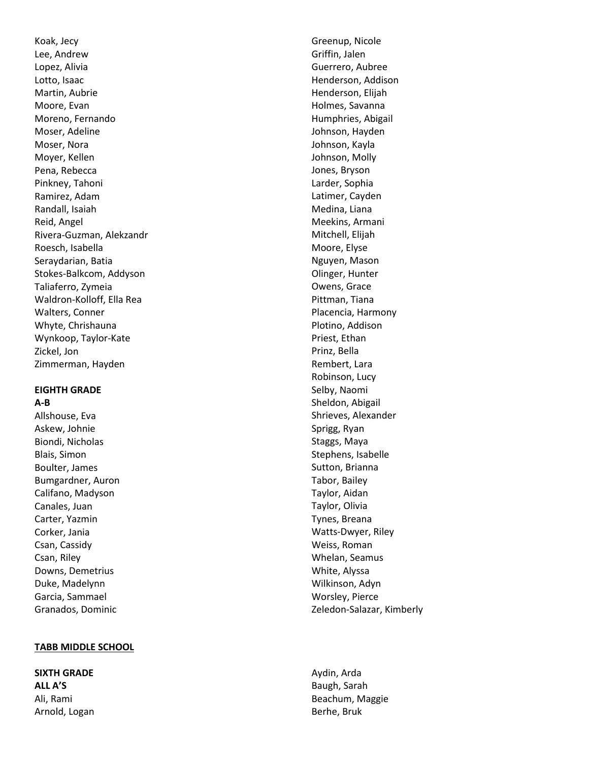Koak, Jecy Lee, Andrew Lopez, Alivia Lotto, Isaac Martin, Aubrie Moore, Evan Moreno, Fernando Moser, Adeline Moser, Nora Moyer, Kellen Pena, Rebecca Pinkney, Tahon i Ramirez, Adam Randall, Isaiah Reid, Angel Rivera -Guzman, Alekzandr Roesch, Isabella Seraydarian, Batia Stokes -Balkcom, Addyson Taliaferro, Zymeia Waldron -Kolloff, Ella Rea Walters, Conner Whyte, Chrishauna Wynkoop, Taylor -Kate Zickel, Jon Zimmerman, Hayden

#### **EIGHTH GRADE A-B**

Allshouse, Eva Askew, Johnie Biondi, Nicholas Blais, Simon Boulter, James Bumgardner, Auron Califano, Madyson Canales, Juan Carter, Yazmin Corker, Jania Csan, Cassidy Csan, Riley Downs, Demetrius Duke, Madelynn Garcia, Sammael Granados, Dominic

# **TABB MIDDLE SCHOOL**

**SIXTH GRADE ALL A'S** Ali, Rami Arnold, Logan

Greenup, Nicole Griffin, Jalen Guerrero, Aubree Henderson, Addison Henderson, Elijah Holmes, Savanna Humphries, Abigail Johnson, Hayden Johnson, Kayla Johnson, Molly Jones, Bryson Larder, Sophia Latimer, Cayden Medina, Liana Meekins, Armani Mitchell, Elijah Moore, Elyse Nguyen, Mason Olinger, Hunter Owens, Grace Pittman, Tiana Placencia, Harmony Plotino, Addison Priest, Ethan Prinz, Bella Rembert, Lara Robinson, Lucy Selby, Naomi Sheldon, Abigail Shrieves, Alexander Sprigg, Ryan Staggs, Maya Stephens, Isabelle Sutton, Brianna Tabor, Bailey Taylor, Aidan Taylor, Olivia Tynes, Breana Watts -Dwyer, Riley Weiss, Roman Whelan, Seamus White, Alyssa Wilkinson, Adyn Worsley, Pierce Zeledon -Salazar, Kimberly

Aydin, Arda Baugh, Sarah Beachum, Maggie Berhe, Bruk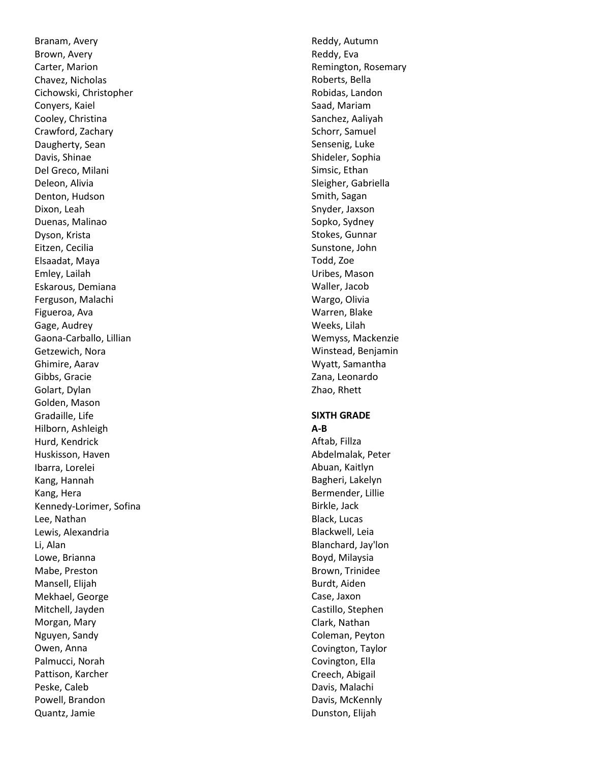Branam, Avery Brown, Avery Carter, Marion Chavez, Nicholas Cichowski, Christopher Conyers, Kaiel Cooley, Christina Crawford, Zachary Daugherty, Sean Davis, Shinae Del Greco, Milani Deleon, Alivia Denton, Hudson Dixon, Leah Duenas, Malinao Dyson, Krista Eitzen, Cecilia Elsaadat, Maya Emley, Lailah Eskarous, Demiana Ferguson, Malachi Figueroa, Ava Gage, Audrey Gaona -Carballo, Lillian Getzewich, Nora Ghimire, Aarav Gibbs, Gracie Golart, Dylan Golden, Mason Gradaille, Life Hilborn, Ashleigh Hurd, Kendrick Huskisson, Haven Ibarra, Lorelei Kang, Hannah Kang, Hera Kennedy -Lorimer, Sofina Lee, Nathan Lewis, Alexandria Li, Alan Lowe, Brianna Mabe, Preston Mansell, Elijah Mekhael, George Mitchell, Jayden Morgan, Mary Nguyen, Sandy Owen, Anna Palmucci, Norah Pattison, Karcher Peske, Caleb Powell, Brandon Quantz, Jamie

Reddy, Autumn Reddy, Eva Remington, Rosemary Roberts, Bella Robidas, Landon Saad, Mariam Sanchez, Aaliyah Schorr, Samuel Sensenig, Luke Shideler, Sophia Simsic, Ethan Sleigher, Gabriella Smith, Sagan Snyder, Jaxson Sopko, Sydney Stokes, Gunnar Sunstone, John Todd, Zoe Uribes, Mason Waller, Jacob Wargo, Olivia Warren, Blake Weeks, Lilah Wemyss, Mackenzie Winstead, Benjamin Wyatt, Samantha Zana, Leonardo Zhao, Rhett

#### **SIXTH GRADE A-B**

Aftab, Fillza Abdelmalak, Peter Abuan, Kaitlyn Bagheri, Lakelyn Bermender, Lillie Birkle, Jack Black, Lucas Blackwell, Leia Blanchard, Jay'lon Boyd, Milaysia Brown, Trinidee Burdt, Aiden Case, Jaxon Castillo, Stephen Clark, Nathan Coleman, Peyton Covington, Taylor Covington, Ella Creech, Abigail Davis, Malachi Davis, McKennly Dunston, Elijah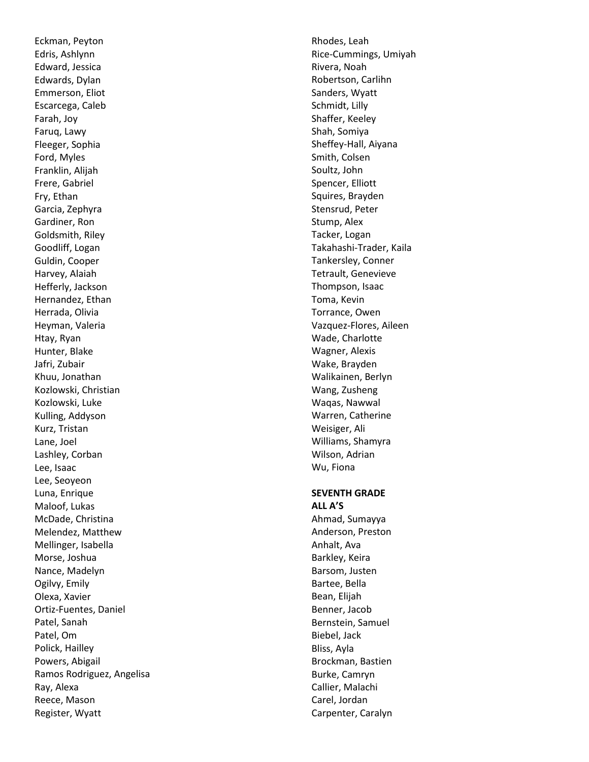Eckman, Peyton Edris, Ashlynn Edward, Jessica Edwards, Dylan Emmerson, Eliot Escarcega, Caleb Farah, Joy Faruq, Lawy Fleeger, Sophia Ford, Myles Franklin, Alijah Frere, Gabriel Fry, Ethan Garcia, Zephyra Gardiner, Ron Goldsmith, Riley Goodliff, Logan Guldin, Cooper Harvey, Alaiah Hefferly, Jackson Hernandez, Ethan Herrada, Olivia Heyman, Valeria Htay, Ryan Hunter, Blake Jafri, Zubair Khuu, Jonathan Kozlowski, Christian Kozlowski, Luke Kulling, Addyson Kurz, Tristan Lane, Joel Lashley, Corban Lee, Isaac Lee, Seoyeon Luna, Enrique Maloof, Lukas McDade, Christina Melendez, Matthew Mellinger, Isabella Morse, Joshua Nance, Madelyn Ogilvy, Emily Olexa, Xavier Ortiz -Fuentes, Daniel Patel, Sanah Patel, Om Polick, Hailley Powers, Abigail Ramos Rodriguez, Angelisa Ray, Alexa Reece, Mason Register, Wyatt

Rhodes, Leah Rice -Cummings, Umiyah Rivera, Noah Robertson, Carlihn Sanders, Wyatt Schmidt, Lilly Shaffer, Keeley Shah, Somiya Sheffey -Hall, Aiyana Smith, Colsen Soultz, John Spencer, Elliott Squires, Brayden Stensrud, Peter Stump, Alex Tacker, Logan Takahashi -Trader, Kaila Tankersley, Conner Tetrault, Genevieve Thompson, Isaac Toma, Kevin Torrance, Owen Vazquez -Flores, Aileen Wade, Charlotte Wagner, Alexis Wake, Brayden Walikainen, Berlyn Wang, Zusheng Waqas, Nawwal Warren, Catherine Weisiger, Ali Williams, Shamyra Wilson, Adrian Wu, Fiona

# **SEVENTH GRADE**

**ALL A'S** Ahmad, Sumayya Anderson, Preston Anhalt, Ava Barkley, Keira Barsom, Justen Bartee, Bella Bean, Elijah Benner, Jacob Bernstein, Samuel Biebel, Jack Bliss, Ayla Brockman, Bastien Burke, Camryn Callier, Malachi Carel, Jordan Carpenter, Caralyn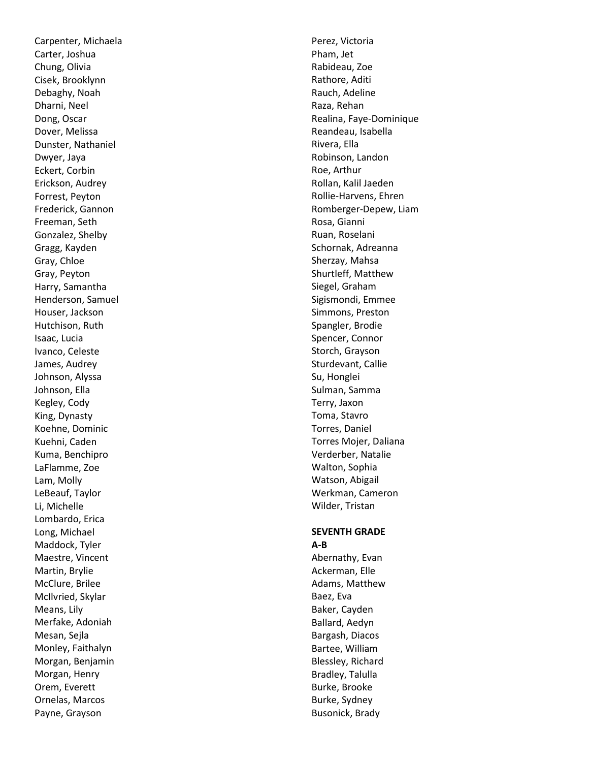Carpenter, Michaela Carter, Joshua Chung, Olivia Cisek, Brooklynn Debaghy, Noah Dharni, Neel Dong, Oscar Dover, Melissa Dunster, Nathaniel Dwyer, Jaya Eckert, Corbin Erickson, Audrey Forrest, Peyton Frederick, Gannon Freeman, Seth Gonzalez, Shelby Gragg, Kayden Gray, Chloe Gray, Peyton Harry, Samantha Henderson, Samuel Houser, Jackson Hutchison, Ruth Isaac, Lucia Ivanco, Celeste James, Audrey Johnson, Alyssa Johnson, Ella Kegley, Cody King, Dynasty Koehne, Dominic Kuehni, Caden Kuma, Benchipro LaFlamme, Zoe Lam, Molly LeBeauf, Taylor Li, Michelle Lombardo, Erica Long, Michael Maddock, Tyler Maestre, Vincent Martin, Brylie McClure, Brilee McIlvried, Skylar Means, Lily Merfake, Adoniah Mesan, Sejla Monley, Faithalyn Morgan, Benjamin Morgan, Henry Orem, Everett Ornelas, Marcos Payne, Grayson

Perez, Victoria Pham, Jet Rabideau, Zoe Rathore, Aditi Rauch, Adeline Raza, Rehan Realina, Faye -Dominique Reandeau, Isabella Rivera, Ella Robinson, Landon Roe, Arthur Rollan, Kalil Jaeden Rollie -Harvens, Ehren Romberger -Depew, Liam Rosa, Gianni Ruan, Roselani Schornak, Adreanna Sherzay, Mahsa Shurtleff, Matthew Siegel, Graham Sigismondi, Emmee Simmons, Preston Spangler, Brodie Spencer, Connor Storch, Grayson Sturdevant, Callie Su, Honglei Sulman, Samma Terry, Jaxon Toma, Stavro Torres, Daniel Torres Mojer, Daliana Verderber, Natalie Walton, Sophia Watson, Abigail Werkman, Cameron Wilder, Tristan

#### **SEVENTH GRADE A-B**

Abernathy, Evan Ackerman, Elle Adams, Matthew Baez, Eva Baker, Cayden Ballard, Aedyn Bargash, Diacos Bartee, William Blessley, Richard Bradley, Talulla Burke, Brooke Burke, Sydney Busonick, Brady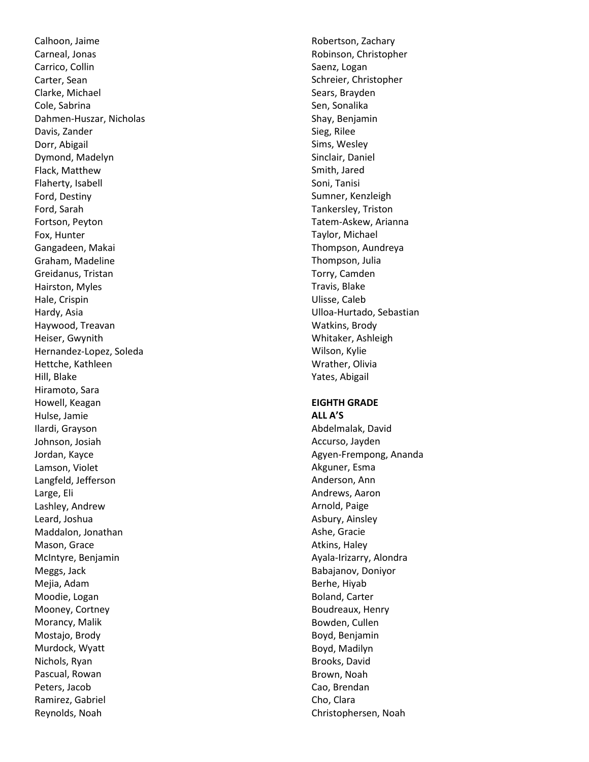Calhoon, Jaime Carneal, Jonas Carrico, Collin Carter, Sean Clarke, Michael Cole, Sabrina Dahmen -Huszar, Nicholas Davis, Zander Dorr, Abigail Dymond, Madelyn Flack, Matthew Flaherty, Isabell Ford, Destiny Ford, Sarah Fortson, Peyton Fox, Hunter Gangadeen, Makai Graham, Madeline Greidanus, Tristan Hairston, Myles Hale, Crispin Hardy, Asia Haywood, Treavan Heiser, Gwynith Hernandez -Lopez, Soleda Hettche, Kathleen Hill, Blake Hiramoto, Sara Howell, Keagan Hulse, Jamie Ilardi, Grayson Johnson, Josiah Jordan, Kayce Lamson, Violet Langfeld, Jefferson Large, Eli Lashley, Andrew Leard, Joshua Maddalon, Jonathan Mason, Grace McIntyre, Benjamin Meggs, Jack Mejia, Adam Moodie, Logan Mooney, Cortney Morancy, Malik Mostajo, Brody Murdock, Wyatt Nichols, Ryan Pascual, Rowan Peters, Jacob Ramirez, Gabriel Reynolds, Noah

Robertson, Zachary Robinson, Christopher Saenz, Logan Schreier, Christopher Sears, Brayden Sen, Sonalika Shay, Benjamin Sieg, Rilee Sims, Wesley Sinclair, Daniel Smith, Jared Soni, Tanisi Sumner, Kenzleigh Tankersley, Triston Tatem -Askew, Arianna Taylor, Michael Thompson, Aundreya Thompson, Julia Torry, Camden Travis, Blake Ulisse, Cale b Ulloa -Hurtado, Sebastian Watkins, Brody Whitaker, Ashleigh Wilson, Kylie Wrather, Olivia Yates, Abigail

#### **EIGHTH GRADE ALL A'S**

Abdelmalak, David Accurso, Jayden Agyen -Frempong, Ananda Akguner, Esma Anderson, Ann Andrews, Aaron Arnold, Paige Asbury, Ainsley Ashe, Gracie Atkins, Haley Ayala -Irizarry, Alondra Babajanov, Doniyor Berhe, Hiyab Boland, Carter Boudreaux, Henry Bowden, Cullen Boyd, Benjamin Boyd, Madilyn Brooks, David Brown, Noah Cao, Brendan Cho, Clara Christophersen, Noah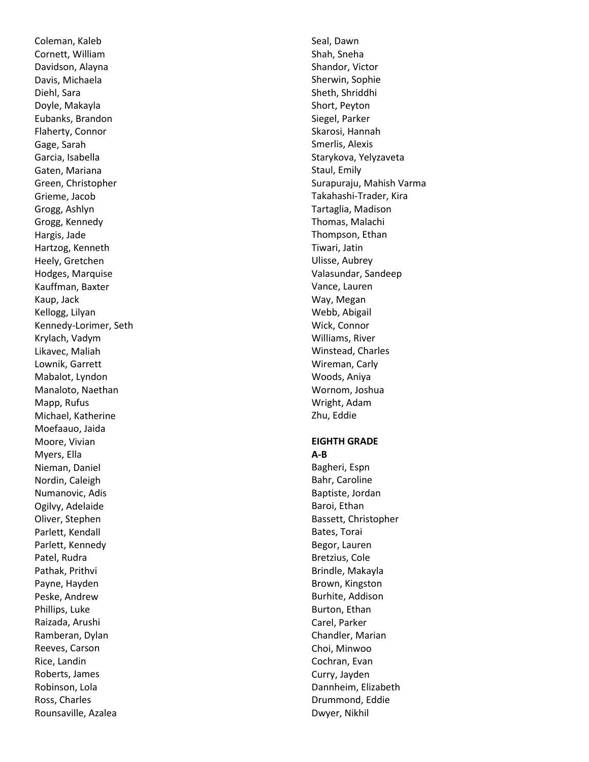Coleman, Kaleb Cornett, William Davidson, Alayna Davis, Michaela Diehl, Sara Doyle, Makayla Eubanks, Brandon Flaherty, Connor Gage, Sarah Garcia, Isabella Gaten, Mariana Green, Christopher Grieme, Jacob Grogg, Ashlyn Grogg, Kennedy Hargis, Jade Hartzog, Kenneth Heely, Gretchen Hodges, Marquise Kauffman, Baxter Kaup, Jack Kellogg, Lilyan Kennedy -Lorimer, Seth Krylach, Vadym Likavec, Maliah Lownik, Garrett Mabalot, Lyndon Manaloto, Naethan Mapp, Rufus Michael, Katherine Moefaauo, Jaida Moore, Vivian Myers, Ella Nieman, Daniel Nordin, Caleigh Numanovic, Adis Ogilvy, Adelaide Oliver, Stephen Parlett, Kendall Parlett, Kennedy Patel, Rudra Pathak, Prithvi Payne, Hayden Peske, Andrew Phillips, Luke Raizada, Arushi Ramberan, Dylan Reeves, Carson Rice, Landin Roberts, James Robinson, Lola Ross, Charles Rounsaville, Azalea

Seal, Dawn Shah, Sneha Shandor, Victor Sherwin, Sophie Sheth, Shriddhi Short, Peyton Siegel, Parker Skarosi, Hannah Smerlis, Alexis Starykova, Yelyzaveta Staul, Emily Surapuraju, Mahish Varma Takahashi -Trader, Kira Tartaglia, Madison Thomas, Malachi Thompson, Ethan Tiwari, Jatin Ulisse, Aubrey Valasundar, Sandeep Vance, Lauren Way, Megan Webb, Abigail Wick, Connor Williams, River Winstead, Charles Wireman, Carly Woods, Aniya Wornom, Joshua Wright, Adam Zhu, Eddie **EIGHTH GRADE**

**A-B** Bagheri, Espn Bahr, Caroline Baptiste, Jordan Baroi, Ethan Bassett, Christopher Bates, Torai Begor, Lauren Bretzius, Cole Brindle, Makayla Brown, Kingston Burhite, Addison Burton, Ethan Carel, Parker Chandler, Marian Choi, Minwoo Cochran, Evan Curry, Jayden Dannheim, Elizabeth Drummond, Eddie Dwyer, Nikhil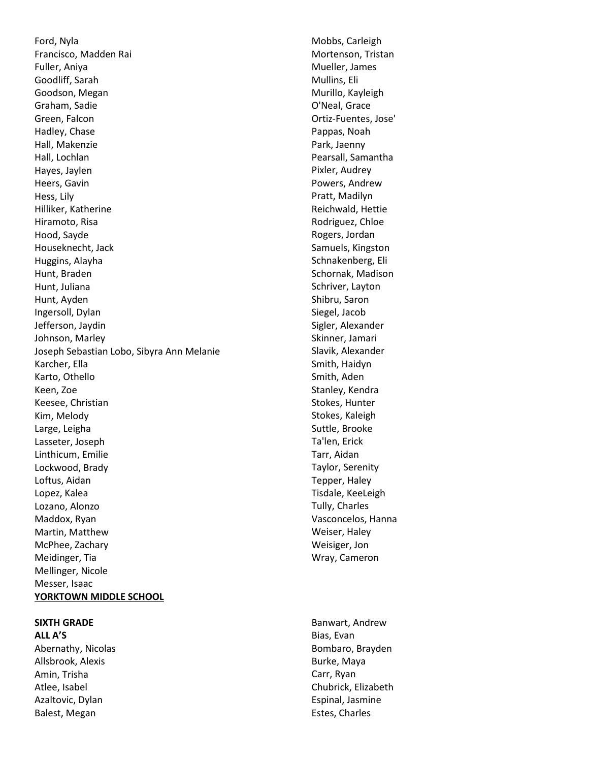Ford, Nyla Francisco, Madden Rai Fuller, Aniya Goodliff, Sarah Goodson, Megan Graham, Sadie Green, Falcon Hadley, Chase Hall, Makenzie Hall, Lochlan Hayes, Jaylen Heers, Gavin Hess, Lily Hilliker, Katherine Hiramoto, Risa Hood, Sayde Houseknecht, Jack Huggins, Alayha Hunt, Braden Hunt, Juliana Hunt, Ayden Ingersoll, Dylan Jefferson, Jaydin Johnson, Marley Joseph Sebastian Lobo, Sibyra Ann Melanie Karcher, Ella Karto, Othello Keen, Zoe Keesee, Christian Kim, Melody Large, Leigha Lasseter, Joseph Linthicum, Emilie Lockwood, Brady Loftus, Aidan Lopez, Kalea Lozano, Alonzo Maddox, Ryan Martin, Matthew McPhee, Zachary Meidinger, Tia Mellinger, Nicole Messer, Isaac **YORKTOWN MIDDLE SCHOOL**

#### **SIXTH GRADE ALL A'S**

Abernathy, Nicolas Allsbrook, Alexis Amin, Trisha Atlee, Isabel Azaltovic, Dylan Balest, Megan

Mobbs, Carleigh Mortenson, Tristan Mueller, James Mullins, Eli Murillo, Kayleigh O'Neal, Grace Ortiz-Fuentes, Jose' Pappas, Noah Park, Jaenny Pearsall, Samantha Pixler, Audrey Powers, Andrew Pratt, Madilyn Reichwald, Hettie Rodriguez, Chloe Rogers, Jordan Samuels, Kingston Schnakenberg, Eli Schornak, Madison Schriver, Layton Shibru, Saron Siegel, Jacob Sigler, Alexander Skinner, Jamari Slavik, Alexander Smith, Haidyn Smith, Aden Stanley, Kendra Stokes, Hunter Stokes, Kaleigh Suttle, Brooke Ta'len, Erick Tarr, Aidan Taylor, Serenity Tepper, Haley Tisdale, KeeLeigh Tully, Charles Vasconcelos, Hanna Weiser, Haley Weisiger, Jon Wray, Cameron

Banwart, Andrew Bias, Evan Bombaro, Brayden Burke, Maya Carr, Ryan Chubrick, Elizabeth Espinal, Jasmine Estes, Charles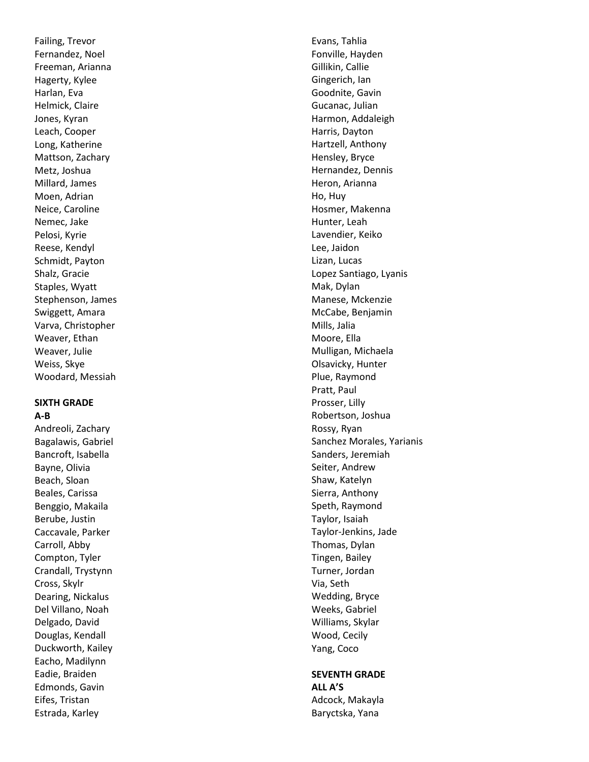Failing, Trevor Fernandez, Noel Freeman, Arianna Hagerty, Kylee Harlan, Eva Helmick, Claire Jones, Kyran Leach, Cooper Long, Katherine Mattson, Zachary Metz, Joshua Millard, James Moen, Adrian Neice, Caroline Nemec, Jake Pelosi, Kyrie Reese, Kendyl Schmidt, Payton Shalz, Gracie Staples, Wyatt Stephenson, James Swiggett, Amara Varva, Christopher Weaver, Ethan Weaver, Julie Weiss, Skye Woodard, Messiah

#### **SIXTH GRADE A-B**

Andreoli, Zachary Bagalawis, Gabriel Bancroft, Isabella Bayne, Olivia Beach, Sloan Beales, Carissa Benggio, Makaila Berube, Justin Caccavale, Parker Carroll, Abby Compton, Tyler Crandall, Trystynn Cross, Skylr Dearing, Nickalus Del Villano, Noah Delgado, David Douglas, Kendall Duckworth, Kailey Eacho, Madilynn Eadie, Braiden Edmonds, Gavin Eifes, Tristan Estrada, Karley

Evans, Tahlia Fonville, Hayden Gillikin, Callie Gingerich, Ian Goodnite, Gavin Gucanac, Julian Harmon, Addaleigh Harris, Dayton Hartzell, Anthony Hensley, Bryce Hernandez, Dennis Heron, Arianna Ho, Huy Hosmer, Makenna Hunter, Leah Lavendier, Keiko Lee, Jaidon Lizan, Lucas Lopez Santiago, Lyanis Mak, Dylan Manese, Mckenzie McCabe, Benjamin Mills, Jalia Moore, Ella Mulligan, Michaela Olsavicky, Hunter Plue, Raymond Pratt, Paul Prosser, Lilly Robertson, Joshua Rossy, Ryan Sanchez Morales, Yarianis Sanders, Jeremiah Seiter, Andrew Shaw, Katelyn Sierra, Anthony Speth, Raymond Taylor, Isaiah Taylor -Jenkins, Jade Thomas, Dylan Tingen, Bailey Turner, Jordan Via, Seth Wedding, Bryce Weeks, Gabriel Williams, Skylar Wood, Cecily Yang, Coco

#### **SEVENTH GRADE ALL A'S**

Adcock, Makayla Baryctska, Yana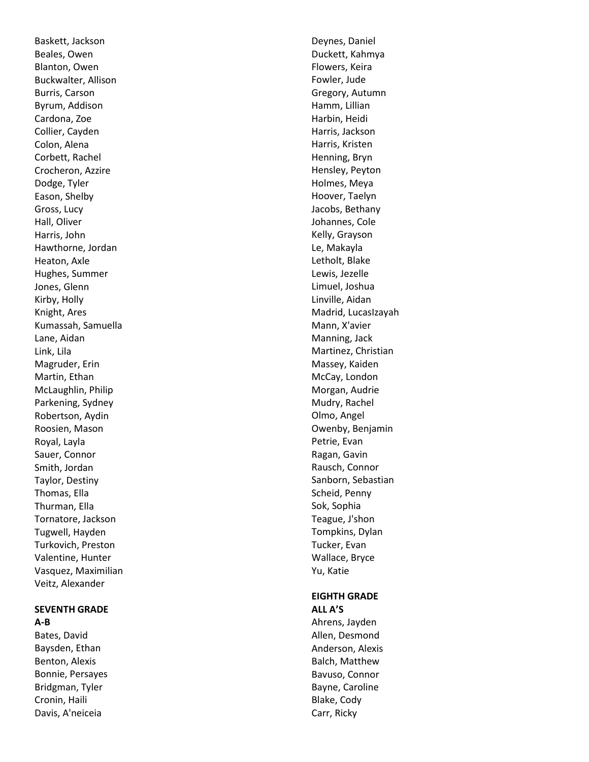Baskett, Jackson Beales, Owen Blanton, Owen Buckwalter, Allison Burris, Carson Byrum, Addison Cardona, Zoe Collier, Cayden Colon, Alena Corbett, Rachel Crocheron, Azzire Dodge, Tyler Eason, Shelby Gross, Lucy Hall, Oliver Harris, John Hawthorne, Jordan Heaton, Axle Hughes, Summer Jones, Glenn Kirby, Holly Knight, Ares Kumassah, Samuella Lane, Aidan Link, Lila Magruder, Erin Martin, Ethan McLaughlin, Philip Parkening, Sydney Robertson, Aydin Roosien, Mason Royal, Layla Sauer, Connor Smith, Jordan Taylor, Destiny Thomas, Ella Thurman, Ella Tornatore, Jackson Tugwell, Hayden Turkovich, Preston Valentine, Hunter Vasquez, Maximilian Veitz, Alexander

#### **SEVENTH GRADE A-B**

Bates, David Baysden, Ethan Benton, Alexis Bonnie, Persayes Bridgman, Tyler Cronin, Haili Davis, A'neiceia

Deynes, Daniel Duckett, Kahmya Flowers, Keira Fowler, Jude Gregory, Autumn Hamm, Lillian Harbin, Heidi Harris, Jackson Harris, Kristen Henning, Bryn Hensley, Peyton Holmes, Meya Hoover, Taelyn Jacobs, Bethany Johannes, Cole Kelly, Grayson Le, Makayla Letholt, Blake Lewis, Jezelle Limuel, Joshua Linville, Aidan Madrid, LucasIzayah Mann, X'avier Manning, Jack Martinez, Christian Massey, Kaiden McCay, London Morgan, Audrie Mudry, Rachel Olmo, Angel Owenby, Benjamin Petrie, Evan Ragan, Gavin Rausch, Connor Sanborn, Sebastian Scheid, Penny Sok, Sophia Teague, J'shon Tompkins, Dylan Tucker, Evan Wallace, Bryce Yu, Katie

#### **EIGHTH GRADE ALL A'S**

Ahrens, Jayden Allen, Desmond Anderson, Alexis Balch, Matthew Bavuso, Connor Bayne, Caroline Blake, Cody Carr, Ricky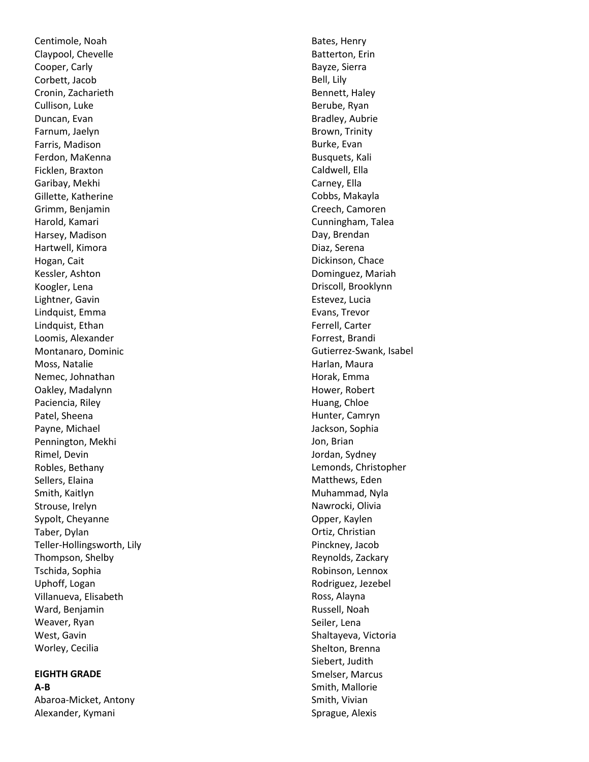Centimole, Noah Claypool, Chevelle Cooper, Carly Corbett, Jacob Cronin, Zacharieth Cullison, Luke Duncan, Evan Farnum, Jaelyn Farris, Madison Ferdon, MaKenna Ficklen, Braxton Garibay, Mekhi Gillette, Katherine Grimm, Benjamin Harold, Kamari Harsey, Madison Hartwell, Kimora Hogan, Cait Kessler, Ashton Koogler, Lena Lightner, Gavin Lindquist, Emma Lindquist, Ethan Loomis, Alexander Montanaro, Dominic Moss, Natalie Nemec, Johnathan Oakley, Madalynn Paciencia, Riley Patel, Sheena Payne, Michael Pennington, Mekhi Rimel, Devin Robles, Bethany Sellers, Elaina Smith, Kaitlyn Strouse, Irelyn Sypolt, Cheyanne Taber, Dylan Teller -Hollingsworth, Lily Thompson, Shelby Tschida, Sophia Uphoff, Logan Villanueva, Elisabeth Ward, Benjamin Weaver, Ryan West, Gavin Worley, Cecilia

# **EIGHTH GRADE**

**A-B** Abaroa -Micket, Antony Alexander, Kymani

Bates, Henry Batterton, Erin Bayze, Sierra Bell, Lily Bennett, Haley Berube, Ryan Bradley, Aubrie Brown, Trinity Burke, Evan Busquets, Kali Caldwell, Ella Carney, Ella Cobbs, Makayla Creech, Camoren Cunningham, Talea Day, Brendan Diaz, Serena Dickinson, Chace Dominguez, Mariah Driscoll, Brooklynn Estevez, Lucia Evans, Trevor Ferrell, Carter Forrest, Brandi Gutierrez -Swank, Isabel Harlan, Maura Horak, Emma Hower, Robert Huang, Chloe Hunter, Camryn Jackson, Sophia Jon, Brian Jordan, Sydney Lemonds, Christopher Matthews, Eden Muhammad, Nyla Nawrocki, Olivia Opper, Kaylen Ortiz, Christian Pinckney, Jacob Reynolds, Zackary Robinson, Lennox Rodriguez, Jezebel Ross, Alayna Russell, Noah Seiler, Lena Shaltayeva, Victoria Shelton, Brenna Siebert, Judith Smelser, Marcus Smith, Mallorie Smith, Vivian Sprague, Alexis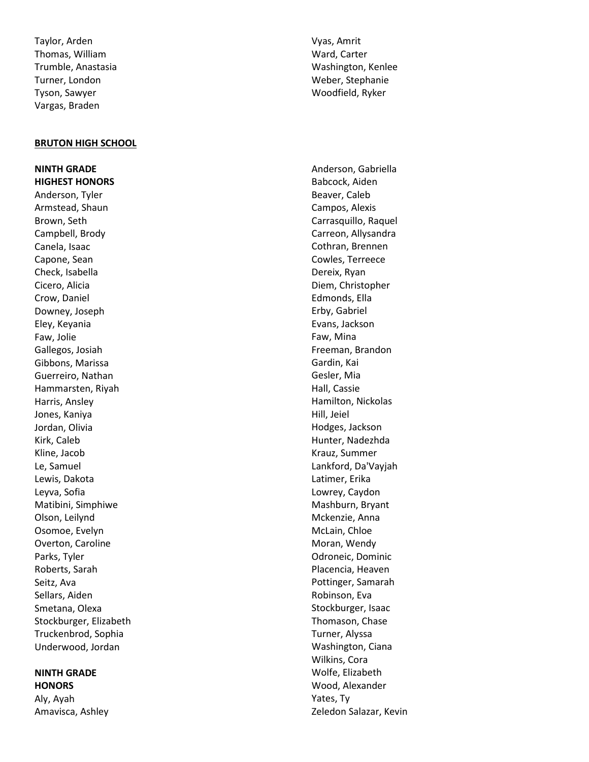Taylor, Arden Thomas, William Trumble, Anastasia Turner, London Tyson, Sawyer Vargas, Braden

#### **BRUTON HIGH SCHOOL**

**NINTH GRADE HIGHEST HONORS**  Anderson, Tyler Armstead, Shaun Brown, Seth Campbell, Brody Canela, Isaac Capone, Sean Check, Isabella Cicero, Alicia Crow, Daniel Downey, Joseph Eley, Keyania Faw, Jolie Gallegos, Josiah Gibbons, Marissa Guerreiro, Nathan Hammarsten, Riyah Harris, Ansley Jones, Kaniya Jordan, Olivia Kirk, Caleb Kline, Jacob Le, Samuel Lewis, Dakota Leyva, Sofia Matibini, Simphiwe Olson, Leilynd Osomoe, Evelyn Overton, Caroline Parks, Tyler Roberts, Sarah Seitz, Ava Sellars, Aiden Smetana, Olexa Stockburger, Elizabeth Truckenbrod, Sophia Underwood, Jordan

# **NINTH GRADE HONORS**

Aly, Ayah Amavisca, Ashley Vyas, Amrit Ward, Carter Washington, Kenlee Weber, Stephanie Woodfield, Ryker

Anderson, Gabriella Babcock, Aiden Beaver, Caleb Campos, Alexis Carrasquillo, Raquel Carreon, Allysandra Cothran, Brennen Cowles, Terreece Dereix, Ryan Diem, Christopher Edmonds, Ella Erby, Gabriel Evans, Jackson Faw, Mina Freeman, Brandon Gardin, Kai Gesler, Mia Hall, Cassie Hamilton, Nickolas Hill, Jeiel Hodges, Jackson Hunter, Nadezhda Krauz, Summer Lankford, Da'Vayjah Latimer, Erika Lowrey, Caydon Mashburn, Bryant Mckenzie, Anna McLain, Chloe Moran, Wendy Odroneic, Dominic Placencia, Heaven Pottinger, Samarah Robinson, Eva Stockburger, Isaac Thomason, Chase Turner, Alyssa Washington, Ciana Wilkins, Cora Wolfe, Elizabeth Wood, Alexander Yates, Ty Zeledon Salazar, Kevin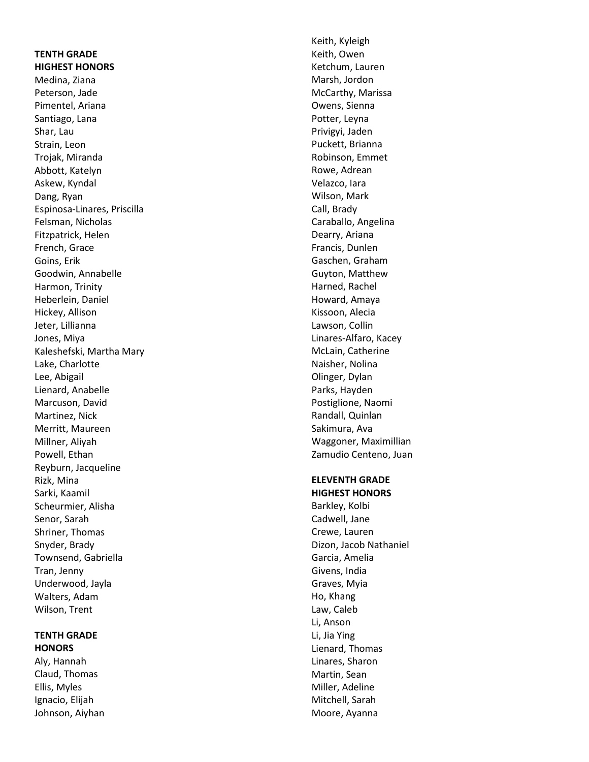# **TENTH GRADE HIGHEST HONORS**  Medina, Ziana Peterson, Jade Pimentel, Ariana Santiago, Lana

Shar, Lau Strain, Leon Trojak, Miranda Abbott, Katelyn Askew, Kyndal Dang, Ryan Espinosa -Linares, Priscilla Felsman, Nicholas Fitzpatrick, Helen French, Grace Goins, Erik Goodwin, Annabelle Harmon, Trinity Heberlein, Daniel Hickey, Allison Jeter, Lillianna Jones, Miya Kaleshefski, Martha Mary Lake, Charlotte Lee, Abigail Lienard, Anabelle Marcuson, David Martinez, Nick Merritt, Maureen Millner, Aliyah Powell, Ethan Reyburn, Jacqueline Rizk, Mina Sarki, Kaamil Scheurmier, Alisha Senor, Sarah Shriner, Thomas Snyder, Brady Townsend, Gabriella Tran, Jenny Underwood, Jayla Walters, Adam Wilson, Trent

# **TENTH GRADE HONORS**

Aly, Hannah Claud, Thomas Ellis, Myles Ignacio, Elijah Johnson, Aiyhan

Keith, Kyleigh Keith, Owen Ketchum, Lauren Marsh, Jordon McCarthy, Marissa Owens, Sienna Potter, Leyna Privigyi, Jaden Puckett, Brianna Robinson, Emmet Rowe, Adrean Velazco, Iara Wilson, Mark Call, Brady Caraballo, Angelina Dearry, Ariana Francis, Dunlen Gaschen, Graham Guyton, Matthew Harned, Rachel Howard, Amaya Kissoon, Alecia Lawson, Collin Linares -Alfaro, Kacey McLain, Catherine Naisher, Nolina Olinger, Dylan Parks, Hayden Postiglione, Naomi Randall, Quinlan Sakimura, Ava Waggoner, Maximillian Zamudio Centeno, Juan

#### **ELEVENTH GRADE HIGHEST HONORS**

Barkley, Kolbi Cadwell, Jane Crewe, Lauren Dizon, Jacob Nathaniel Garcia, Amelia Givens, India Graves, Myia Ho, Khang Law, Caleb Li, Anson Li, Jia Ying Lienard, Thomas Linares, Sharon Martin, Sean Miller, Adeline Mitchell, Sarah Moore, Ayanna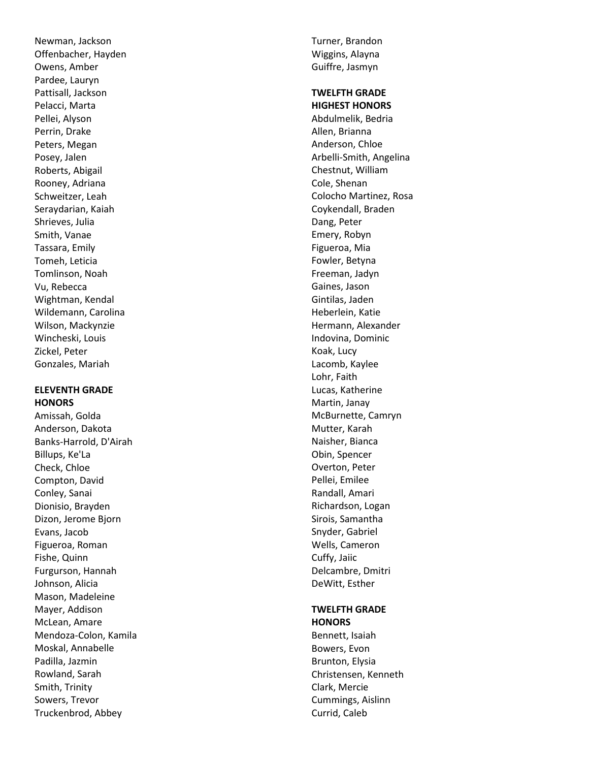Newman, Jackson Offenbacher, Hayden Owens, Amber Pardee, Lauryn Pattisall, Jackson Pelacci, Marta Pellei, Alyson Perrin, Drake Peters, Megan Posey, Jalen Roberts, Abigail Rooney, Adriana Schweitzer, Leah Seraydarian, Kaiah Shrieves, Julia Smith, Vanae Tassara, Emily Tomeh, Leticia Tomlinson, Noah Vu, Rebecca Wightman, Kendal Wildemann, Carolina Wilson, Mackynzie Wincheski, Louis Zickel, Peter Gonzales, Mariah

#### **ELEVENTH GRADE HONORS**

Amissah, Golda Anderson, Dakota Banks -Harrold, D'Airah Billups, Ke'La Check, Chloe Compton, David Conley, Sanai Dionisio, Brayden Dizon, Jerome Bjorn Evans, Jacob Figueroa, Roman Fishe, Quinn Furgurson, Hannah Johnson, Alicia Mason, Madeleine Mayer, Addison McLean, Amare Mendoza -Colon, Kamila Moskal, Annabelle Padilla, Jazmin Rowland, Sarah Smith, Trinity Sowers, Trevor Truckenbrod, Abbey

Turner, Brandon Wiggins, Alayna Guiffre, Jasmyn

#### **TWELFTH GRADE HIGHEST HONORS**

Abdulmelik, Bedria Allen, Brianna Anderson, Chloe Arbelli -Smith, Angelina Chestnut, William Cole, Shenan Colocho Martinez, Rosa Coykendall, Braden Dang, Peter Emery, Robyn Figueroa, Mia Fowler, Betyna Freeman, Jadyn Gaines, Jason Gintilas, Jaden Heberlein, Katie Hermann, Alexander Indovina, Dominic Koak, Lucy Lacomb, Kaylee Lohr, Faith Lucas, Katherine Martin, Janay McBurnette, Camryn Mutter, Karah Naisher, Bianca Obin, Spencer Overton, Peter Pellei, Emilee Randall, Amari Richardson, Logan Sirois, Samantha Snyder, Gabriel Wells, Cameron Cuffy, Jaiic Delcambre, Dmitri DeWitt, Esther

# **TWELFTH GRADE HONORS**

Bennett, Isaiah Bowers, Evon Brunton, Elysia Christensen, Kenneth Clark, Mercie Cummings, Aislinn Currid, Caleb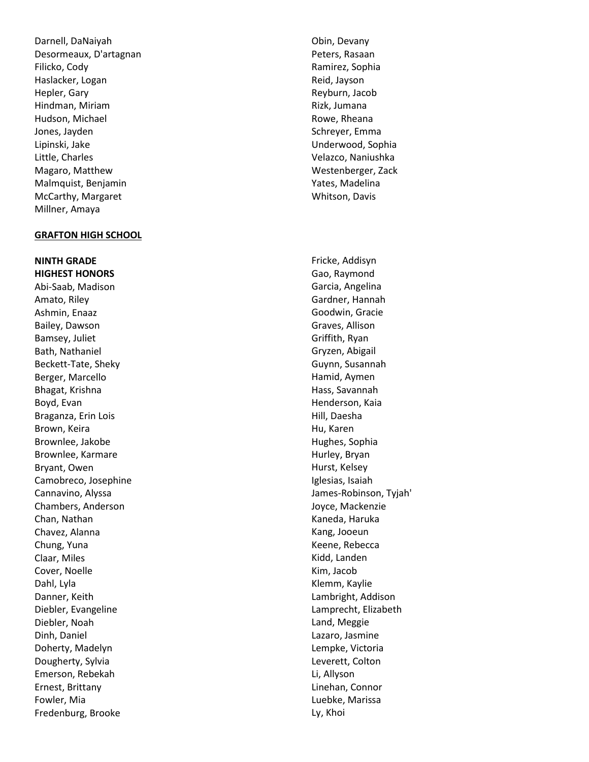Darnell, DaNaiyah Desormeaux, D'artagnan Filicko, Cody Haslacker, Logan Hepler, Gary Hindman, Miriam Hudson, Michael Jones, Jayden Lipinski, Jake Little, Charles Magaro, Matthew Malmquist, Benjamin McCarthy, Margaret Millner, Amaya

#### **GRAFTON HIGH SCHOOL**

**NINTH GRADE HIGHEST HONORS**  Abi -Saab, Madison Amato, Riley Ashmin, Enaaz Bailey, Dawson Bamsey, Juliet Bath, Nathaniel Beckett -Tate, Sheky Berger, Marcello Bhagat, Krishna Boyd, Evan Braganza, Erin Lois Brown, Keira Brownlee, Jakobe Brownlee, Karmare Bryant, Owen Camobreco, Josephine Cannavino, Alyssa Chambers, Anderson Chan, Nathan Chavez, Alanna Chung, Yuna Claar, Miles Cover, Noelle Dahl, Lyla Danner, Keith Diebler, Evangeline Diebler, Noah Dinh, Daniel Doherty, Madelyn Dougherty, Sylvia Emerson, Rebekah Ernest, Brittany Fowler, Mia Fredenburg, Brooke

Obin, Devany Peters, Rasaan Ramirez, Sophia Reid, Jayson Reyburn, Jacob Rizk, Jumana Rowe, Rheana Schreyer, Emma Underwood, Sophia Velazco, Naniushka Westenberger, Zack Yates, Madelina Whitson, Davis

Fricke, Addisyn Gao, Raymond Garcia, Angelina Gardner, Hannah Goodwin, Gracie Graves, Allison Griffith, Ryan Gryzen, Abigail Guynn, Susannah Hamid, Aymen Hass, Savannah Henderson, Kaia Hill, Daesha Hu, Karen Hughes, Sophia Hurley, Bryan Hurst, Kelsey Iglesias, Isaiah James -Robinson, Tyjah' Joyce, Mackenzie Kaneda, Haruka Kang, Jooeun Keene, Rebecca Kidd, Landen Kim, Jacob Klemm, Kaylie Lambright, Addison Lamprecht, Elizabeth Land, Meggie Lazaro, Jasmine Lempke, Victoria Leverett, Colton Li, Allyson Linehan, Connor Luebke, Marissa Ly, Khoi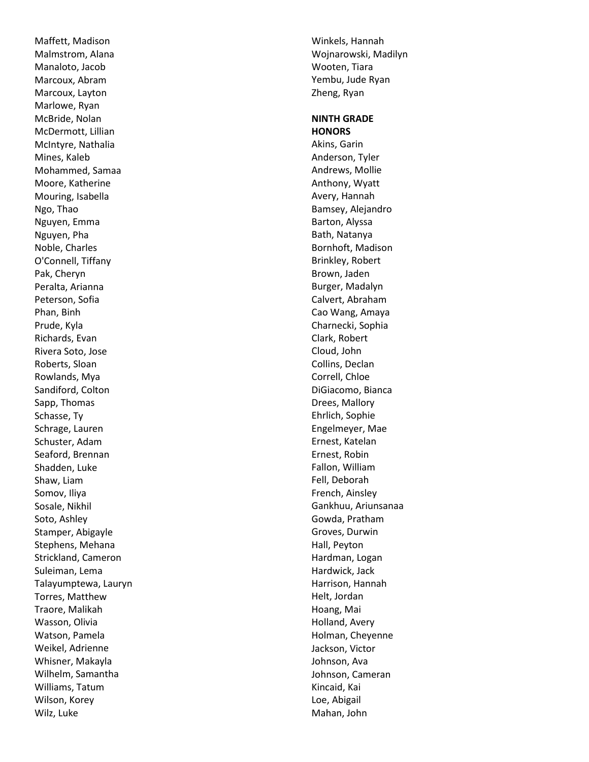Maffett, Madison Malmstrom, Alana Manaloto, Jacob Marcoux, Abram Marcoux, Layton Marlowe, Ryan McBride, Nolan McDermott, Lillian McIntyre, Nathalia Mines, Kaleb Mohammed, Samaa Moore, Katherine Mouring, Isabella Ngo, Thao Nguyen, Emma Nguyen, Pha Noble, Charles O'Connell, Tiffany Pak, Cheryn Peralta, Arianna Peterson, Sofia Phan, Binh Prude, Kyla Richards, Evan Rivera Soto, Jose Roberts, Sloan Rowlands, Mya Sandiford, Colton Sapp, Thomas Schasse, Ty Schrage, Lauren Schuster, Adam Seaford, Brennan Shadden, Luke Shaw, Liam Somov, Iliya Sosale, Nikhil Soto, Ashley Stamper, Abigayle Stephens, Mehana Strickland, Cameron Suleiman, Lema Talayumptewa, Lauryn Torres, Matthew Traore, Malikah Wasson, Olivia Watson, Pamela Weikel, Adrienne Whisner, Makayla Wilhelm, Samantha Williams, Tatum Wilson, Korey Wilz, Luke

Winkels, Hannah Wojnarowski, Madilyn Wooten, Tiara Yembu, Jude Ryan Zheng, Ryan

# **NINTH GRADE HONORS**  Akins, Garin Anderson, Tyler Andrews, Mollie Anthony, Wyatt Avery, Hannah Bamsey, Alejandro Barton, Alyssa Bath, Natanya Bornhoft, Madison Brinkley, Robert Brown, Jaden Burger, Madalyn Calvert, Abraham Cao Wang, Amaya Charnecki, Sophia Clark, Robert Cloud, John Collins, Declan Correll, Chloe DiGiacomo, Bianca Drees, Mallory Ehrlich, Sophie Engelmeyer, Mae Ernest, Katelan Ernest, Robin Fallon, William Fell, Deborah French, Ainsley Gankhuu, Ariunsanaa Gowda, Pratham Groves, Durwin Hall, Peyton Hardman, Logan Hardwick, Jack Harrison, Hannah Helt, Jordan Hoang, Mai Holland, Avery Holman, Cheyenne Jackson, Victor Johnson, Ava Johnson, Cameran Kincaid, Kai Loe, Abigail Mahan, John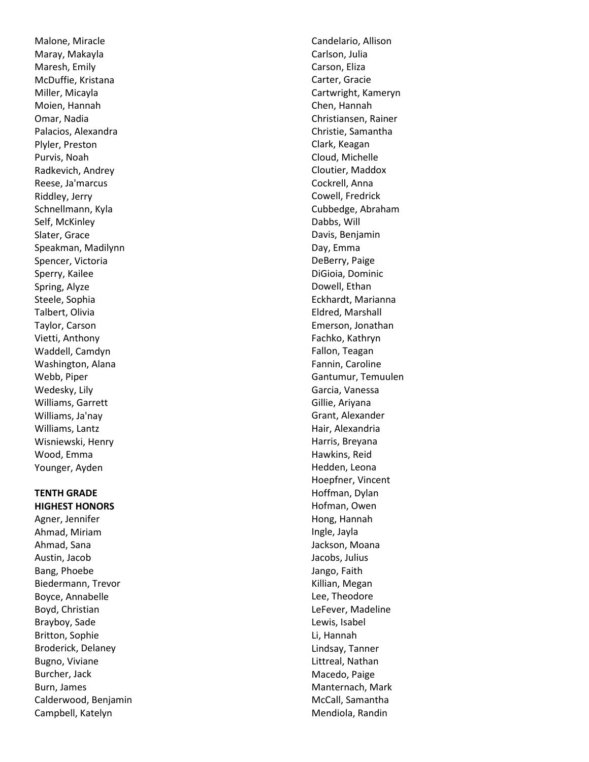Malone, Miracle Maray, Makayla Maresh, Emily McDuffie, Kristana Miller, Micayla Moien, Hannah Omar, Nadia Palacios, Alexandra Plyler, Preston Purvis, Noah Radkevich, Andrey Reese, Ja'marcus Riddley, Jerry Schnellmann, Kyla Self, McKinley Slater, Grace Speakman, Madilynn Spencer, Victoria Sperry, Kailee Spring, Alyze Steele, Sophia Talbert, Olivia Taylor, Carson Vietti, Anthony Waddell, Camdyn Washington, Alana Webb, Piper Wedesky, Lily Williams, Garrett Williams, Ja'nay Williams, Lantz Wisniewski, Henry Wood, Emma Younger, Ayden

#### **TENTH GRADE HIGHEST HONORS**

Agner, Jennifer Ahmad, Miriam Ahmad, Sana Austin, Jacob Bang, Phoebe Biedermann, Trevor Boyce, Annabelle Boyd, Christian Brayboy, Sade Britton, Sophie Broderick, Delaney Bugno, Viviane Burcher, Jack Burn, James Calderwood, Benjamin Campbell, Katelyn

Candelario, Allison Carlson, Julia Carson, Eliza Carter, Gracie Cartwright, Kameryn Chen, Hannah Christiansen, Rainer Christie, Samantha Clark, Keagan Cloud, Michelle Cloutier, Maddox Cockrell, Anna Cowell, Fredrick Cubbedge, Abraham Dabbs, Will Davis, Benjamin Day, Emma DeBerry, Paige DiGioia, Dominic Dowell, Ethan Eckhardt, Marianna Eldred, Marshall Emerson, Jonathan Fachko, Kathryn Fallon, Teagan Fannin, Caroline Gantumur, Temuulen Garcia, Vanessa Gillie, Ariyana Grant, Alexander Hair, Alexandria Harris, Breyana Hawkins, Reid Hedden, Leona Hoepfner, Vincent Hoffman, Dylan Hofman, Owen Hong, Hannah Ingle, Jayla Jackson, Moana Jacobs, Julius Jango, Faith Killian, Megan Lee, Theodore LeFever, Madeline Lewis, Isabel Li, Hannah Lindsay, Tanner Littreal, Nathan Macedo, Paige Manternach, Mark McCall, Samantha Mendiola, Randin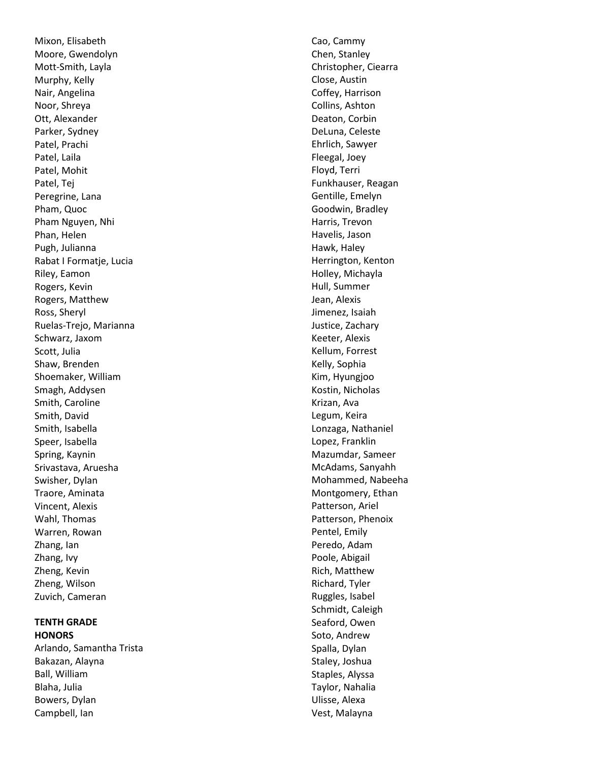Mixon, Elisabeth Moore, Gwendolyn Mott -Smith, Layla Murphy, Kelly Nair, Angelina Noor, Shreya Ott, Alexander Parker, Sydney Patel, Prachi Patel, Laila Patel, Mohit Patel, Tej Peregrine, Lana Pham, Quoc Pham Nguyen, Nhi Phan, Helen Pugh, Julianna Rabat I Formatje, Lucia Riley, Eamon Rogers, Kevin Rogers, Matthew Ross, Sheryl Ruelas -Trejo, Marianna Schwarz, Jaxom Scott, Julia Shaw, Brenden Shoemaker, William Smagh, Addysen Smith, Caroline Smith, David Smith, Isabella Speer, Isabella Spring, Kaynin Srivastava, Aruesha Swisher, Dylan Traore, Aminata Vincent, Alexis Wahl, Thomas Warren, Rowan Zhang, Ian Zhang, Ivy Zheng, Kevin Zheng, Wilson Zuvich, Cameran

# **TENTH GRADE HONORS**

Arlando, Samantha Trista Bakazan, Alayna Ball, William Blaha, Julia Bowers, Dylan Campbell, Ian

Cao, Cammy Chen, Stanley Christopher, Ciearra Close, Austin Coffey, Harrison Collins, Ashton Deaton, Corbin DeLuna, Celeste Ehrlich, Sawyer Fleegal, Joey Floyd, Terri Funkhauser, Reagan Gentille, Emelyn Goodwin, Bradley Harris, Trevon Havelis, Jason Hawk, Haley Herrington, Kenton Holley, Michayla Hull, Summer Jean, Alexis Jimenez, Isaiah Justice, Zachary Keeter, Alexis Kellum, Forrest Kelly, Sophia Kim, Hyungjoo Kostin, Nicholas Krizan, Ava Legum, Keira Lonzaga, Nathaniel Lopez, Franklin Mazumdar, Sameer McAdams, Sanyahh Mohammed, Nabeeha Montgomery, Ethan Patterson, Ariel Patterson, Phenoix Pentel, Emily Peredo, Adam Poole, Abigail Rich, Matthew Richard, Tyler Ruggles, Isabel Schmidt, Caleigh Seaford, Owen Soto, Andrew Spalla, Dylan Staley, Joshua Staples, Alyssa Taylor, Nahalia Ulisse, Alexa Vest, Malayna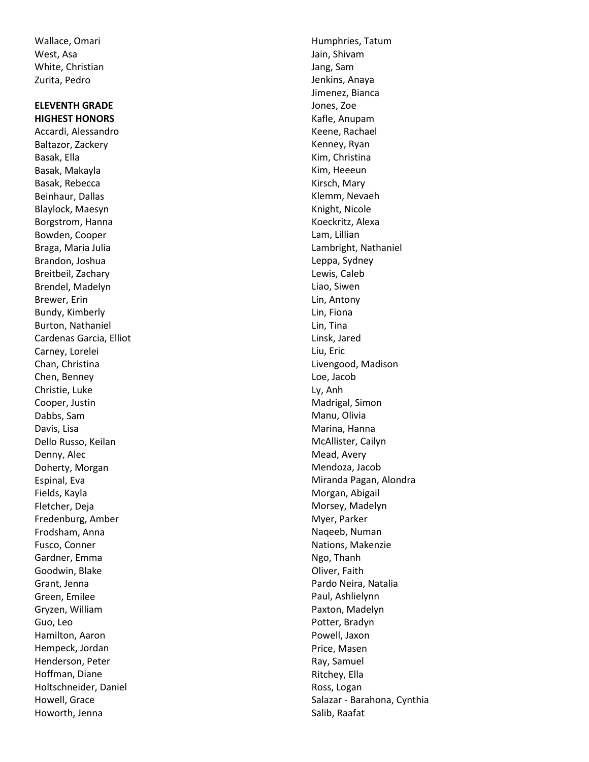Wallace, Omari West, Asa White, Christian Zurita, Pedro

# **ELEVENTH GRADE HIGHEST HONORS**

Accardi, Alessandro Baltazor, Zackery Basak, Ella Basak, Makayla Basak, Rebecca Beinhaur, Dallas Blaylock, Maesyn Borgstrom, Hanna Bowden, Cooper Braga, Maria Julia Brandon, Joshua Breitbeil, Zachary Brendel, Madelyn Brewer, Erin Bundy, Kimberly Burton, Nathaniel Cardenas Garcia, Elliot Carney, Lorelei Chan, Christina Chen, Benney Christie, Luke Cooper, Justin Dabbs, Sam Davis, Lisa Dello Russo, Keilan Denny, Alec Doherty, Morgan Espinal, Eva Fields, Kayla Fletcher, Deja Fredenburg, Amber Frodsham, Anna Fusco, Conner Gardner, Emma Goodwin, Blake Grant, Jenna Green, Emilee Gryzen, William Guo, Leo Hamilton, Aaron Hempeck, Jordan Henderson, Peter Hoffman, Diane Holtschneider, Daniel Howell, Grace Howorth, Jenna

Humphries, Tatum Jain, Shivam Jang, Sam Jenkins, Anaya Jimenez, Bianca Jones, Zoe Kafle, Anupam Keene, Rachael Kenney, Ryan Kim, Christina Kim, Heeeun Kirsch, Mary Klemm, Nevaeh Knight, Nicole Koeckritz, Alexa Lam, Lillian Lambright, Nathaniel Leppa, Sydney Lewis, Caleb Liao, Siwen Lin, Antony Lin, Fiona Lin, Tina Linsk, Jared Liu, Eric Livengood, Madison Loe, Jacob Ly, Anh Madrigal, Simon Manu, Olivia Marina, Hanna McAllister, Cailyn Mead, Avery Mendoza, Jacob Miranda Pagan, Alondra Morgan, Abigail Morsey, Madelyn Myer, Parker Naqeeb, Numan Nations, Makenzie Ngo, Thanh Oliver, Faith Pardo Neira, Natalia Paul, Ashlielynn Paxton, Madelyn Potter, Bradyn Powell, Jaxon Price, Masen Ray, Samuel Ritchey, Ella Ross, Logan Salazar - Barahona, Cynthia Salib, Raafat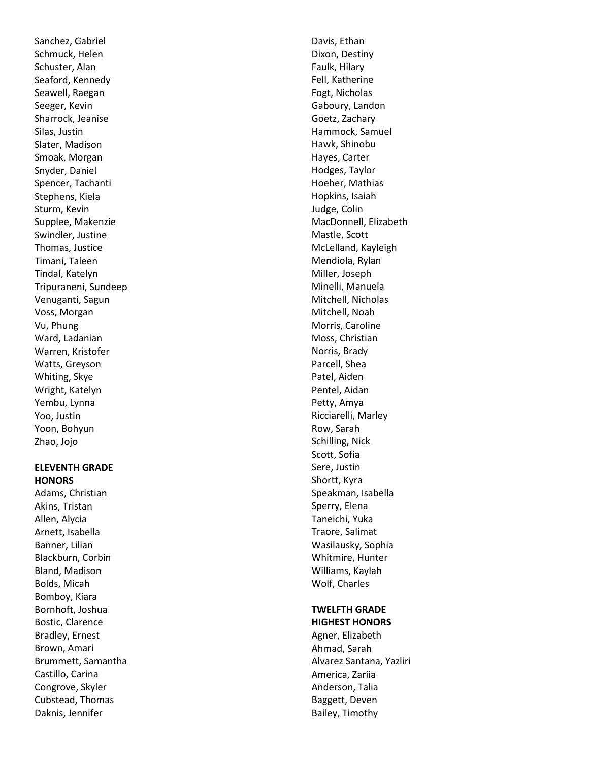Sanchez, Gabriel Schmuck, Helen Schuster, Alan Seaford, Kennedy Seawell, Raegan Seeger, Kevin Sharrock, Jeanise Silas, Justin Slater, Madison Smoak, Morgan Snyder, Daniel Spencer, Tachanti Stephens, Kiela Sturm, Kevin Supplee, Makenzie Swindler, Justine Thomas, Justice Timani, Taleen Tindal, Katelyn Tripuraneni, Sundeep Venuganti, Sagun Voss, Morgan Vu, Phung Ward, Ladanian Warren, Kristofer Watts, Greyson Whiting, Skye Wright, Katelyn Yembu, Lynna Yoo, Justin Yoon, Bohyun Zhao, Jojo

#### **ELEVENTH GRADE HONORS**

Adams, Christian Akins, Tristan Allen, Alycia Arnett, Isabella Banner, Lilian Blackburn, Corbin Bland, Madison Bolds, Micah Bomboy, Kiara Bornhoft, Joshua Bostic, Clarence Bradley, Ernest Brown, Amari Brummett, Samantha Castillo, Carina Congrove, Skyler Cubstead, Thomas Daknis, Jennifer

Davis, Ethan Dixon, Destiny Faulk, Hilary Fell, Katherine Fogt, Nicholas Gaboury, Landon Goetz, Zachary Hammock, Samuel Hawk, Shinobu Hayes, Carter Hodges, Taylor Hoeher, Mathias Hopkins, Isaiah Judge, Colin MacDonnell, Elizabeth Mastle, Scott McLelland, Kayleigh Mendiola, Rylan Miller, Joseph Minelli, Manuela Mitchell, Nicholas Mitchell, Noah Morris, Caroline Moss, Christian Norris, Brady Parcell, Shea Patel, Aiden Pentel, Aidan Petty, Amya Ricciarelli, Marley Row, Sarah Schilling, Nick Scott, Sofia Sere, Justin Shortt, Kyra Speakman, Isabella Sperry, Elena Taneichi, Yuka Traore, Salimat Wasilausky, Sophia Whitmire, Hunter Williams, Kaylah Wolf, Charles

# **TWELFTH GRADE HIGHEST HONORS**

Agner, Elizabeth Ahmad, Sarah Alvarez Santana, Yazliri America, Zariia Anderson, Talia Baggett, Deven Bailey, Timothy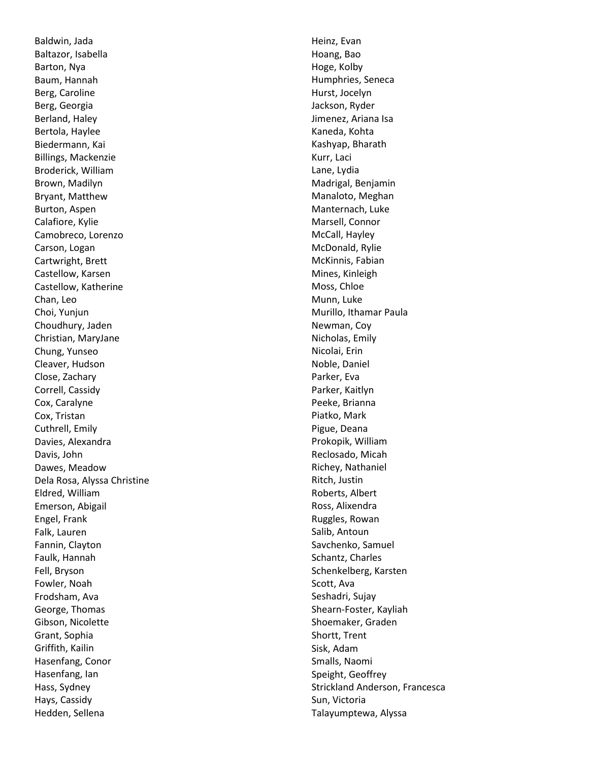Baldwin, Jada Baltazor, Isabella Barton, Nya Baum, Hannah Berg, Caroline Berg, Georgia Berland, Haley Bertola, Haylee Biedermann, Kai Billings, Mackenzie Broderick, William Brown, Madilyn Bryant, Matthew Burton, Aspen Calafiore, Kylie Camobreco, Lorenzo Carson, Logan Cartwright, Brett Castellow, Karsen Castellow, Katherine Chan, Leo Choi, Yunjun Choudhury, Jaden Christian, MaryJane Chung, Yunseo Cleaver, Hudson Close, Zachary Correll, Cassidy Cox, Caralyne Cox, Tristan Cuthrell, Emily Davies, Alexandra Davis, John Dawes, Meadow Dela Rosa, Alyssa Christine Eldred, William Emerson, Abigail Engel, Frank Falk, Lauren Fannin, Clayton Faulk, Hannah Fell, Bryson Fowler, Noah Frodsham, Ava George, Thomas Gibson, Nicolette Grant, Sophia Griffith, Kailin Hasenfang, Conor Hasenfang, Ian Hass, Sydney Hays, Cassidy Hedden, Sellena

Heinz, Evan Hoang, Bao Hoge, Kolby Humphries, Seneca Hurst, Jocelyn Jackson, Ryder Jimenez, Ariana Isa Kaneda, Kohta Kashyap, Bharath Kurr, Laci Lane, Lydia Madrigal, Benjamin Manaloto, Meghan Manternach, Luke Marsell, Connor McCall, Hayley McDonald, Rylie McKinnis, Fabian Mines, Kinleigh Moss, Chloe Munn, Luke Murillo, Ithamar Paula Newman, Coy Nicholas, Emily Nicolai, Erin Noble, Daniel Parker, Eva Parker, Kaitlyn Peeke, Brianna Piatko, Mark Pigue, Deana Prokopik, William Reclosado, Micah Richey, Nathaniel Ritch, Justin Roberts, Albert Ross, Alixendra Ruggles, Rowan Salib, Antoun Savchenko, Samuel Schantz, Charles Schenkelberg, Karsten Scott, Ava Seshadri, Sujay Shearn -Foster, Kayliah Shoemaker, Graden Shortt, Trent Sisk, Adam Smalls, Naomi Speight, Geoffrey Strickland Anderson, Francesca Sun, Victoria Talayumptewa, Alyssa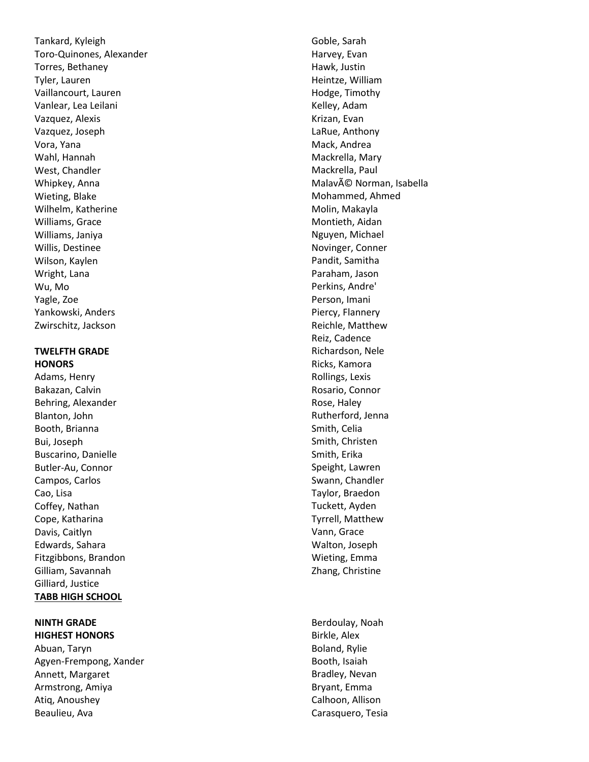Tankard, Kyleigh Toro -Quinones, Alexander Torres, Bethaney Tyler, Lauren Vaillancourt, Lauren Vanlear, Lea Leilani Vazquez, Alexis Vazquez, Joseph Vora, Yana Wahl, Hannah West, Chandler Whipkey, Anna Wieting, Blake Wilhelm, Katherine Williams, Grace Williams, Janiya Willis, Destinee Wilson, Kaylen Wright, Lana Wu, Mo Yagle, Zoe Yankowski, Anders Zwirschitz, Jackson

#### **TWELFTH GRADE HONORS**

Adams, Henry Bakazan, Calvin Behring, Alexander Blanton, John Booth, Brianna Bui, Joseph Buscarino, Danielle Butler -Au, Connor Campos, Carlos Cao, Lisa Coffey, Nathan Cope, Katharina Davis, Caitlyn Edwards, Sahara Fitzgibbons, Brandon Gilliam, Savannah Gilliard, Justice **TABB HIGH SCHOOL**

#### **NINTH GRADE HIGHEST HONORS**

Abuan, Taryn Agyen -Frempong, Xander Annett, Margaret Armstrong, Amiya Atiq, Anoushey Beaulieu, Ava

Goble, Sarah Harvey, Evan Hawk, Justin Heintze, William Hodge, Timothy Kelley, Adam Krizan, Evan LaRue, Anthony Mack, Andrea Mackrella, Mary Mackrella, Paul MalavÃ<sup>©</sup> Norman, Isabella Mohammed, Ahmed Molin, Makayla Montieth, Aidan Nguyen, Michael Novinger, Conner Pandit, Samitha Paraham, Jason Perkins, Andre' Person, Imani Piercy, Flannery Reichle, Matthew Reiz, Cadence Richardson, Nele Ricks, Kamora Rollings, Lexis Rosario, Connor Rose, Haley Rutherford, Jenna Smith, Celia Smith, Christen Smith, Erika Speight, Lawren Swann, Chandler Taylor, Braedon Tuckett, Ayden Tyrrell, Matthew Vann, Grace Walton, Joseph Wieting, Emma Zhang, Christine

Berdoulay, Noah Birkle, Alex Boland, Rylie Booth, Isaiah Bradley, Nevan Bryant, Emma Calhoon, Allison Carasquero, Tesia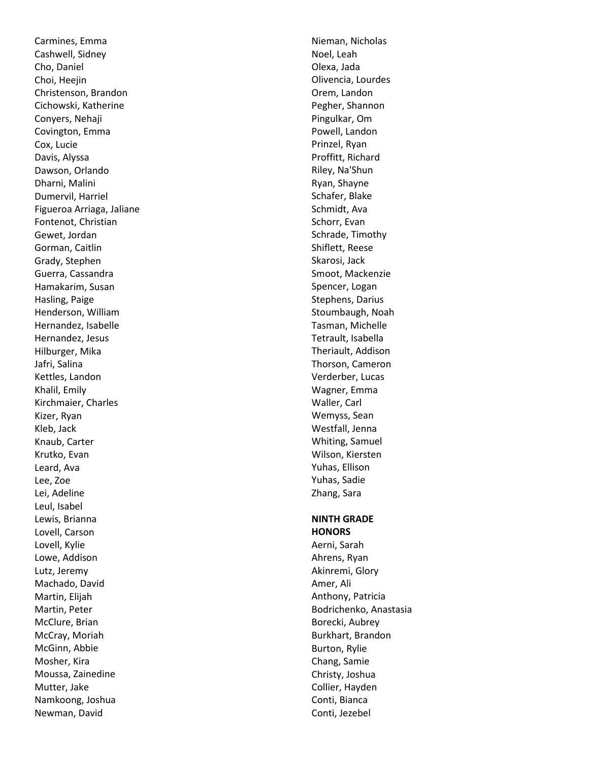Carmines, Emma Cashwell, Sidney Cho, Daniel Choi, Heejin Christenson, Brandon Cichowski, Katherine Conyers, Nehaji Covington, Emma Cox, Lucie Davis, Alyssa Dawson, Orlando Dharni, Malini Dumervil, Harriel Figueroa Arriaga, Jaliane Fontenot, Christian Gewet, Jordan Gorman, Caitlin Grady, Stephen Guerra, Cassandra Hamakarim, Susan Hasling, Paige Henderson, William Hernandez, Isabelle Hernandez, Jesus Hilburger, Mika Jafri, Salina Kettles, Landon Khalil, Emily Kirchmaier, Charles Kizer, Ryan Kleb, Jack Knaub, Carter Krutko, Evan Leard, Ava Lee, Zoe Lei, Adeline Leul, Isabel Lewis, Brianna Lovell, Carson Lovell, Kylie Lowe, Addison Lutz, Jeremy Machado, David Martin, Elijah Martin, Peter McClure, Brian McCray, Moriah McGinn, Abbie Mosher, Kira Moussa, Zainedine Mutter, Jake Namkoong, Joshua Newman, David

Nieman, Nicholas Noel, Leah Olexa, Jada Olivencia, Lourdes Orem, Landon Pegher, Shannon Pingulkar, Om Powell, Landon Prinzel, Ryan Proffitt, Richard Riley, Na'Shun Ryan, Shayne Schafer, Blake Schmidt, Ava Schorr, Evan Schrade, Timothy Shiflett, Reese Skarosi, Jack Smoot, Mackenzie Spencer, Logan Stephens, Darius Stoumbaugh, Noah Tasman, Michelle Tetrault, Isabella Theriault, Addison Thorson, Cameron Verderber, Lucas Wagner, Emma Waller, Carl Wemyss, Sean Westfall, Jenna Whiting, Samuel Wilson, Kiersten Yuhas, Ellison Yuhas, Sadie Zhang, Sara

#### **NINTH GRADE HONORS**

Aerni, Sarah Ahrens, Ryan Akinremi, Glory Amer, Ali Anthony, Patricia Bodrichenko, Anastasia Borecki, Aubrey Burkhart, Brandon Burton, Rylie Chang, Samie Christy, Joshua Collier, Hayden Conti, Bianca Conti, Jezebel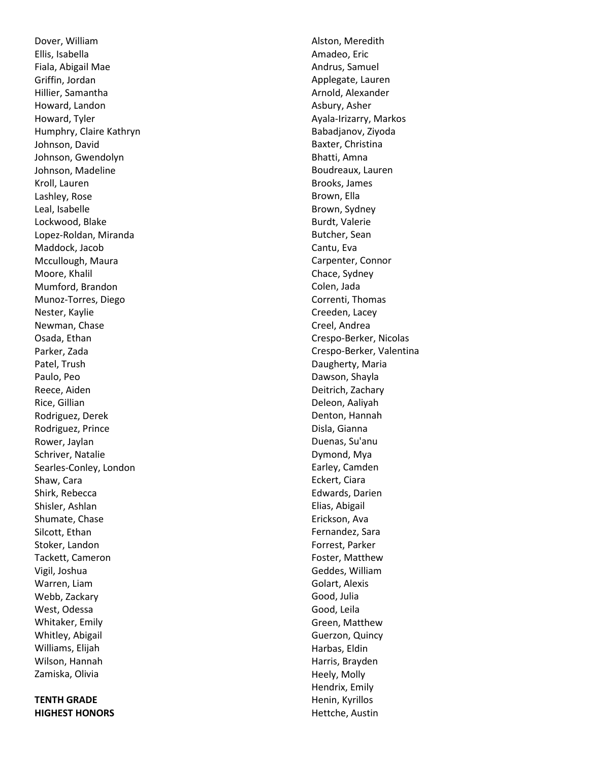Dover, William Ellis, Isabella Fiala, Abigail Mae Griffin, Jordan Hillier, Samantha Howard, Landon Howard, Tyler Humphry, Claire Kathryn Johnson, David Johnson, Gwendolyn Johnson, Madeline Kroll, Lauren Lashley, Rose Leal, Isabelle Lockwood, Blake Lopez -Roldan, Miranda Maddock, Jacob Mccullough, Maura Moore, Khalil Mumford, Brandon Munoz -Torres, Diego Nester, Kaylie Newman, Chase Osada, Ethan Parker, Zada Patel, Trush Paulo, Peo Reece, Aiden Rice, Gillian Rodriguez, Derek Rodriguez, Prince Rower, Jaylan Schriver, Natalie Searles -Conley, London Shaw, Cara Shirk, Rebecca Shisler, Ashlan Shumate, Chase Silcott, Ethan Stoker, Landon Tackett, Cameron Vigil, Joshua Warren, Liam Webb, Zackary West, Odessa Whitaker, Emily Whitley, Abigail Williams, Elijah Wilson, Hannah Zamiska, Olivia

# **TENTH GRADE HIGHEST HONORS**

Alston, Meredith Amadeo, Eric Andrus, Samuel Applegate, Lauren Arnold, Alexander Asbury, Asher Ayala -Irizarry, Markos Babadjanov, Ziyoda Baxter, Christina Bhatti, Amna Boudreaux, Lauren Brooks, James Brown, Ella Brown, Sydney Burdt, Valerie Butcher, Sean Cantu, Eva Carpenter, Connor Chace, Sydney Colen, Jada Correnti, Thomas Creeden, Lacey Creel, Andrea Crespo -Berker, Nicolas Crespo -Berker, Valentina Daugherty, Maria Dawson, Shayla Deitrich, Zachary Deleon, Aaliyah Denton, Hannah Disla, Gianna Duenas, Su'anu Dymond, Mya Earley, Camden Eckert, Ciara Edwards, Darien Elias, Abigail Erickson, Ava Fernandez, Sara Forrest, Parker Foster, Matthew Geddes, William Golart, Alexis Good, Julia Good, Leila Green, Matthew Guerzon, Quincy Harbas, Eldin Harris, Brayden Heely, Molly Hendrix, Emily Henin, Kyrillos Hettche, Austin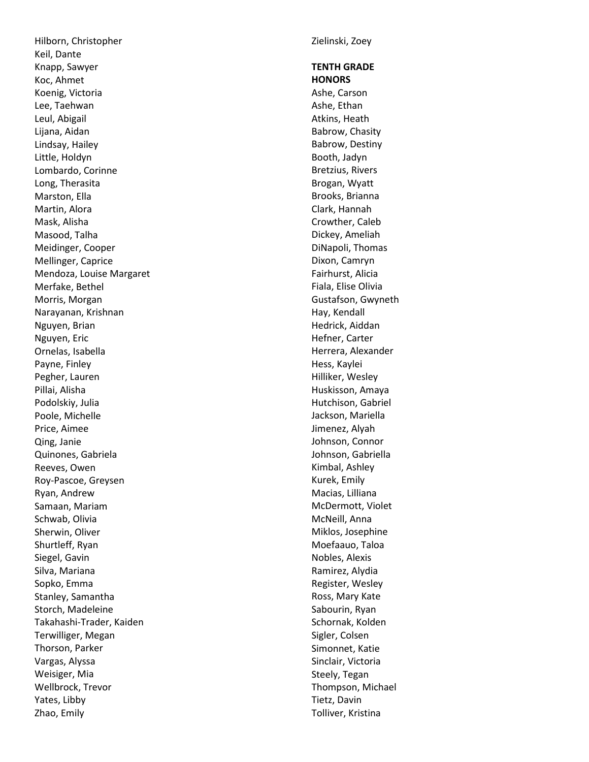Hilborn, Christopher Keil, Dante Knapp, Sawyer Koc, Ahmet Koenig, Victoria Lee, Taehwan Leul, Abigail Lijana, Aidan Lindsay, Hailey Little, Holdyn Lombardo, Corinne Long, Therasita Marston, Ella Martin, Alora Mask, Alisha Masood, Talha Meidinger, Cooper Mellinger, Caprice Mendoza, Louise Margaret Merfake, Bethel Morris, Morgan Narayanan, Krishnan Nguyen, Brian Nguyen, Eric Ornelas, Isabella Payne, Finley Pegher, Lauren Pillai, Alisha Podolskiy, Julia Poole, Michelle Price, Aimee Qing, Janie Quinones, Gabriela Reeves, Owen Roy -Pascoe, Greysen Ryan, Andrew Samaan, Mariam Schwab, Olivia Sherwin, Olive r Shurtleff, Ryan Siegel, Gavin Silva, Mariana Sopko, Emma Stanley, Samantha Storch, Madeleine Takahashi -Trader, Kaiden Terwilliger, Megan Thorson, Parker Vargas, Alyssa Weisiger, Mia Wellbrock, Trevor Yates, Libby Zhao, Emily

Zielinski, Zoey

# **TENTH GRADE HONORS**

Ashe, Carson Ashe, Ethan Atkins, Heath Babrow, Chasity Babrow, Destiny Booth, Jadyn Bretzius, Rivers Brogan, Wyatt Brooks, Brianna Clark, Hannah Crowther, Caleb Dickey, Ameliah DiNapoli, Thomas Dixon, Camryn Fairhurst, Alicia Fiala, Elise Olivia Gustafson, Gwyneth Hay, Kendall Hedrick, Aiddan Hefner, Carter Herrera, Alexander Hess, Kaylei Hilliker, Wesley Huskisson, Amaya Hutchison, Gabriel Jackson, Mariella Jimenez, Alyah Johnson, Connor Johnson, Gabriella Kimbal, Ashley Kurek, Emily Macias, Lilliana McDermott, Violet McNeill, Anna Miklos, Josephine Moefaauo, Taloa Nobles, Alexis Ramirez, Alydia Register, Wesley Ross, Mary Kate Sabourin, Ryan Schornak, Kolden Sigler, Colsen Simonnet, Katie Sinclair, Victoria Steely, Tegan Thompson, Michael Tietz, Davin Tolliver, Kristina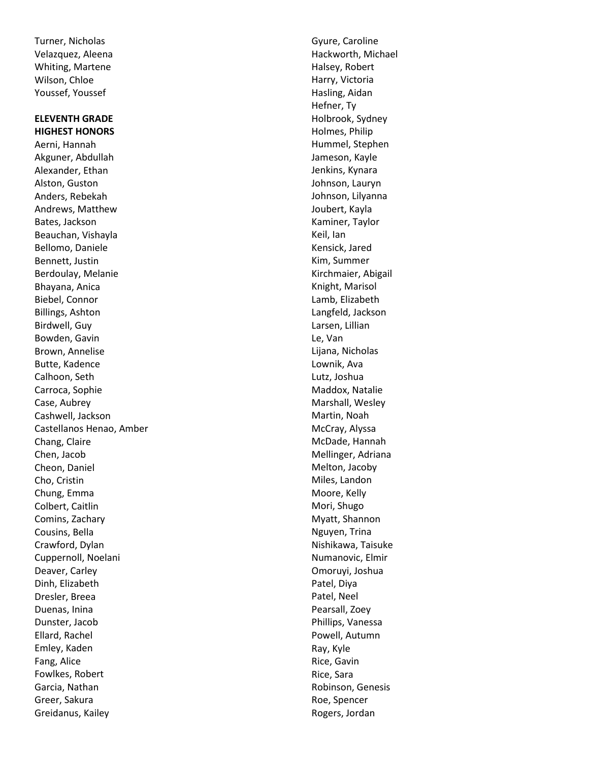Turner, Nicholas Velazquez, Aleena Whiting, Martene Wilson, Chloe Youssef, Youssef

# **ELEVENTH GRADE HIGHEST HONORS**

Aerni, Hannah Akguner, Abdullah Alexander, Ethan Alston, Guston Anders, Rebekah Andrews, Matthew Bates, Jackson Beauchan, Vishayla Bellomo, Daniele Bennett, Justin Berdoulay, Melanie Bhayana, Anica Biebel, Connor Billings, Ashton Birdwell, Guy Bowden, Gavin Brown, Annelise Butte, Kadence Calhoon, Seth Carroca, Sophie Case, Aubrey Cashwell, Jackson Castellanos Henao, Amber Chang, Claire Chen, Jacob Cheon, Daniel Cho, Cristin Chung, Emma Colbert, Caitlin Comins, Zachary Cousins, Bella Crawford, Dylan Cuppernoll, Noelani Deaver, Carley Dinh, Elizabeth Dresler, Breea Duenas, Inina Dunster, Jacob Ellard, Rachel Emley, Kade n Fang, Alice Fowlkes, Robert Garcia, Nathan Greer, Sakura Greidanus, Kailey

Gyure, Caroline Hackworth, Michael Halsey, Robert Harry, Victoria Hasling, Aidan Hefner, Ty Holbrook, Sydney Holmes, Philip Hummel, Stephen Jameson, Kayle Jenkins, Kynara Johnson, Lauryn Johnson, Lilyanna Joubert, Kayla Kaminer, Taylor Keil, Ian Kensick, Jared Kim, Summer Kirchmaier, Abigail Knight, Marisol Lamb, Elizabeth Langfeld, Jackson Larsen, Lillian Le, Van Lijana, Nicholas Lownik, Ava Lutz, Joshua Maddox, Natalie Marshall, Wesley Martin, Noah McCray, Alyssa McDade, Hannah Mellinger, Adriana Melton, Jacoby Miles, Landon Moore, Kelly Mori, Shugo Myatt, Shannon Nguyen, Trina Nishikawa, Taisuke Numanovic, Elmir Omoruyi, Joshua Patel, Diya Patel, Neel Pearsall, Zoey Phillips, Vanessa Powell, Autumn Ray, Kyle Rice, Gavin Rice, Sara Robinson, Genesis Roe, Spencer Rogers, Jordan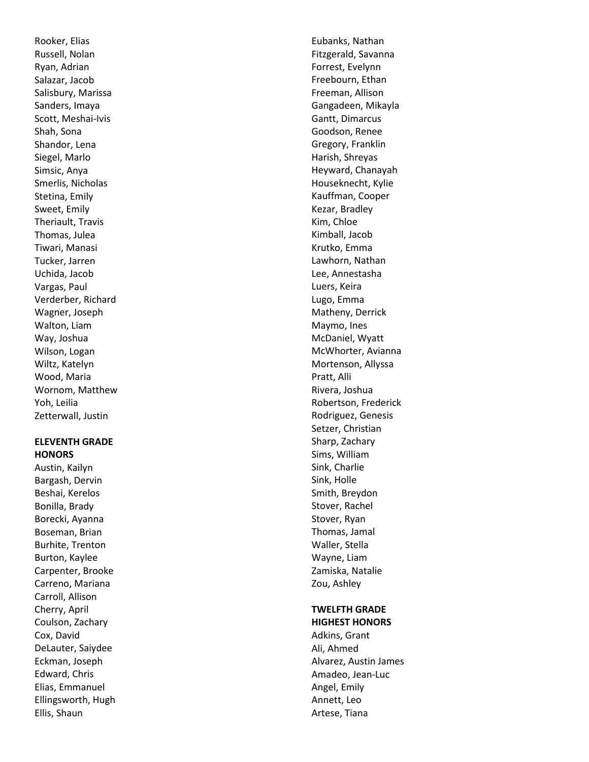Rooker, Elias Russell, Nolan Ryan, Adrian Salazar, Jacob Salisbury, Marissa Sanders, Imaya Scott, Meshai -Ivis Shah, Sona Shandor, Lena Siegel, Marlo Simsic, Anya Smerlis, Nicholas Stetina, Emily Sweet, Emily Theriault, Travis Thomas, Julea Tiwari, Manasi Tucker, Jarren Uchida, Jacob Vargas, Paul Verderber, Richard Wagner, Joseph Walton, Liam Way, Joshua Wilson, Logan Wiltz, Katelyn Wood, Maria Wornom, Matthew Yoh, Leilia Zetterwall, Justin

#### **ELEVENTH GRADE HONORS**

Austin, Kailyn Bargash, Dervin Beshai, Kerelos Bonilla, Brady Borecki, Ayanna Boseman, Brian Burhite, Trenton Burton, Kaylee Carpenter, Brooke Carreno, Mariana Carroll, Allison Cherry, April Coulson, Zachary Cox, David DeLauter, Saiydee Eckman, Joseph Edward, Chris Elias, Emmanuel Ellingsworth, Hugh Ellis, Shaun

Eubanks, Nathan Fitzgerald, Savanna Forrest, Evelynn Freebourn, Ethan Freeman, Allison Gangadeen, Mikayla Gantt, Dimarcus Goodson, Renee Gregory, Franklin Harish, Shreyas Heyward, Chanayah Houseknecht, Kylie Kauffman, Cooper Kezar, Bradley Kim, Chloe Kimball, Jacob Krutko, Emma Lawhorn, Nathan Lee, Annestasha Luers, Keira Lugo, Emma Matheny, Derrick Maymo, Ines McDaniel, Wyatt McWhorter, Avianna Mortenson, Allyssa Pratt, Alli Rivera, Joshua Robertson, Frederick Rodriguez, Genesis Setzer, Christian Sharp, Zachary Sims, William Sink, Charlie Sink, Holle Smith, Breydon Stover, Rachel Stover, Ryan Thomas, Jamal Waller, Stella Wayne, Liam Zamiska, Natalie Zou, Ashley

# **TWELFTH GRADE HIGHEST HONORS**

Adkins, Grant Ali, Ahmed Alvarez, Austin James Amadeo, Jean -Luc Angel, Emily Annett, Leo Artese, Tiana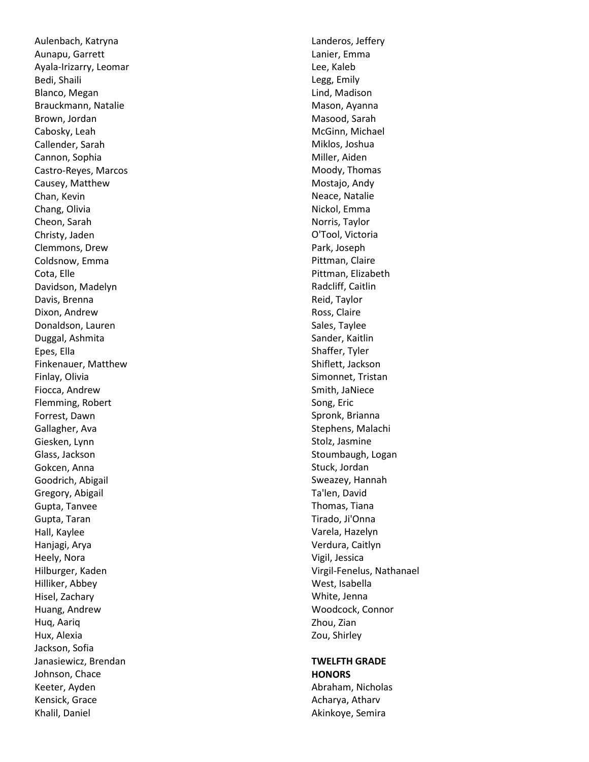Aulenbach, Katryna Aunapu, Garrett Ayala -Irizarry, Leomar Bedi, Shaili Blanco, Megan Brauckmann, Natalie Brown, Jordan Cabosky, Leah Callender, Sarah Cannon, Sophia Castro -Reyes, Marcos Causey, Matthew Chan, Kevin Chang, Olivia Cheon, Sarah Christy, Jaden Clemmons, Drew Coldsnow, Emma Cota, Elle Davidson, Madelyn Davis, Brenna Dixon, Andrew Donaldson, Lauren Duggal, Ashmita Epes, Ella Finkenauer, Matthew Finlay, Olivia Fiocca, Andrew Flemming, Robert Forrest, Dawn Gallagher, Ava Giesken, Lynn Glass, Jackson Gokcen, Anna Goodrich, Abigail Gregory, Abigail Gupta, Tanvee Gupta, Taran Hall, Kaylee Hanjagi, Arya Heely, Nora Hilburger, Kaden Hilliker, Abbey Hisel, Zachary Huang, Andrew Huq, Aariq Hux, Alexia Jackson, Sofia Janasiewicz, Brendan Johnson, Chace Keeter, Ayden Kensick, Grace Khalil, Daniel

Landeros, Jeffery Lanier, Emma Lee, Kaleb Legg, Emily Lind, Madison Mason, Ayanna Masood, Sarah McGinn, Michael Miklos, Joshua Miller, Aiden Moody, Thomas Mostajo, Andy Neace, Natalie Nickol, Emma Norris, Taylor O'Tool, Victoria Park, Joseph Pittman, Claire Pittman, Elizabeth Radcliff, Caitlin Reid, Taylor Ross, Claire Sales, Taylee Sander, Kaitlin Shaffer, Tyler Shiflett, Jackson Simonnet, Tristan Smith, JaNiece Song, Eric Spronk, Brianna Stephens, Malachi Stolz, Jasmine Stoumbaugh, Logan Stuck, Jordan Sweazey, Hannah Ta'len, David Thomas, Tian a Tirado, Ji'Onna Varela, Hazelyn Verdura, Caitlyn Vigil, Jessica Virgil -Fenelus, Nathanael West, Isabella White, Jenna Woodcock, Connor Zhou, Zian Zou, Shirley

#### **TWELFTH GRADE HONORS**

Abraham, Nicholas Acharya, Atharv Akinkoye, Semira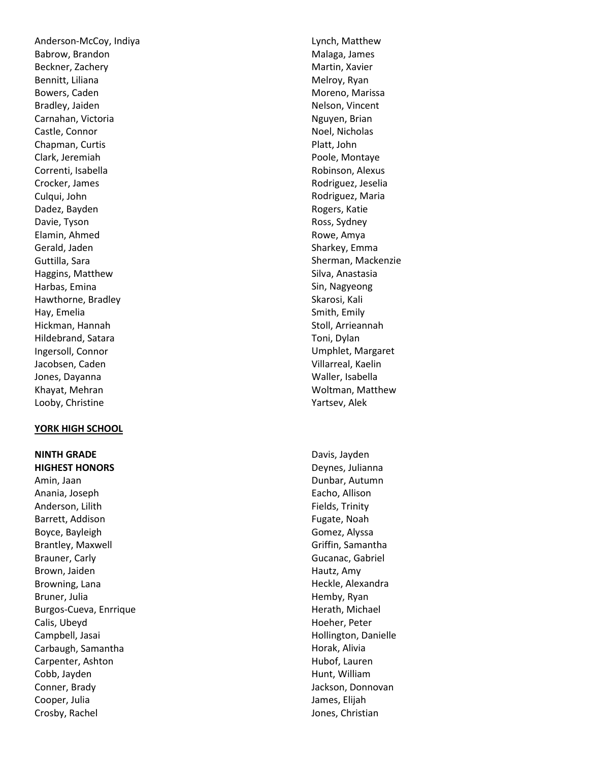Anderson -McCoy, Indiya Babrow, Brandon Beckner, Zachery Bennitt, Liliana Bowers, Caden Bradley, Jaiden Carnahan, Victoria Castle, Connor Chapman, Curtis Clark, Jeremiah Correnti, Isabella Crocker, James Culqui, John Dadez, Bayden Davie, Tyson Elamin, Ahmed Gerald, Jaden Guttilla, Sara Haggins, Matthew Harbas, Emina Hawthorne, Bradley Hay, Emelia Hickman, Hannah Hildebrand, Satara Ingersoll, Connor Jacobsen, Caden Jones, Dayanna Khayat, Mehran Looby, Christine

#### **YORK HIGH SCHOOL**

**NINTH GRADE HIGHEST HONORS** 

Amin, Jaan Anania, Joseph Anderson, Lilith Barrett, Addison Boyce, Bayleigh Brantley, Maxwell Brauner, Carly Brown, Jaiden Browning, Lana Bruner, Julia Burgos -Cueva, Enrrique Calis, Ubeyd Campbell, Jasai Carbaugh, Samantha Carpenter, Ashton Cobb, Jayden Conner, Brady Cooper, Julia Crosby, Rachel

Lynch, Matthew Malaga, James Martin, Xavier Melroy, Ryan Moreno, Marissa Nelson, Vincent Nguyen, Brian Noel, Nicholas Platt, John Poole, Montaye Robinson, Alexus Rodriguez, Jeselia Rodriguez, Maria Rogers, Katie Ross, Sydney Rowe, Amya Sharkey, Emma Sherman, Mackenzie Silva, Anastasia Sin, Nagyeong Skarosi, Kali Smith, Emily Stoll, Arrieannah Toni, Dylan Umphlet, Margaret Villarreal, Kaelin Waller, Isabella Woltman, Matthew Yartsev, Alek

Davis, Jayden Deynes, Julianna Dunbar, Autumn Eacho, Allison Fields, Trinity Fugate, Noah Gomez, Alyssa Griffin, Samantha Gucanac, Gabriel Hautz, Amy Heckle, Alexandra Hemby, Ryan Herath, Michael Hoeher, Peter Hollington, Danielle Horak, Alivia Hubof, Lauren Hunt, William Jackson, Donnovan James, Elijah Jones, Christian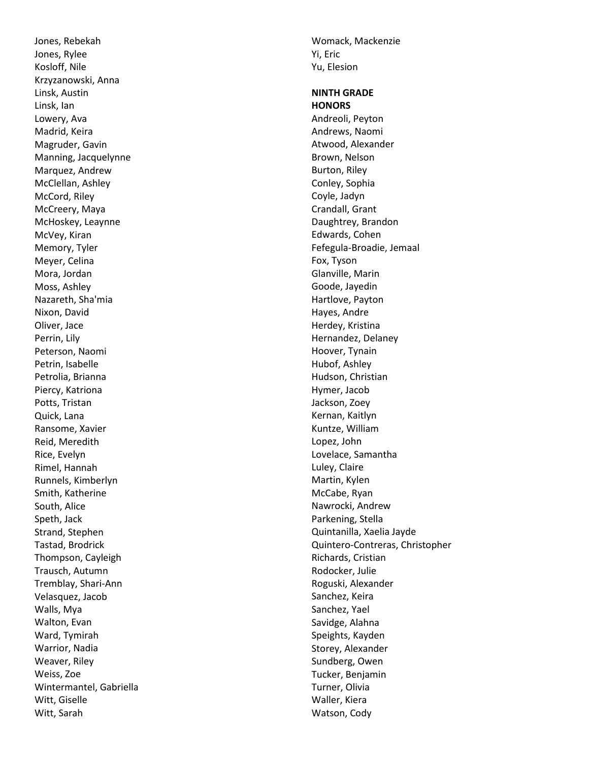Jones, Rebekah Jones, Rylee Kosloff, Nile Krzyzanowski, Anna Linsk, Austin Linsk, Ian Lowery, Ava Madrid, Keira Magruder, Gavin Manning, Jacquelynne Marquez, Andrew McClellan, Ashley McCord, Riley McCreery, Maya McHoskey, Leaynne McVey, Kiran Memory, Tyler Meyer, Celina Mora, Jordan Moss, Ashley Nazareth, Sha'mia Nixon, David Oliver, Jace Perrin, Lily Peterson, Naomi Petrin, Isabelle Petrolia, Brianna Piercy, Katriona Potts, Tristan Quick, Lana Ransome, Xavier Reid, Meredith Rice, Evelyn Rimel, Hannah Runnels, Kimberlyn Smith, Katherine South, Alice Speth, Jack Strand, Stephen Tastad, Brodrick Thompson, Cayleigh Trausch, Autumn Tremblay, Shari -Ann Velasquez, Jacob Walls, Mya Walton, Evan Ward, Tymirah Warrior, Nadia Weaver, Riley Weiss, Zoe Wintermantel, Gabriella Witt, Giselle Witt, Sarah

Womack, Mackenzie Yi, Eric Yu, Elesion

# **NINTH GRADE HONORS**  Andreoli, Peyton Andrews, Naomi Atwood, Alexander Brown, Nelson Burton, Riley Conley, Sophia Coyle, Jadyn Crandall, Grant Daughtrey, Brandon Edwards, Cohen Fefegula -Broadie, Jemaal Fox, Tyson Glanville, Marin Goode, Jayedin Hartlove, Payton Hayes, Andre Herdey, Kristina Hernandez, Delaney Hoover, Tynain Hubof, Ashley Hudson, Christian Hymer, Jacob Jackson, Zoey Kernan, Kaitlyn Kuntze, William Lopez, John Lovelace, Samantha Luley, Claire Martin, Kylen McCabe, Ryan Nawrocki, Andrew Parkening, Stella Quintanilla, Xaelia Jayde Quintero -Contreras, Christopher Richards, Cristian Rodocker, Julie Roguski, Alexander Sanchez, Keira Sanchez, Yael Savidge, Alahna Speights, Kayden Storey, Alexander Sundberg, Owen Tucker, Benjamin Turner, Olivia Waller, Kiera Watson, Cody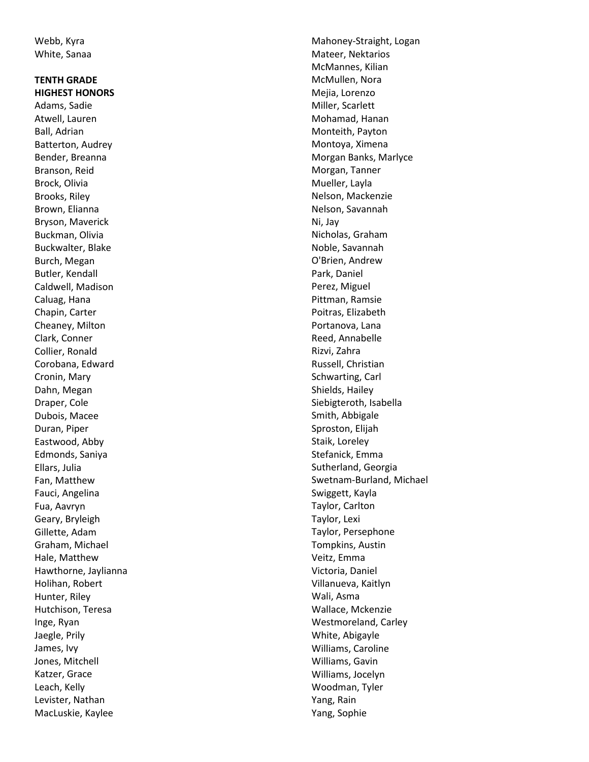Webb, Kyra White, Sanaa

#### **TENTH GRADE HIGHEST HONORS**

Adams, Sadie Atwell, Lauren Ball, Adrian Batterton, Audrey Bender, Breanna Branson, Reid Brock, Olivia Brooks, Riley Brown, Elianna Bryson, Maverick Buckman, Olivia Buckwalter, Blake Burch, Megan Butler, Kendall Caldwell, Madison Caluag, Hana Chapin, Carter Cheaney, Milton Clark, Conner Collier, Ronald Corobana, Edward Cronin, Mary Dahn, Megan Draper, Cole Dubois, Macee Duran, Piper Eastwood, Abby Edmonds, Saniya Ellars, Julia Fan, Matthew Fauci, Angelina Fua, Aavryn Geary, Bryleigh Gillette, Adam Graham, Michael Hale, Matthew Hawthorne, Jaylianna Holihan, Robert Hunter, Riley Hutchison, Teresa Inge, Ryan Jaegle, Prily James, Ivy Jones, Mitchell Katzer, Grace Leach, Kelly Levister, Nathan MacLuskie, Kaylee

Mahoney -Straight, Logan Mateer, Nektarios McMannes, Kilian McMullen, Nora Mejia, Lorenzo Miller, Scarlett Mohamad, Hanan Monteith, Payton Montoya, Ximena Morgan Banks, Marlyce Morgan, Tanner Mueller, Layla Nelson, Mackenzie Nelson, Savannah Ni, Jay Nicholas, Graham Noble, Savannah O'Brien, Andrew Park, Daniel Perez, Miguel Pittman, Ramsie Poitras, Elizabeth Portanova, Lana Reed, Annabelle Rizvi, Zahra Russell, Christian Schwarting, Carl Shields, Hailey Siebigteroth, Isabella Smith, Abbigale Sproston, Elijah Staik, Loreley Stefanick, Emma Sutherland, Georgia Swetnam -Burland, Michael Swiggett, Kayla Taylor, Carlton Taylor, Lexi Taylor, Persephone Tompkins, Austin Veitz, Emma Victoria, Daniel Villanueva, Kaitlyn Wali, Asma Wallace, Mckenzie Westmoreland, Carley White, Abigayle Williams, Caroline Williams, Gavin Williams, Jocelyn Woodman, Tyler Yang, Rain Yang, Sophie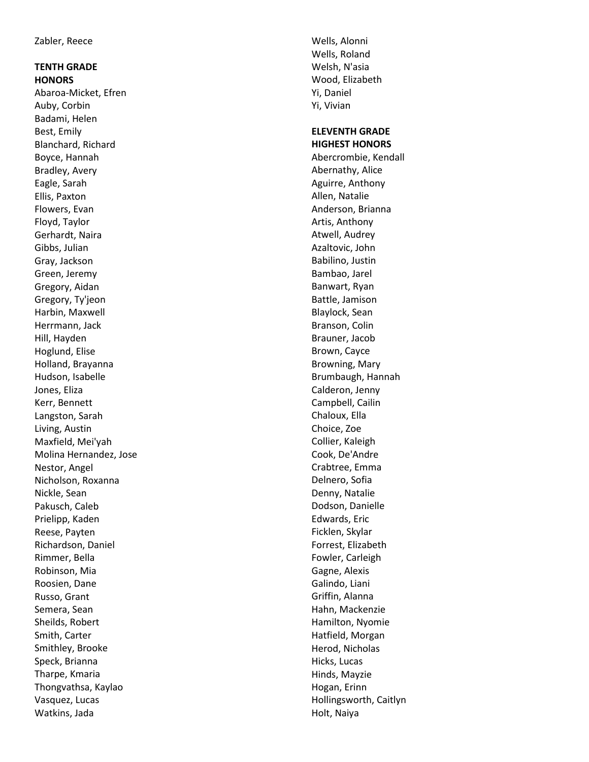# **TENTH GRADE HONORS**

Abaroa -Micket, Efren Auby, Corbin Badami, Helen Best, Emily Blanchard, Richard Boyce, Hannah Bradley, Avery Eagle, Sarah Ellis, Paxton Flowers, Evan Floyd, Taylor Gerhardt, Naira Gibbs, Julian Gray, Jackson Green, Jeremy Gregory, Aidan Gregory, Ty'jeon Harbin, Maxwell Herrmann, Jack Hill, Hayden Hoglund, Elise Holland, Brayanna Hudson, Isabelle Jones, Eliza Kerr, Bennett Langston, Sarah Living, Austin Maxfield, Mei'yah Molina Hernandez, Jose Nestor, Angel Nicholson, Roxanna Nickle, Sean Pakusch, Caleb Prielipp, Kaden Reese, Payten Richardson, Daniel Rimmer, Bella Robinson, Mia Roosien, Dane Russo, Grant Semera, Sean Sheilds, Robert Smith, Carter Smithley, Brooke Speck, Brianna Tharpe, Kmaria Thongvathsa, Kaylao Vasquez, Lucas Watkins, Jada

Wells, Alonni Wells, Roland Welsh, N'asia Wood, Elizabeth Yi, Daniel Yi, Vivian

#### **ELEVENTH GRADE HIGHEST HONORS**

Abercrombie, Kendall Abernathy, Alice Aguirre, Anthony Allen, Natalie Anderson, Brianna Artis, Anthony Atwell, Audrey Azaltovic, John Babilino, Justin Bambao, Jarel Banwart, Ryan Battle, Jamison Blaylock, Sean Branson, Colin Brauner, Jacob Brown, Cayce Browning, Mary Brumbaugh, Hannah Calderon, Jenny Campbell, Cailin Chaloux, Ella Choice, Zoe Collier, Kaleigh Cook, De'Andre Crabtree, Emma Delnero, Sofia Denny, Natalie Dodson, Danielle Edwards, Eric Ficklen, Skylar Forrest, Elizabeth Fowler, Carleigh Gagne, Alexis Galindo, Liani Griffin, Alanna Hahn, Mackenzie Hamilton, Nyomie Hatfield, Morgan Herod, Nicholas Hicks, Lucas Hinds, Mayzie Hogan, Erinn Hollingsworth, Caitlyn Holt, Naiya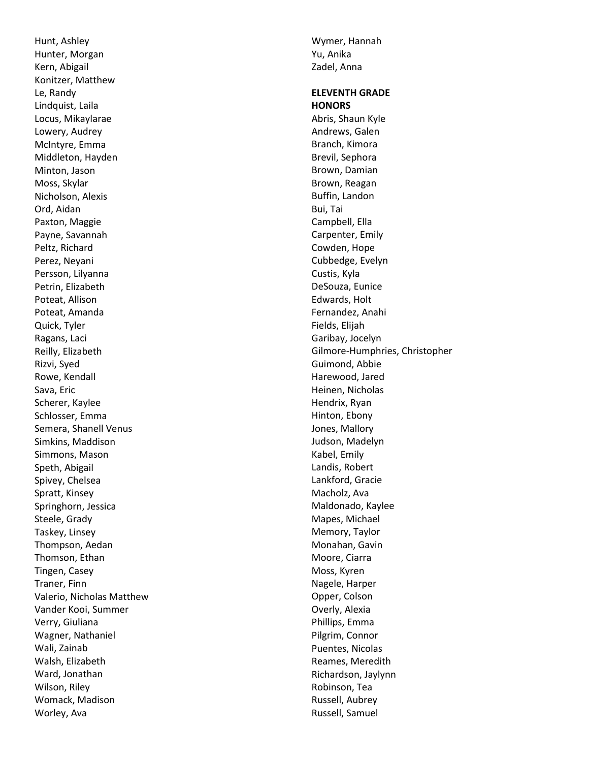Hunt, Ashley Hunter, Morgan Kern, Abigail Konitzer, Matthew Le, Randy Lindquist, Laila Locus, Mikaylarae Lowery, Audrey McIntyre, Emma Middleton, Hayden Minton, Jason Moss, Skylar Nicholson, Alexis Ord, Aidan Paxton, Maggie Payne, Savannah Peltz, Richard Perez, Neyani Persson, Lilyanna Petrin, Elizabeth Poteat, Allison Poteat, Amanda Quick, Tyler Ragans, Laci Reilly, Elizabeth Rizvi, Syed Rowe, Kendall Sava, Eric Scherer, Kaylee Schlosser, Emma Semera, Shanell Venus Simkins, Maddison Simmons, Mason Speth, Abigail Spivey, Chelsea Spratt, Kinsey Springhorn, Jessica Steele, Grady Taskey, Linsey Thompson, Aedan Thomson, Ethan Tingen, Casey Traner, Finn Valerio, Nicholas Matthew Vander Kooi, Summer Verry, Giuliana Wagner, Nathaniel Wali, Zainab Walsh, Elizabeth Ward, Jonathan Wilson, Riley Womack, Madison Worley, Ava

Wymer, Hannah Yu, Anika Zadel, Anna

#### **ELEVENTH GRADE HONORS**

Abris, Shaun Kyle Andrews, Galen Branch, Kimora Brevil, Sephora Brown, Damian Brown, Reagan Buffin, Landon Bui, Tai Campbell, Ella Carpenter, Emily Cowden, Hope Cubbedge, Evelyn Custis, Kyla DeSouza, Eunice Edwards, Holt Fernandez, Anahi Fields, Elijah Garibay, Jocelyn Gilmore -Humphries, Christopher Guimond, Abbie Harewood, Jared Heinen, Nicholas Hendrix, Ryan Hinton, Ebony Jones, Mallory Judson, Madelyn Kabel, Emily Landis, Robert Lankford, Gracie Macholz, Ava Maldonado, Kaylee Mapes, Michael Memory, Taylor Monahan, Gavin Moore, Ciarra Moss, Kyren Nagele, Harper Opper, Colson Overly, Alexia Phillips, Emma Pilgrim, Connor Puentes, Nicolas Reames, Meredith Richardson, Jaylynn Robinson, Tea Russell, Aubrey Russell, Samuel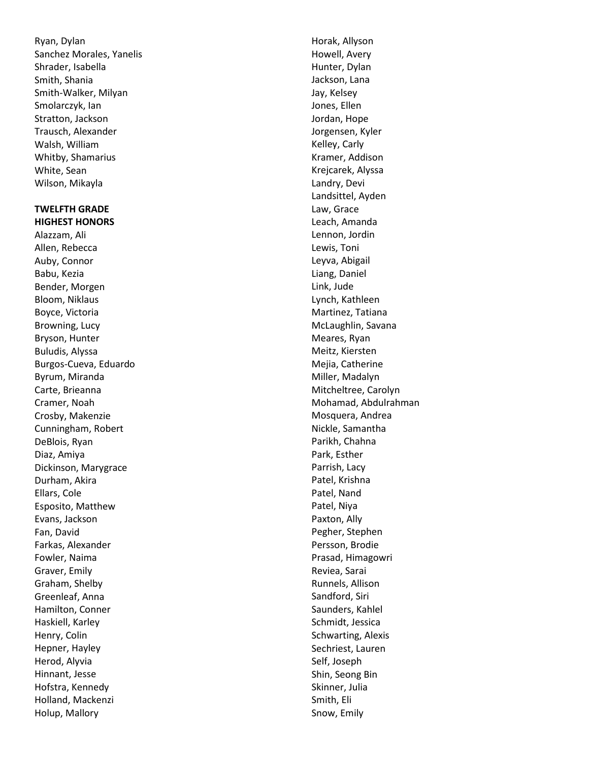Ryan, Dylan Sanchez Morales, Yanelis Shrader, Isabella Smith, Shania Smith -Walker, Milyan Smolarczyk, Ian Stratton, Jackson Trausch, Alexander Walsh, William Whitby, Shamarius White, Sean Wilson, Mikayla

#### **TWELFTH GRADE HIGHEST HONORS**

Alazzam, Ali Allen, Rebecca Auby, Connor Babu, Kezia Bender, Morgen Bloom, Niklaus Boyce, Victoria Browning, Lucy Bryson, Hunter Buludis, Alyssa Burgos -Cueva, Eduardo Byrum, Miranda Carte, Brieanna Cramer, Noah Crosby, Makenzie Cunningham, Robert DeBlois, Ryan Diaz, Amiya Dickinson, Marygrace Durham, Akira Ellars, Cole Esposito, Matthew Evans, Jackson Fan, David Farkas, Alexander Fowler, Naima Graver, Emily Graham, Shelby Greenleaf, Anna Hamilton, Conner Haskiell, Karley Henry, Colin Hepner, Hayley Herod, Alyvia Hinnant, Jesse Hofstra, Kennedy Holland, Mackenzi Holup, Mallory

Horak, Allyson Howell, Avery Hunter, Dylan Jackson, Lana Jay, Kelsey Jones, Ellen Jordan, Hope Jorgensen, Kyler Kelley, Carly Kramer, Addison Krejcarek, Alyssa Landry, Devi Landsittel, Ayden Law, Grace Leach, Amanda Lennon, Jordin Lewis, Toni Leyva, Abigail Liang, Daniel Link, Jude Lynch, Kathleen Martinez, Tatiana McLaughlin, Savana Meares, Ryan Meitz, Kiersten Mejia, Catherine Miller, Madalyn Mitcheltree, Carolyn Mohamad, Abdulrahman Mosquera, Andrea Nickle, Samantha Parikh, Chahna Park, Esther Parrish, Lacy Patel, Krishna Patel, Nand Patel, Niya Paxton, Ally Pegher, Stephen Persson, Brodie Prasad, Himagowri Reviea, Sarai Runnels, Allison Sandford, Siri Saunders, Kahlel Schmidt, Jessica Schwarting, Alexis Sechriest, Lauren Self, Joseph Shin, Seong Bin Skinner, Julia Smith, Eli Snow, Emily